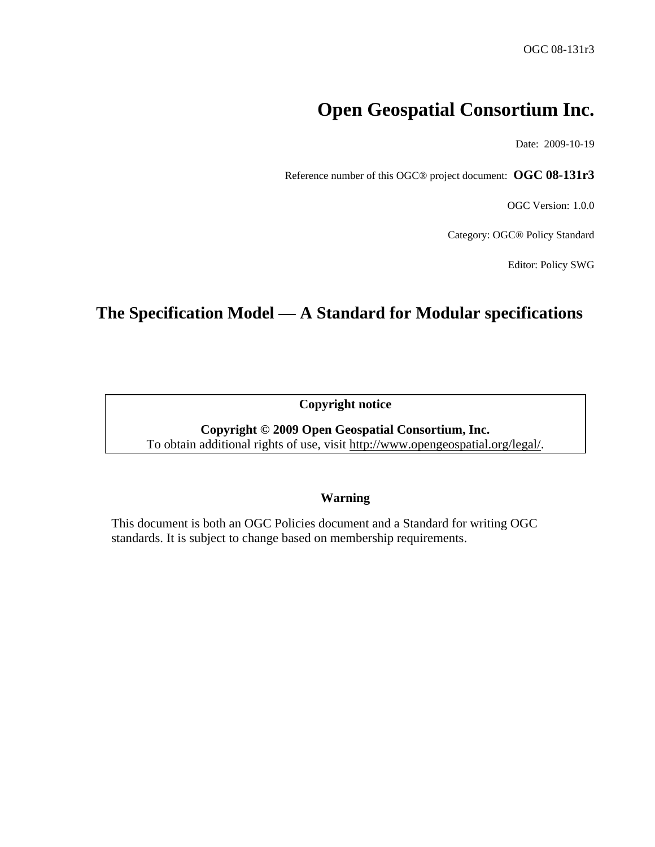# **Open Geospatial Consortium Inc.**

Date: 2009-10-19

Reference number of this OGC® project document: **OGC 08-131r3**

OGC Version: 1.0.0

Category: OGC® Policy Standard

Editor: Policy SWG

# **The Specification Model — A Standard for Modular specifications**

**Copyright notice**

**Copyright © 2009 Open Geospatial Consortium, Inc.** To obtain additional rights of use, visit [http://www.opengeospatial.org/legal/.](http://www.opengeospatial.org/legal/)

#### **Warning**

This document is both an OGC Policies document and a Standard for writing OGC standards. It is subject to change based on membership requirements.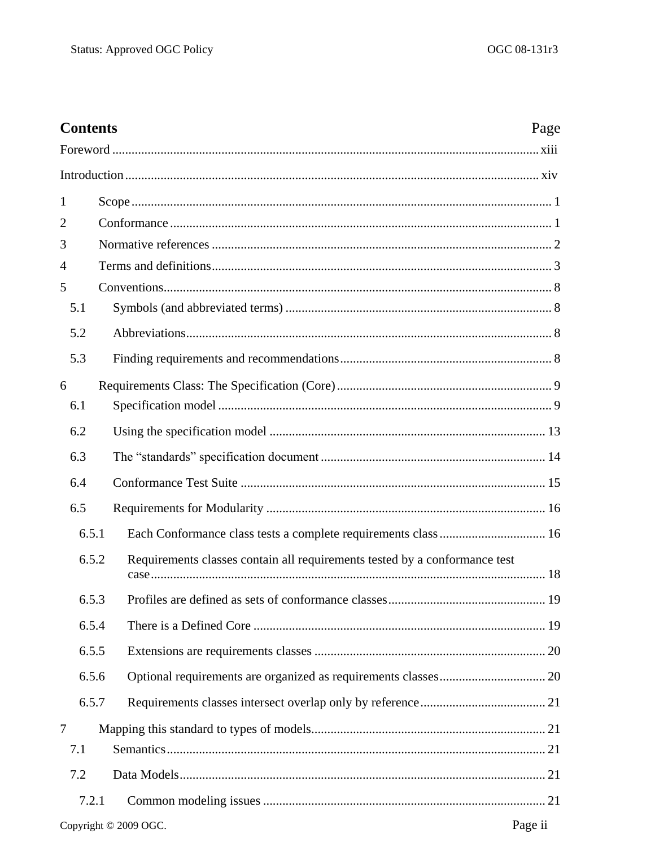| <b>Contents</b><br>Page |                                                                            |  |  |
|-------------------------|----------------------------------------------------------------------------|--|--|
|                         |                                                                            |  |  |
|                         |                                                                            |  |  |
| 1                       |                                                                            |  |  |
| $\overline{2}$          |                                                                            |  |  |
| 3                       |                                                                            |  |  |
| 4                       |                                                                            |  |  |
| 5                       |                                                                            |  |  |
| 5.1                     |                                                                            |  |  |
| 5.2                     |                                                                            |  |  |
| 5.3                     |                                                                            |  |  |
| 6                       |                                                                            |  |  |
| 6.1                     |                                                                            |  |  |
| 6.2                     |                                                                            |  |  |
| 6.3                     |                                                                            |  |  |
| 6.4                     |                                                                            |  |  |
| 6.5                     |                                                                            |  |  |
| 6.5.1                   | Each Conformance class tests a complete requirements class  16             |  |  |
| 6.5.2                   | Requirements classes contain all requirements tested by a conformance test |  |  |
| 6.5.3                   |                                                                            |  |  |
| 6.5.4                   |                                                                            |  |  |
| 6.5.5                   |                                                                            |  |  |
| 6.5.6                   |                                                                            |  |  |
| 6.5.7                   |                                                                            |  |  |
| 7                       |                                                                            |  |  |
| 7.1                     |                                                                            |  |  |
| 7.2                     |                                                                            |  |  |
| 7.2.1                   |                                                                            |  |  |
|                         | Page ii<br>Copyright © 2009 OGC.                                           |  |  |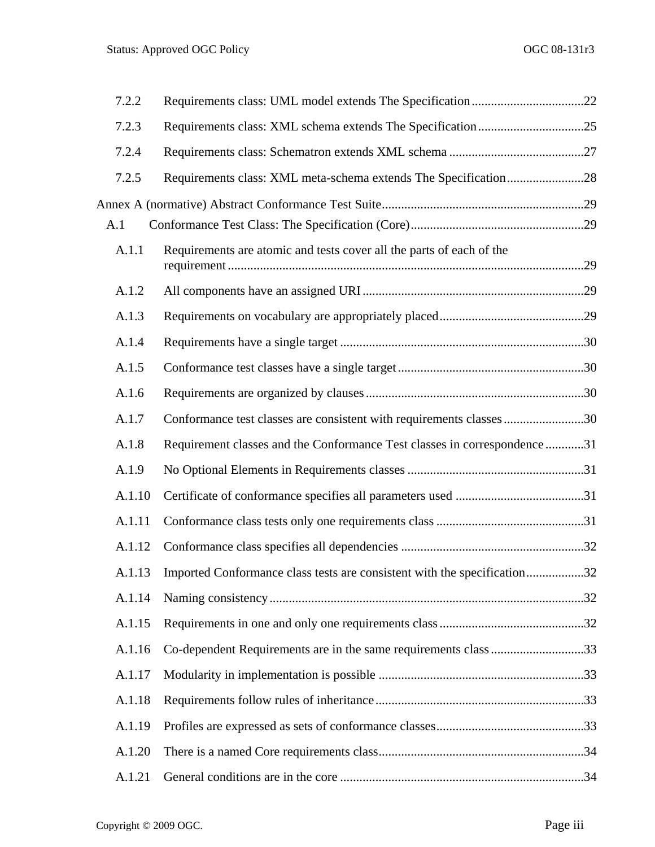| 7.2.2  |                                                                                 |  |
|--------|---------------------------------------------------------------------------------|--|
| 7.2.3  |                                                                                 |  |
| 7.2.4  |                                                                                 |  |
| 7.2.5  |                                                                                 |  |
|        |                                                                                 |  |
| A.1    |                                                                                 |  |
| A.1.1  | Requirements are atomic and tests cover all the parts of each of the            |  |
| A.1.2  |                                                                                 |  |
| A.1.3  |                                                                                 |  |
| A.1.4  |                                                                                 |  |
| A.1.5  |                                                                                 |  |
| A.1.6  |                                                                                 |  |
| A.1.7  | Conformance test classes are consistent with requirements classes30             |  |
| A.1.8  | Requirement classes and the Conformance Test classes in correspondence31        |  |
| A.1.9  |                                                                                 |  |
| A.1.10 |                                                                                 |  |
| A.1.11 |                                                                                 |  |
| A.1.12 |                                                                                 |  |
|        | A.1.13 Imported Conformance class tests are consistent with the specification32 |  |
| A.1.14 |                                                                                 |  |
| A.1.15 |                                                                                 |  |
| A.1.16 | Co-dependent Requirements are in the same requirements class 33                 |  |
| A.1.17 |                                                                                 |  |
| A.1.18 |                                                                                 |  |
| A.1.19 |                                                                                 |  |
| A.1.20 |                                                                                 |  |
| A.1.21 |                                                                                 |  |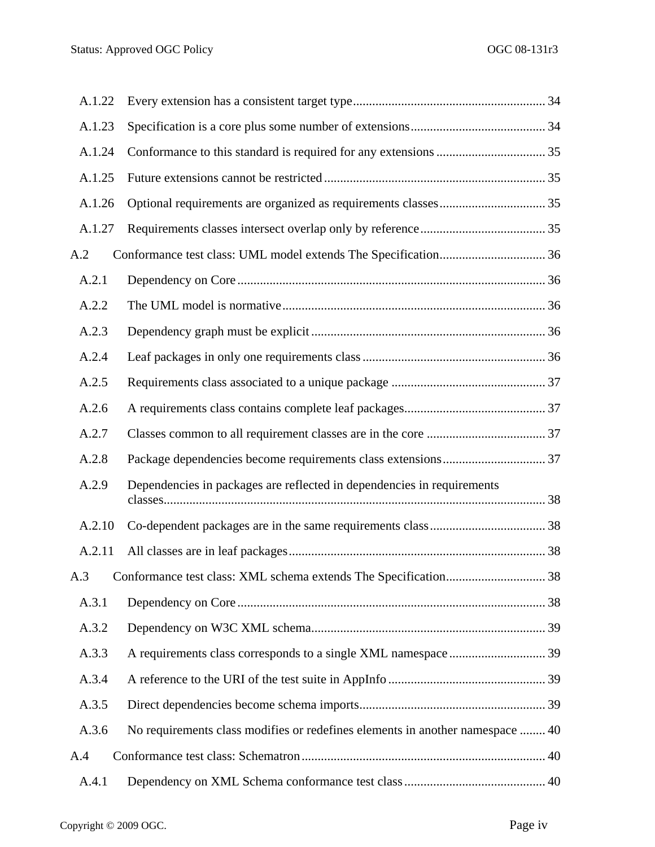| A.1.22 |                                                                               |  |
|--------|-------------------------------------------------------------------------------|--|
| A.1.23 |                                                                               |  |
| A.1.24 |                                                                               |  |
| A.1.25 |                                                                               |  |
| A.1.26 |                                                                               |  |
| A.1.27 |                                                                               |  |
| A.2    |                                                                               |  |
| A.2.1  |                                                                               |  |
| A.2.2  |                                                                               |  |
| A.2.3  |                                                                               |  |
| A.2.4  |                                                                               |  |
| A.2.5  |                                                                               |  |
| A.2.6  |                                                                               |  |
| A.2.7  |                                                                               |  |
| A.2.8  |                                                                               |  |
| A.2.9  | Dependencies in packages are reflected in dependencies in requirements        |  |
| A.2.10 |                                                                               |  |
| A.2.11 |                                                                               |  |
| A.3    |                                                                               |  |
| A.3.1  |                                                                               |  |
| A.3.2  |                                                                               |  |
| A.3.3  |                                                                               |  |
| A.3.4  |                                                                               |  |
| A.3.5  |                                                                               |  |
| A.3.6  | No requirements class modifies or redefines elements in another namespace  40 |  |
| A.4    |                                                                               |  |
| A.4.1  |                                                                               |  |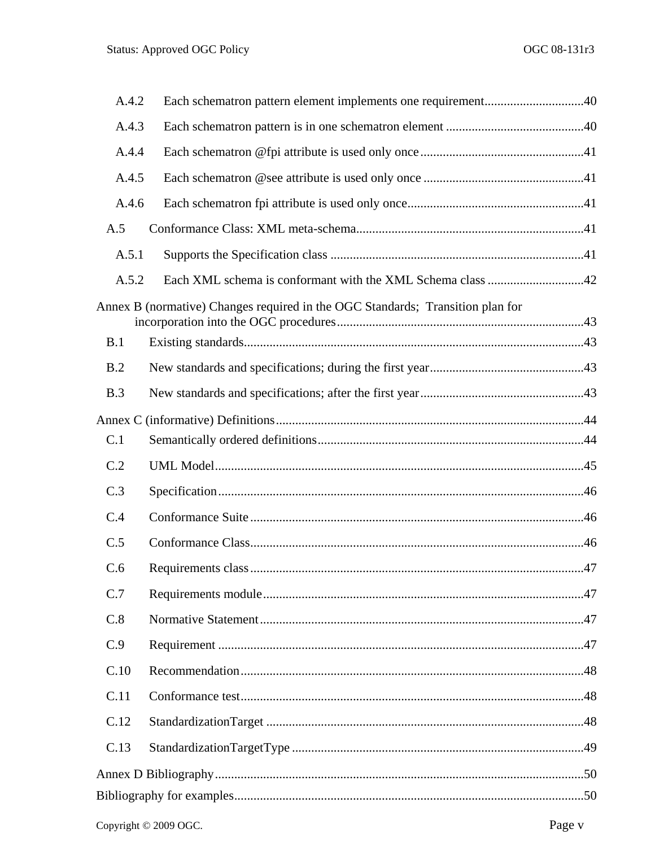| A.4.2 | Each schematron pattern element implements one requirement40                   |  |  |  |
|-------|--------------------------------------------------------------------------------|--|--|--|
| A.4.3 |                                                                                |  |  |  |
| A.4.4 |                                                                                |  |  |  |
| A.4.5 |                                                                                |  |  |  |
| A.4.6 |                                                                                |  |  |  |
| A.5   |                                                                                |  |  |  |
| A.5.1 |                                                                                |  |  |  |
| A.5.2 |                                                                                |  |  |  |
|       | Annex B (normative) Changes required in the OGC Standards; Transition plan for |  |  |  |
| B.1   |                                                                                |  |  |  |
| B.2   |                                                                                |  |  |  |
| B.3   |                                                                                |  |  |  |
|       |                                                                                |  |  |  |
| C.1   |                                                                                |  |  |  |
| C.2   |                                                                                |  |  |  |
| C.3   |                                                                                |  |  |  |
| C.4   |                                                                                |  |  |  |
| C.5   |                                                                                |  |  |  |
| C.6   |                                                                                |  |  |  |
| C.7   |                                                                                |  |  |  |
| C.8   |                                                                                |  |  |  |
| C.9   |                                                                                |  |  |  |
| C.10  |                                                                                |  |  |  |
| C.11  |                                                                                |  |  |  |
| C.12  |                                                                                |  |  |  |
| C.13  |                                                                                |  |  |  |
|       |                                                                                |  |  |  |
|       |                                                                                |  |  |  |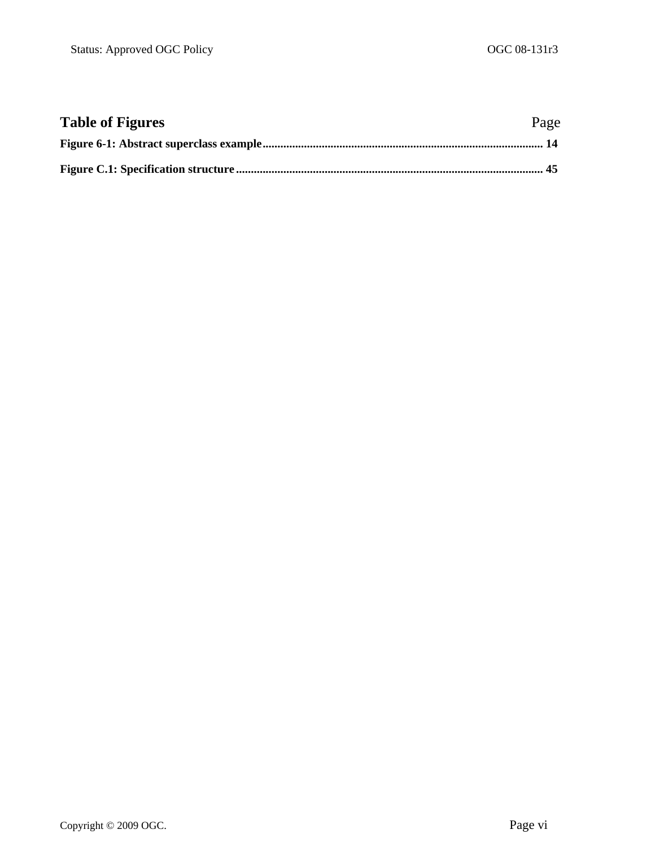| <b>Table of Figures</b> | Page |
|-------------------------|------|
|                         |      |
|                         |      |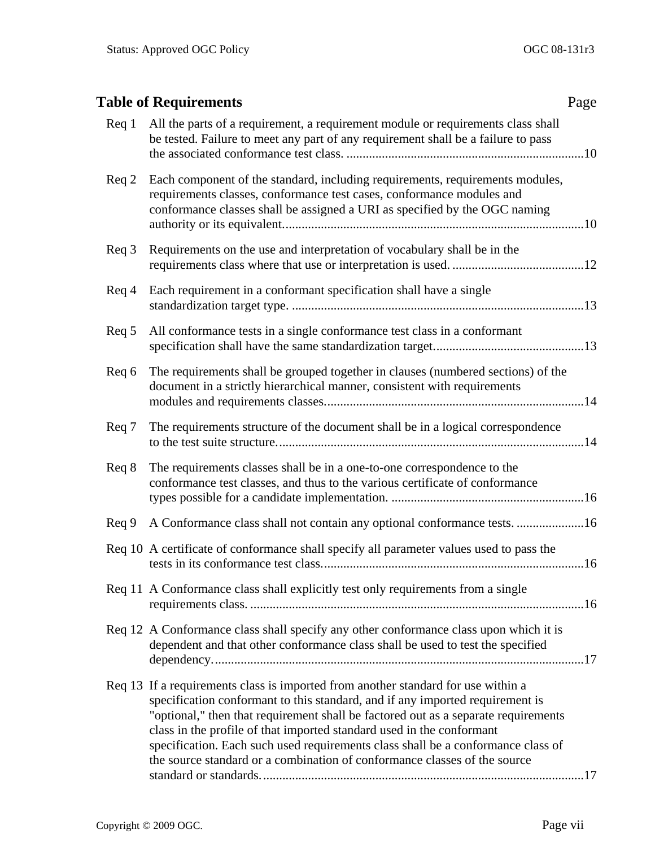<span id="page-6-0"></span>

|                 | <b>Table of Requirements</b>                                                                                                                                                                                                                                                                                                                                                                                                                                                                       | Page |
|-----------------|----------------------------------------------------------------------------------------------------------------------------------------------------------------------------------------------------------------------------------------------------------------------------------------------------------------------------------------------------------------------------------------------------------------------------------------------------------------------------------------------------|------|
| $\text{Req}$ 1  | All the parts of a requirement, a requirement module or requirements class shall<br>be tested. Failure to meet any part of any requirement shall be a failure to pass                                                                                                                                                                                                                                                                                                                              |      |
| Req 2           | Each component of the standard, including requirements, requirements modules,<br>requirements classes, conformance test cases, conformance modules and<br>conformance classes shall be assigned a URI as specified by the OGC naming                                                                                                                                                                                                                                                               |      |
| Req 3           | Requirements on the use and interpretation of vocabulary shall be in the                                                                                                                                                                                                                                                                                                                                                                                                                           |      |
| $\text{Req } 4$ | Each requirement in a conformant specification shall have a single                                                                                                                                                                                                                                                                                                                                                                                                                                 |      |
| Req 5           | All conformance tests in a single conformance test class in a conformant                                                                                                                                                                                                                                                                                                                                                                                                                           |      |
| Req 6           | The requirements shall be grouped together in clauses (numbered sections) of the<br>document in a strictly hierarchical manner, consistent with requirements                                                                                                                                                                                                                                                                                                                                       |      |
| Req 7           | The requirements structure of the document shall be in a logical correspondence                                                                                                                                                                                                                                                                                                                                                                                                                    |      |
| Req 8           | The requirements classes shall be in a one-to-one correspondence to the<br>conformance test classes, and thus to the various certificate of conformance                                                                                                                                                                                                                                                                                                                                            |      |
| $\text{Req } 9$ | A Conformance class shall not contain any optional conformance tests. 16                                                                                                                                                                                                                                                                                                                                                                                                                           |      |
|                 | Req 10 A certificate of conformance shall specify all parameter values used to pass the                                                                                                                                                                                                                                                                                                                                                                                                            |      |
|                 | Req 11 A Conformance class shall explicitly test only requirements from a single                                                                                                                                                                                                                                                                                                                                                                                                                   |      |
|                 | Req 12 A Conformance class shall specify any other conformance class upon which it is<br>dependent and that other conformance class shall be used to test the specified                                                                                                                                                                                                                                                                                                                            |      |
|                 | Req 13 If a requirements class is imported from another standard for use within a<br>specification conformant to this standard, and if any imported requirement is<br>"optional," then that requirement shall be factored out as a separate requirements<br>class in the profile of that imported standard used in the conformant<br>specification. Each such used requirements class shall be a conformance class of<br>the source standard or a combination of conformance classes of the source |      |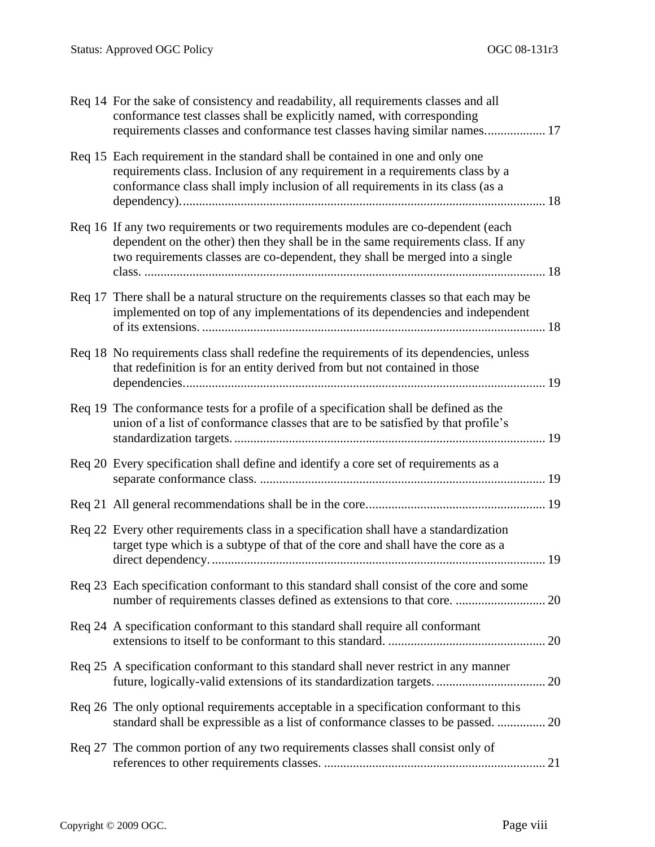| Req 14 For the sake of consistency and readability, all requirements classes and all<br>conformance test classes shall be explicitly named, with corresponding<br>requirements classes and conformance test classes having similar names 17             |    |
|---------------------------------------------------------------------------------------------------------------------------------------------------------------------------------------------------------------------------------------------------------|----|
| Req 15 Each requirement in the standard shall be contained in one and only one<br>requirements class. Inclusion of any requirement in a requirements class by a<br>conformance class shall imply inclusion of all requirements in its class (as a       |    |
| Req 16 If any two requirements or two requirements modules are co-dependent (each<br>dependent on the other) then they shall be in the same requirements class. If any<br>two requirements classes are co-dependent, they shall be merged into a single |    |
| Req 17 There shall be a natural structure on the requirements classes so that each may be<br>implemented on top of any implementations of its dependencies and independent                                                                              |    |
| Req 18 No requirements class shall redefine the requirements of its dependencies, unless<br>that redefinition is for an entity derived from but not contained in those                                                                                  |    |
| Req 19 The conformance tests for a profile of a specification shall be defined as the<br>union of a list of conformance classes that are to be satisfied by that profile's                                                                              |    |
| Req 20 Every specification shall define and identify a core set of requirements as a                                                                                                                                                                    |    |
|                                                                                                                                                                                                                                                         |    |
| Req 22 Every other requirements class in a specification shall have a standardization<br>target type which is a subtype of that of the core and shall have the core as a                                                                                |    |
| Req 23 Each specification conformant to this standard shall consist of the core and some                                                                                                                                                                |    |
| Req 24 A specification conformant to this standard shall require all conformant                                                                                                                                                                         |    |
| Req 25 A specification conformant to this standard shall never restrict in any manner<br>future, logically-valid extensions of its standardization targets                                                                                              | 20 |
| Req 26 The only optional requirements acceptable in a specification conformant to this<br>standard shall be expressible as a list of conformance classes to be passed.  20                                                                              |    |
| Req 27 The common portion of any two requirements classes shall consist only of                                                                                                                                                                         |    |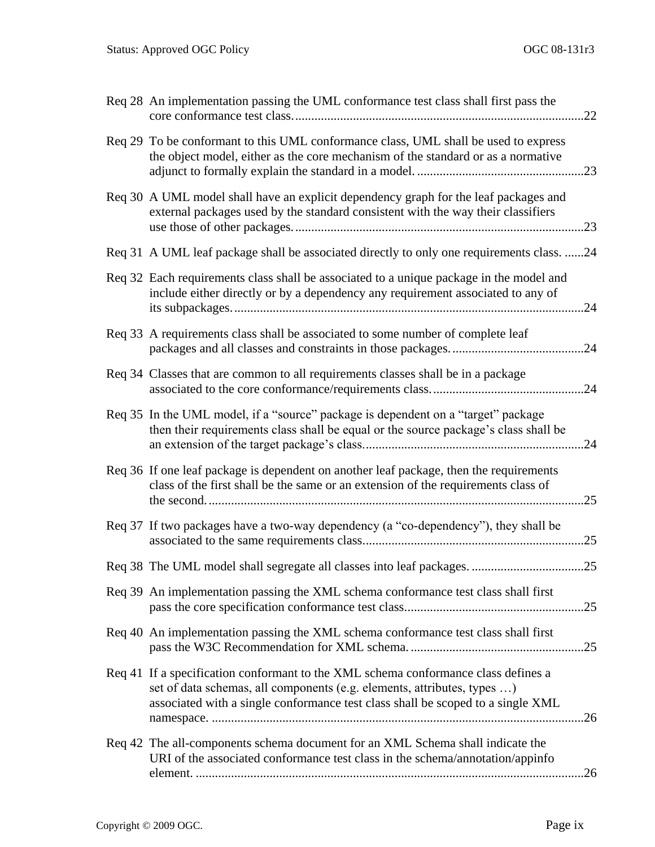| Req 28 An implementation passing the UML conformance test class shall first pass the                                                                                                                                                             |     |
|--------------------------------------------------------------------------------------------------------------------------------------------------------------------------------------------------------------------------------------------------|-----|
| Req 29 To be conformant to this UML conformance class, UML shall be used to express<br>the object model, either as the core mechanism of the standard or as a normative                                                                          |     |
| Req 30 A UML model shall have an explicit dependency graph for the leaf packages and<br>external packages used by the standard consistent with the way their classifiers                                                                         |     |
| Req 31 A UML leaf package shall be associated directly to only one requirements class. 24                                                                                                                                                        |     |
| Req 32 Each requirements class shall be associated to a unique package in the model and<br>include either directly or by a dependency any requirement associated to any of                                                                       |     |
| Req 33 A requirements class shall be associated to some number of complete leaf                                                                                                                                                                  |     |
| Req 34 Classes that are common to all requirements classes shall be in a package                                                                                                                                                                 |     |
| Req 35 In the UML model, if a "source" package is dependent on a "target" package<br>then their requirements class shall be equal or the source package's class shall be                                                                         |     |
| Req 36 If one leaf package is dependent on another leaf package, then the requirements<br>class of the first shall be the same or an extension of the requirements class of                                                                      | 25  |
| Req 37 If two packages have a two-way dependency (a "co-dependency"), they shall be                                                                                                                                                              | .25 |
|                                                                                                                                                                                                                                                  |     |
| Req 39 An implementation passing the XML schema conformance test class shall first                                                                                                                                                               | .25 |
| Req 40 An implementation passing the XML schema conformance test class shall first                                                                                                                                                               | .25 |
| Req 41 If a specification conformant to the XML schema conformance class defines a<br>set of data schemas, all components (e.g. elements, attributes, types )<br>associated with a single conformance test class shall be scoped to a single XML |     |
| Req 42 The all-components schema document for an XML Schema shall indicate the<br>URI of the associated conformance test class in the schema/annotation/appinfo                                                                                  | .26 |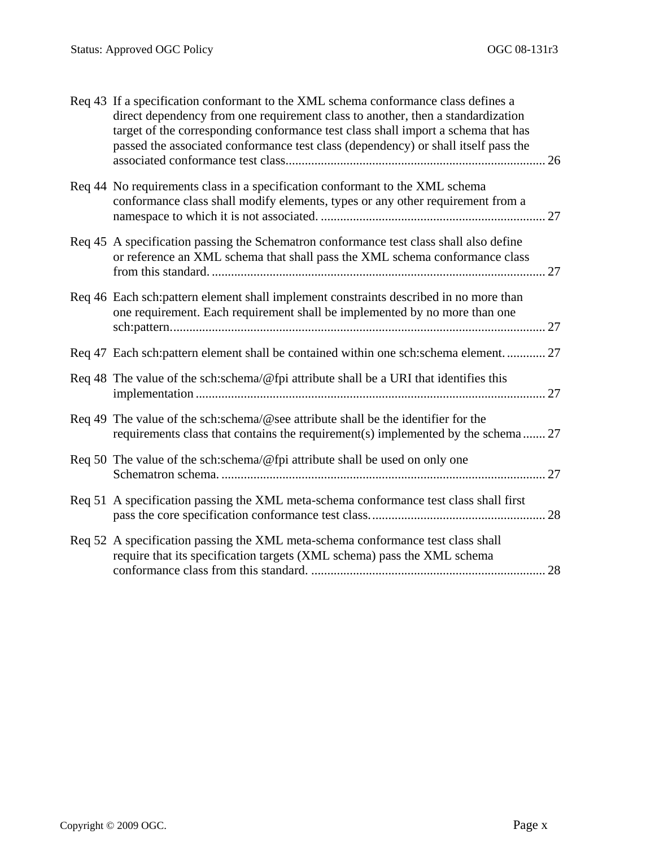| Req 43 If a specification conformant to the XML schema conformance class defines a<br>direct dependency from one requirement class to another, then a standardization<br>target of the corresponding conformance test class shall import a schema that has<br>passed the associated conformance test class (dependency) or shall itself pass the |
|--------------------------------------------------------------------------------------------------------------------------------------------------------------------------------------------------------------------------------------------------------------------------------------------------------------------------------------------------|
| Req 44 No requirements class in a specification conformant to the XML schema<br>conformance class shall modify elements, types or any other requirement from a                                                                                                                                                                                   |
| Req 45 A specification passing the Schematron conformance test class shall also define<br>or reference an XML schema that shall pass the XML schema conformance class                                                                                                                                                                            |
| Req 46 Each sch: pattern element shall implement constraints described in no more than<br>one requirement. Each requirement shall be implemented by no more than one                                                                                                                                                                             |
| Req 47 Each sch: pattern element shall be contained within one sch: schema element 27                                                                                                                                                                                                                                                            |
| Req 48 The value of the sch:schema/@fpi attribute shall be a URI that identifies this                                                                                                                                                                                                                                                            |
| Req 49 The value of the sch:schema/@see attribute shall be the identifier for the<br>requirements class that contains the requirement(s) implemented by the schema 27                                                                                                                                                                            |
| Req 50 The value of the sch:schema/@fpi attribute shall be used on only one                                                                                                                                                                                                                                                                      |
| Req 51 A specification passing the XML meta-schema conformance test class shall first                                                                                                                                                                                                                                                            |
| Req 52 A specification passing the XML meta-schema conformance test class shall<br>require that its specification targets (XML schema) pass the XML schema                                                                                                                                                                                       |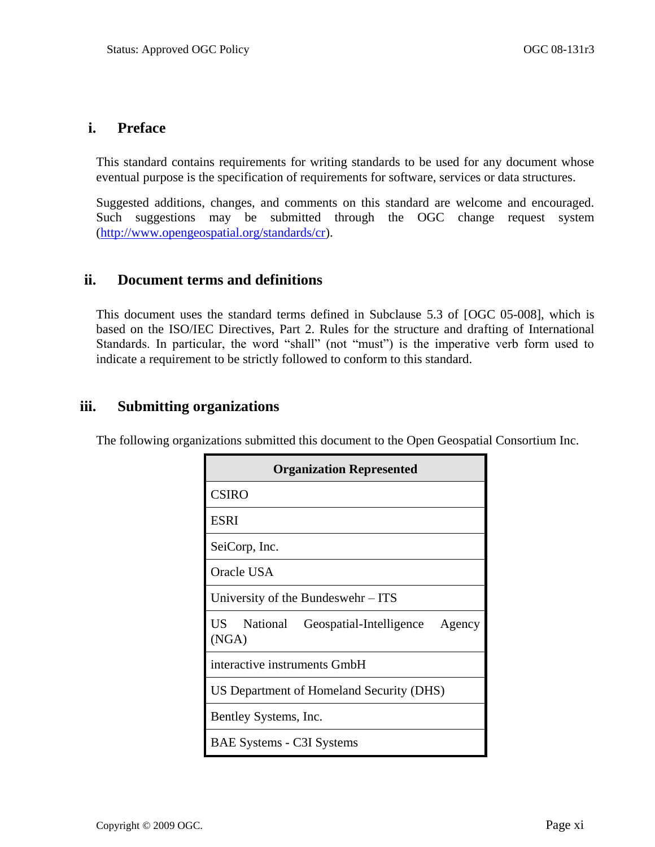## **i. Preface**

This standard contains requirements for writing standards to be used for any document whose eventual purpose is the specification of requirements for software, services or data structures.

Suggested additions, changes, and comments on this standard are welcome and encouraged. Such suggestions may be submitted through the OGC change request system [\(http://www.opengeospatial.org/standards/cr\)](http://www.opengeospatial.org/standards/cr).

### **ii. Document terms and definitions**

This document uses the standard terms defined in Subclause 5.3 of [OGC 05-008], which is based on the ISO/IEC Directives, Part 2. Rules for the structure and drafting of International Standards. In particular, the word "shall" (not "must") is the imperative verb form used to indicate a requirement to be strictly followed to conform to this standard.

## **iii. Submitting organizations**

The following organizations submitted this document to the Open Geospatial Consortium Inc.

| <b>Organization Represented</b>                     |  |  |
|-----------------------------------------------------|--|--|
| <b>CSIRO</b>                                        |  |  |
| <b>ESRI</b>                                         |  |  |
| SeiCorp, Inc.                                       |  |  |
| Oracle USA                                          |  |  |
| University of the Bundeswehr – ITS                  |  |  |
| US National Geospatial-Intelligence Agency<br>(NGA) |  |  |
| interactive instruments GmbH                        |  |  |
| US Department of Homeland Security (DHS)            |  |  |
| Bentley Systems, Inc.                               |  |  |
| <b>BAE Systems - C3I Systems</b>                    |  |  |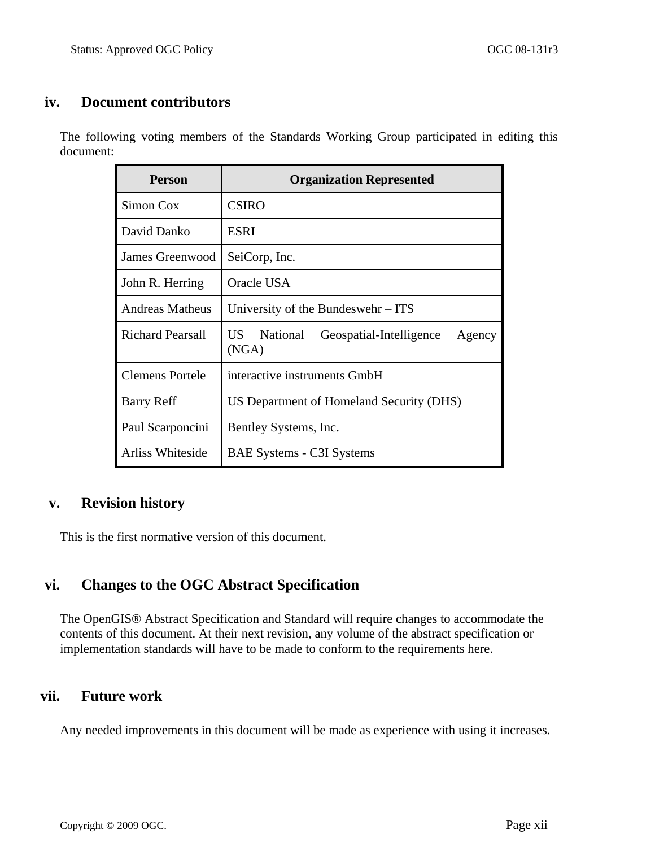## **iv. Document contributors**

The following voting members of the Standards Working Group participated in editing this document:

| <b>Person</b>           | <b>Organization Represented</b>                           |
|-------------------------|-----------------------------------------------------------|
| Simon Cox               | <b>CSIRO</b>                                              |
| David Danko             | ESRI                                                      |
| James Greenwood         | SeiCorp, Inc.                                             |
| John R. Herring         | Oracle USA                                                |
| Andreas Matheus         | University of the Bundeswehr – ITS                        |
| <b>Richard Pearsall</b> | US National<br>Geospatial-Intelligence<br>Agency<br>(NGA) |
| <b>Clemens Portele</b>  | interactive instruments GmbH                              |
| <b>Barry Reff</b>       | US Department of Homeland Security (DHS)                  |
| Paul Scarponcini        | Bentley Systems, Inc.                                     |
| Arliss Whiteside        | <b>BAE Systems - C3I Systems</b>                          |

## **v. Revision history**

This is the first normative version of this document.

## **vi. Changes to the OGC Abstract Specification**

The OpenGIS® Abstract Specification and Standard will require changes to accommodate the contents of this document. At their next revision, any volume of the abstract specification or implementation standards will have to be made to conform to the requirements here.

## **vii. Future work**

Any needed improvements in this document will be made as experience with using it increases.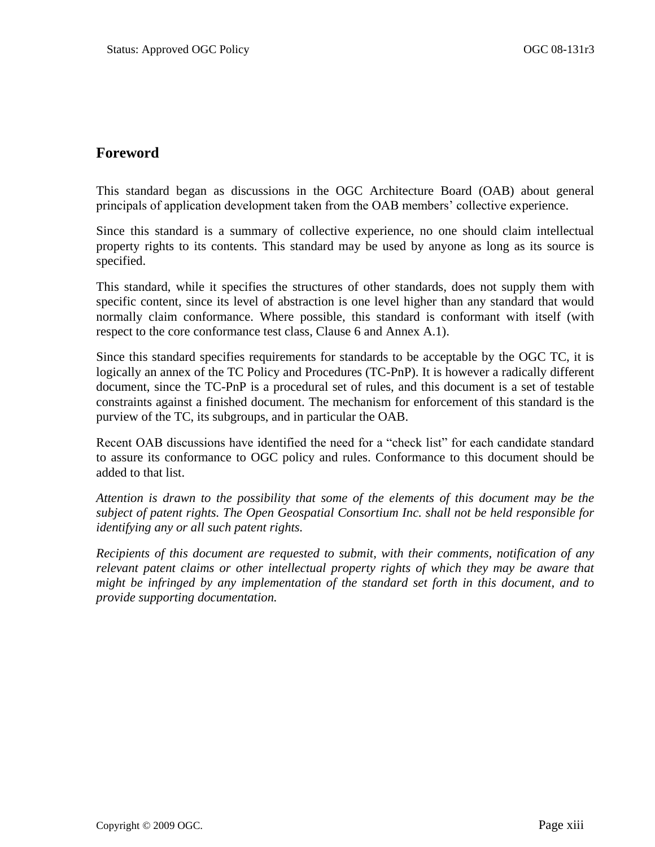## <span id="page-12-0"></span>**Foreword**

This standard began as discussions in the OGC Architecture Board (OAB) about general principals of application development taken from the OAB members' collective experience.

Since this standard is a summary of collective experience, no one should claim intellectual property rights to its contents. This standard may be used by anyone as long as its source is specified.

This standard, while it specifies the structures of other standards, does not supply them with specific content, since its level of abstraction is one level higher than any standard that would normally claim conformance. Where possible, this standard is conformant with itself (with respect to the core conformance test class, Clause [6](#page-22-0) and Annex [A.1\)](#page-42-1).

Since this standard specifies requirements for standards to be acceptable by the OGC TC, it is logically an annex of the TC Policy and Procedures (TC-PnP). It is however a radically different document, since the TC-PnP is a procedural set of rules, and this document is a set of testable constraints against a finished document. The mechanism for enforcement of this standard is the purview of the TC, its subgroups, and in particular the OAB.

Recent OAB discussions have identified the need for a "check list" for each candidate standard to assure its conformance to OGC policy and rules. Conformance to this document should be added to that list.

*Attention is drawn to the possibility that some of the elements of this document may be the subject of patent rights. The Open Geospatial Consortium Inc. shall not be held responsible for identifying any or all such patent rights.*

*Recipients of this document are requested to submit, with their comments, notification of any relevant patent claims or other intellectual property rights of which they may be aware that might be infringed by any implementation of the standard set forth in this document, and to provide supporting documentation.*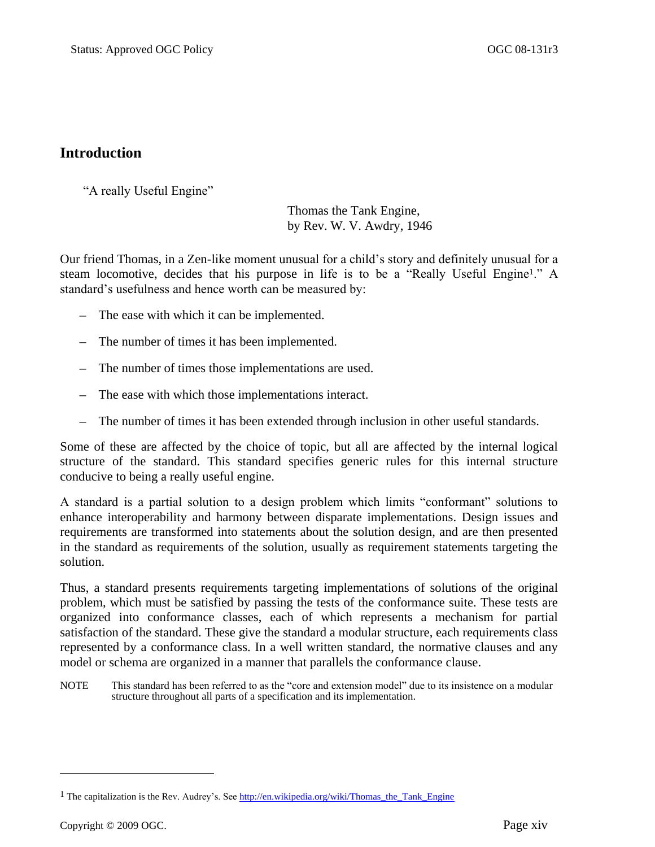## <span id="page-13-0"></span>**Introduction**

"A really Useful Engine"

Thomas the Tank Engine, by Rev. W. V. Awdry, 1946

Our friend Thomas, in a Zen-like moment unusual for a child's story and definitely unusual for a steam locomotive, decides that his purpose in life is to be a "Really Useful Engine<sup>1</sup>." A standard's usefulness and hence worth can be measured by:

- The ease with which it can be implemented.
- The number of times it has been implemented.
- The number of times those implementations are used.
- The ease with which those implementations interact.
- The number of times it has been extended through inclusion in other useful standards.

Some of these are affected by the choice of topic, but all are affected by the internal logical structure of the standard. This standard specifies generic rules for this internal structure conducive to being a really useful engine.

A standard is a partial solution to a design problem which limits "conformant" solutions to enhance interoperability and harmony between disparate implementations. Design issues and requirements are transformed into statements about the solution design, and are then presented in the standard as requirements of the solution, usually as requirement statements targeting the solution.

Thus, a standard presents requirements targeting implementations of solutions of the original problem, which must be satisfied by passing the tests of the conformance suite. These tests are organized into conformance classes, each of which represents a mechanism for partial satisfaction of the standard. These give the standard a modular structure, each requirements class represented by a conformance class. In a well written standard, the normative clauses and any model or schema are organized in a manner that parallels the conformance clause.

NOTE This standard has been referred to as the "core and extension model" due to its insistence on a modular structure throughout all parts of a specification and its implementation.

 $\overline{a}$ 

<sup>&</sup>lt;sup>1</sup> The capitalization is the Rev. Audrey's. See  $\frac{http://en.wikipedia.org/wiki/Thomas}{}$  the Tank Engine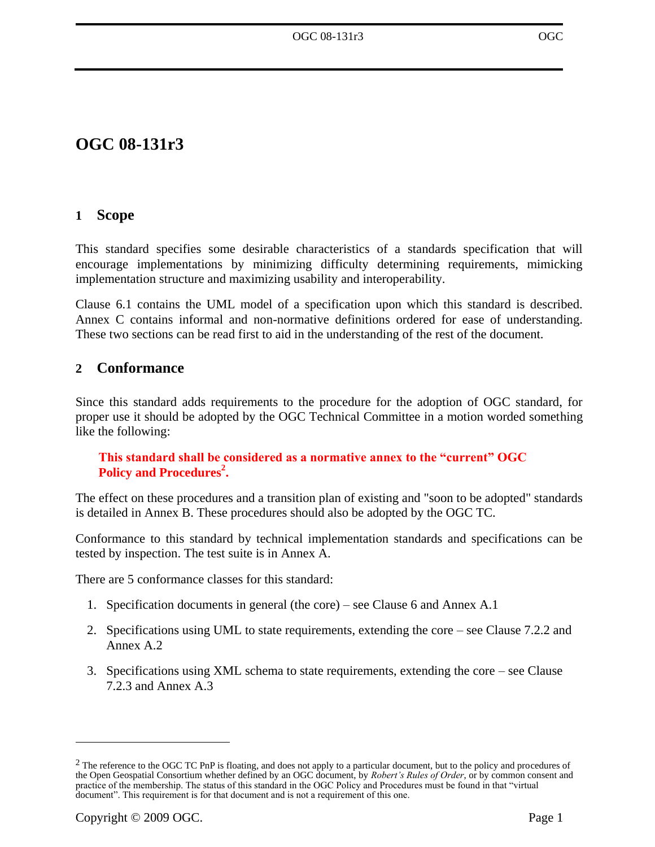# **OGC 08-131r3**

## <span id="page-14-0"></span>**1 Scope**

This standard specifies some desirable characteristics of a standards specification that will encourage implementations by minimizing difficulty determining requirements, mimicking implementation structure and maximizing usability and interoperability.

Clause [6.1](#page-22-1) contains the UML model of a specification upon which this standard is described. [Annex C](#page-57-0) contains informal and non-normative definitions ordered for ease of understanding. These two sections can be read first to aid in the understanding of the rest of the document.

## <span id="page-14-1"></span>**2 Conformance**

Since this standard adds requirements to the procedure for the adoption of OGC standard, for proper use it should be adopted by the OGC Technical Committee in a motion worded something like the following:

### **This standard shall be considered as a normative annex to the "current" OGC Policy and Procedures<sup>2</sup> .**

The effect on these procedures and a transition plan of existing and "soon to be adopted" standards is detailed in [Annex B.](#page-56-0) These procedures should also be adopted by the OGC TC.

Conformance to this standard by technical implementation standards and specifications can be tested by inspection. The test suite is in [Annex A.](#page-42-0)

There are 5 conformance classes for this standard:

- 1. Specification documents in general (the core) see Clause [6](#page-22-0) and Annex [A.1](#page-42-1)
- 2. Specifications using UML to state requirements, extending the core see Clause [7.2.2](#page-35-0) and Annex [A.2](#page-49-0)
- 3. Specifications using XML schema to state requirements, extending the core see Clause [7.2.3](#page-38-0) and Annex [A.3](#page-51-3)

 $\overline{a}$ 

<sup>&</sup>lt;sup>2</sup> The reference to the OGC TC PnP is floating, and does not apply to a particular document, but to the policy and procedures of the Open Geospatial Consortium whether defined by an OGC document, by *Robert's Rules of Order*, or by common consent and practice of the membership. The status of this standard in the OGC Policy and Procedures must be found in that "virtual document". This requirement is for that document and is not a requirement of this one.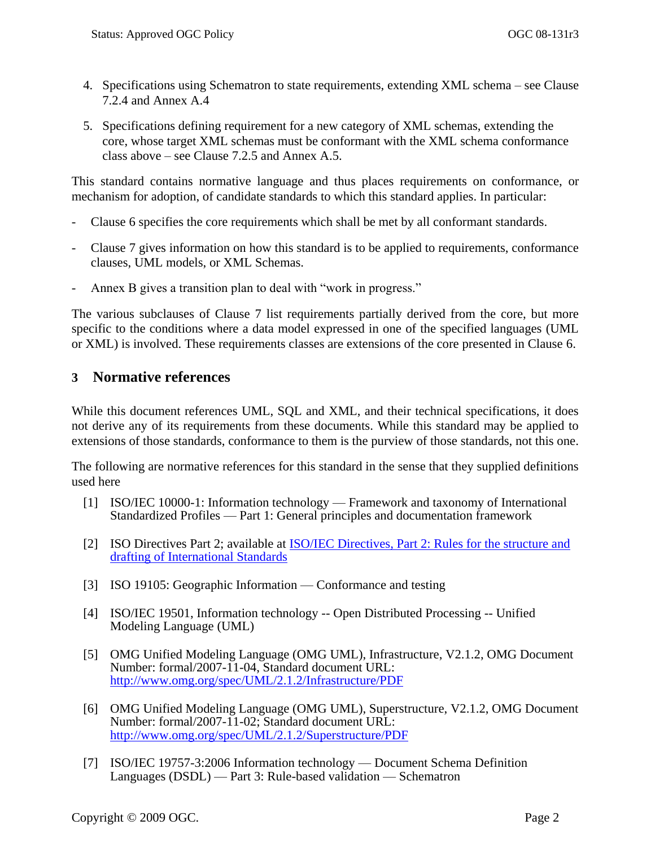- 4. Specifications using Schematron to state requirements, extending XML schema see Clause [7.2.4](#page-40-0) and Annex [A.4](#page-53-1)
- 5. Specifications defining requirement for a new category of XML schemas, extending the core, whose target XML schemas must be conformant with the XML schema conformance class above – see Clause [7.2.5](#page-41-0) and Annex [A.5.](#page-54-3)

This standard contains normative language and thus places requirements on conformance, or mechanism for adoption, of candidate standards to which this standard applies. In particular:

- Clause [6](#page-22-0) specifies the core requirements which shall be met by all conformant standards.
- Clause [7](#page-34-1) gives information on how this standard is to be applied to requirements, conformance clauses, UML models, or XML Schemas.
- Annex B gives a transition plan to deal with "work in progress."

The various subclauses of Clause [7](#page-34-1) list requirements partially derived from the core, but more specific to the conditions where a data model expressed in one of the specified languages (UML or XML) is involved. These requirements classes are extensions of the core presented in Clause [6.](#page-22-0)

## <span id="page-15-0"></span>**3 Normative references**

While this document references UML, SQL and XML, and their technical specifications, it does not derive any of its requirements from these documents. While this standard may be applied to extensions of those standards, conformance to them is the purview of those standards, not this one.

The following are normative references for this standard in the sense that they supplied definitions used here

- [1] ISO/IEC 10000-1: Information technology Framework and taxonomy of International Standardized Profiles — Part 1: General principles and documentation framework
- <span id="page-15-1"></span>[2] ISO Directives Part 2; available at [ISO/IEC Directives, Part 2: Rules for the structure and](http://isotc.iso.org/livelink/livelink?func=ll&objId=4230456&objAction=browse&sort=subtype)  [drafting of International Standards](http://isotc.iso.org/livelink/livelink?func=ll&objId=4230456&objAction=browse&sort=subtype)
- [3] ISO 19105: Geographic Information Conformance and testing
- [4] ISO/IEC 19501, Information technology -- Open Distributed Processing -- Unified Modeling Language (UML)
- [5] OMG Unified Modeling Language (OMG UML), Infrastructure, V2.1.2, OMG Document Number: formal/2007-11-04, Standard document URL: <http://www.omg.org/spec/UML/2.1.2/Infrastructure/PDF>
- [6] OMG Unified Modeling Language (OMG UML), Superstructure, V2.1.2, OMG Document Number: formal/2007-11-02; Standard document URL: <http://www.omg.org/spec/UML/2.1.2/Superstructure/PDF>
- [7] [ISO/IEC 19757-3:2006](http://standards.iso.org/ittf/PubliclyAvailableStandards/c040833_ISO_IEC_19757-3_2006%28E%29.zip) Information technology Document Schema Definition Languages (DSDL) — Part 3: Rule-based validation — Schematron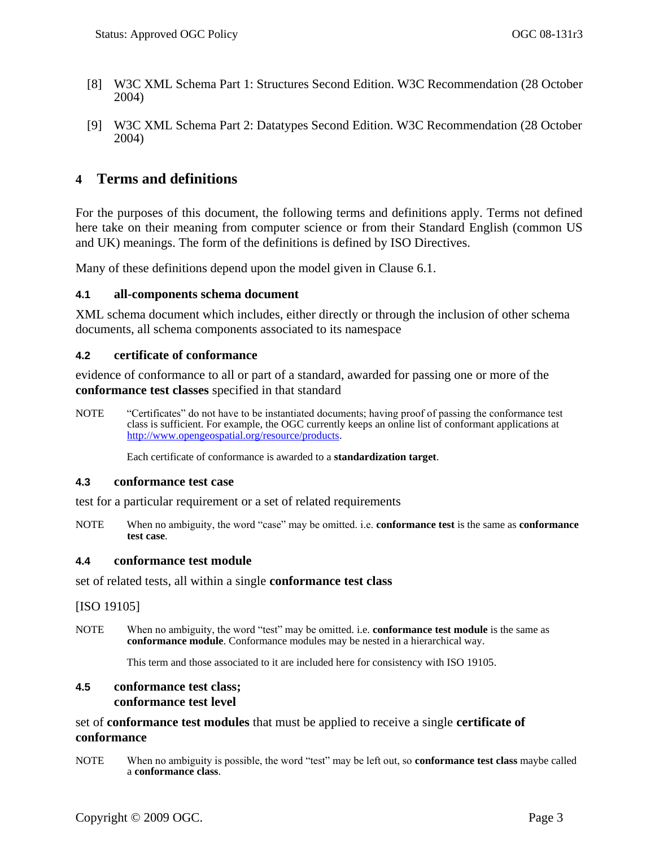- <span id="page-16-3"></span>[8] W3C XML Schema Part 1: Structures Second Edition. W3C Recommendation (28 October 2004)
- <span id="page-16-4"></span>[9] W3C XML Schema Part 2: Datatypes Second Edition. W3C Recommendation (28 October 2004)

## <span id="page-16-0"></span>**4 Terms and definitions**

For the purposes of this document, the following terms and definitions apply. Terms not defined here take on their meaning from computer science or from their Standard English (common US and UK) meanings. The form of the definitions is defined by ISO Directives.

Many of these definitions depend upon the model given in Clause [6.1.](#page-22-1)

#### <span id="page-16-1"></span>**4.1 all-components schema document**

XML schema document which includes, either directly or through the inclusion of other schema documents, all schema components associated to its namespace

#### **4.2 certificate of conformance**

evidence of conformance to all or part of a standard, awarded for passing one or more of the **conformance test classes** specified in that standard

NOTE 

"Certificates" do not have to be instantiated documents; having proof of passing the conformance test class is sufficient. For example, the OGC currently keeps an online list of conformant applications at [http://www.opengeospatial.org/resource/products.](http://www.opengeospatial.org/resource/products) 

Each certificate of conformance is awarded to a **standardization target**.

#### **4.3 conformance test case**

test for a particular requirement or a set of related requirements

NOTE When no ambiguity, the word "case" may be omitted. i.e. **conformance test** is the same as **conformance test case**.

#### **4.4 conformance test module**

set of related tests, all within a single **conformance test class**

[ISO 19105]

NOTE When no ambiguity, the word "test" may be omitted. i.e. **conformance test module** is the same as **conformance module**. Conformance modules may be nested in a hierarchical way.

This term and those associated to it are included here for consistency with ISO 19105.

#### <span id="page-16-2"></span>**4.5 conformance test class; conformance test level**

set of **conformance test modules** that must be applied to receive a single **certificate of conformance**

NOTE When no ambiguity is possible, the word "test" may be left out, so **conformance test class** maybe called a **conformance class**.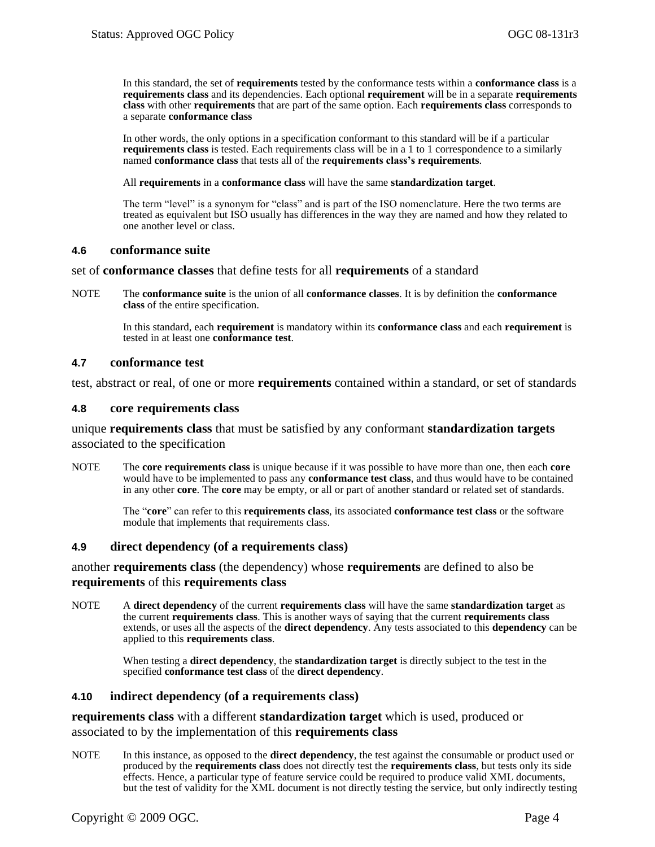In this standard, the set of **requirements** tested by the conformance tests within a **conformance class** is a **requirements class** and its dependencies. Each optional **requirement** will be in a separate **requirements class** with other **requirements** that are part of the same option. Each **requirements class** corresponds to a separate **conformance class**

In other words, the only options in a specification conformant to this standard will be if a particular **requirements class** is tested. Each requirements class will be in a 1 to 1 correspondence to a similarly named **conformance class** that tests all of the **requirements class's requirements**.

All **requirements** in a **conformance class** will have the same **standardization target**.

The term "level" is a synonym for "class" and is part of the ISO nomenclature. Here the two terms are treated as equivalent but ISO usually has differences in the way they are named and how they related to one another level or class.

#### **4.6 conformance suite**

set of **conformance classes** that define tests for all **requirements** of a standard

NOTE The **conformance suite** is the union of all **conformance classes**. It is by definition the **conformance class** of the entire specification.

> In this standard, each **requirement** is mandatory within its **conformance class** and each **requirement** is tested in at least one **conformance test**.

#### **4.7 conformance test**

test, abstract or real, of one or more **requirements** contained within a standard, or set of standards

#### <span id="page-17-1"></span>**4.8 core requirements class**

unique **requirements class** that must be satisfied by any conformant **standardization targets**  associated to the specification

NOTE The **core requirements class** is unique because if it was possible to have more than one, then each **core** would have to be implemented to pass any **conformance test class**, and thus would have to be contained in any other **core**. The **core** may be empty, or all or part of another standard or related set of standards.

> The "core" can refer to this **requirements class**, its associated **conformance test class** or the software module that implements that requirements class.

#### <span id="page-17-0"></span>**4.9 direct dependency (of a requirements class)**

another **requirements class** (the dependency) whose **requirements** are defined to also be **requirements** of this **requirements class**

NOTE A **direct dependency** of the current **requirements class** will have the same **standardization target** as the current **requirements class**. This is another ways of saying that the current **requirements class** extends, or uses all the aspects of the **direct dependency**. Any tests associated to this **dependency** can be applied to this **requirements class**.

> When testing a **direct dependency**, the **standardization target** is directly subject to the test in the specified **conformance test class** of the **direct dependency**.

#### <span id="page-17-2"></span>**4.10 indirect dependency (of a requirements class)**

**requirements class** with a different **standardization target** which is used, produced or associated to by the implementation of this **requirements class**

NOTE In this instance, as opposed to the **direct dependency**, the test against the consumable or product used or produced by the **requirements class** does not directly test the **requirements class**, but tests only its side effects. Hence, a particular type of feature service could be required to produce valid XML documents, but the test of validity for the XML document is not directly testing the service, but only indirectly testing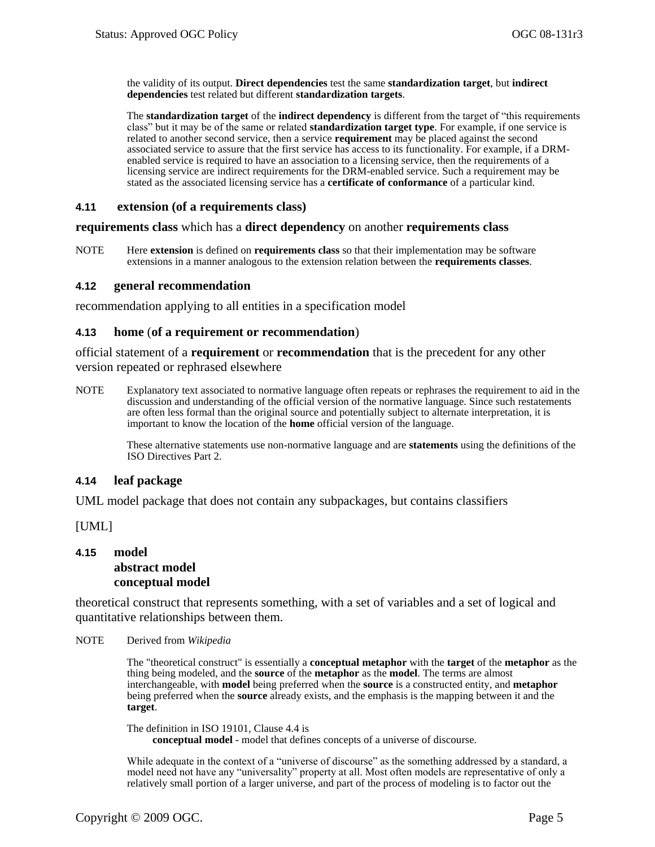the validity of its output. **Direct dependencies** test the same **standardization target**, but **indirect dependencies** test related but different **standardization targets**.

The **standardization target** of the **indirect dependency** is different from the target of "this requirements" class‖ but it may be of the same or related **standardization target type**. For example, if one service is related to another second service, then a service **requirement** may be placed against the second associated service to assure that the first service has access to its functionality. For example, if a DRMenabled service is required to have an association to a licensing service, then the requirements of a licensing service are indirect requirements for the DRM-enabled service. Such a requirement may be stated as the associated licensing service has a **certificate of conformance** of a particular kind.

#### <span id="page-18-0"></span>**4.11 extension (of a requirements class)**

#### **requirements class** which has a **direct dependency** on another **requirements class**

NOTE Here **extension** is defined on **requirements class** so that their implementation may be software extensions in a manner analogous to the extension relation between the **requirements classes**.

#### **4.12 general recommendation**

recommendation applying to all entities in a specification model

#### **4.13 home** (**of a requirement or recommendation**)

official statement of a **requirement** or **recommendation** that is the precedent for any other version repeated or rephrased elsewhere

NOTE Explanatory text associated to normative language often repeats or rephrases the requirement to aid in the discussion and understanding of the official version of the normative language. Since such restatements are often less formal than the original source and potentially subject to alternate interpretation, it is important to know the location of the **home** official version of the language.

> These alternative statements use non-normative language and are **statements** using the definitions of the ISO Directives Part 2.

#### **4.14 leaf package**

UML model package that does not contain any subpackages, but contains classifiers

[UML]

#### **4.15 model abstract model conceptual model**

theoretical construct that represents something, with a set of variables and a set of logical and quantitative relationships between them.

NOTE Derived from *Wikipedia*

The "theoretical construct" is essentially a **conceptual metaphor** with the **target** of the **metaphor** as the thing being modeled, and the **source** of the **metaphor** as the **model**. The terms are almost interchangeable, with **model** being preferred when the **source** is a constructed entity, and **metaphor** being preferred when the **source** already exists, and the emphasis is the mapping between it and the **target**.

The definition in ISO 19101, Clause 4.4 is **conceptual model** - model that defines concepts of a universe of discourse.

While adequate in the context of a "universe of discourse" as the something addressed by a standard, a model need not have any "universality" property at all. Most often models are representative of only a relatively small portion of a larger universe, and part of the process of modeling is to factor out the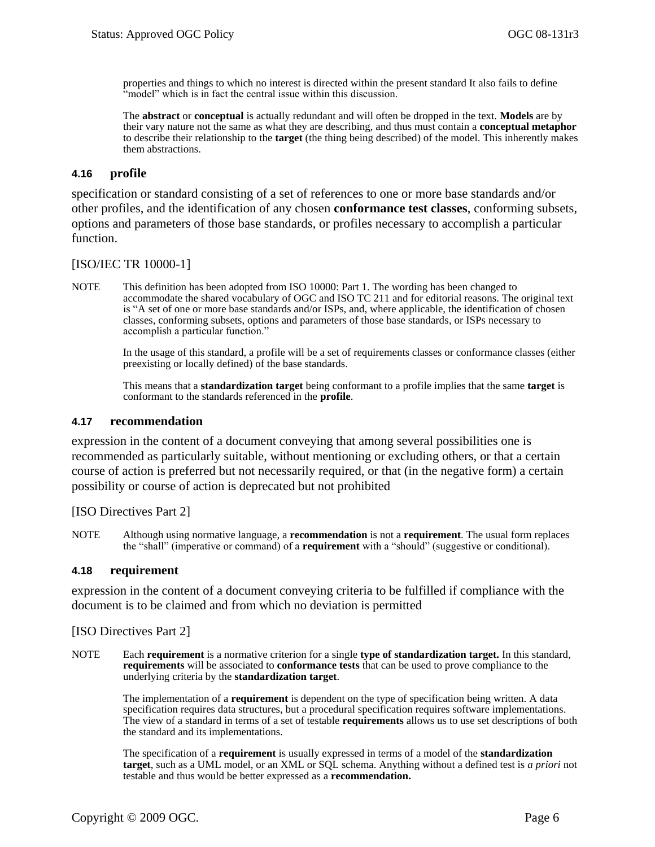properties and things to which no interest is directed within the present standard It also fails to define "model" which is in fact the central issue within this discussion.

The **abstract** or **conceptual** is actually redundant and will often be dropped in the text. **Models** are by their vary nature not the same as what they are describing, and thus must contain a **conceptual metaphor** to describe their relationship to the **target** (the thing being described) of the model. This inherently makes them abstractions.

#### **4.16 profile**

specification or standard consisting of a set of references to one or more base standards and/or other profiles, and the identification of any chosen **conformance test classes**, conforming subsets, options and parameters of those base standards, or profiles necessary to accomplish a particular function.

#### [ISO/IEC TR 10000-1]

NOTE This definition has been adopted from ISO 10000: Part 1. The wording has been changed to accommodate the shared vocabulary of OGC and ISO TC 211 and for editorial reasons. The original text is "A set of one or more base standards and/or ISPs, and, where applicable, the identification of chosen classes, conforming subsets, options and parameters of those base standards, or ISPs necessary to accomplish a particular function."

> In the usage of this standard, a profile will be a set of requirements classes or conformance classes (either preexisting or locally defined) of the base standards.

This means that a **standardization target** being conformant to a profile implies that the same **target** is conformant to the standards referenced in the **profile**.

#### **4.17 recommendation**

expression in the content of a document conveying that among several possibilities one is recommended as particularly suitable, without mentioning or excluding others, or that a certain course of action is preferred but not necessarily required, or that (in the negative form) a certain possibility or course of action is deprecated but not prohibited

[ISO Directives Part 2]

NOTE Although using normative language, a **recommendation** is not a **requirement**. The usual form replaces the "shall" (imperative or command) of a **requirement** with a "should" (suggestive or conditional).

#### <span id="page-19-0"></span>**4.18 requirement**

expression in the content of a document conveying criteria to be fulfilled if compliance with the document is to be claimed and from which no deviation is permitted

[ISO Directives Part 2]

NOTE Each **requirement** is a normative criterion for a single **type of standardization target.** In this standard, **requirements** will be associated to **conformance tests** that can be used to prove compliance to the underlying criteria by the **standardization target**.

> The implementation of a **requirement** is dependent on the type of specification being written. A data specification requires data structures, but a procedural specification requires software implementations. The view of a standard in terms of a set of testable **requirements** allows us to use set descriptions of both the standard and its implementations.

> The specification of a **requirement** is usually expressed in terms of a model of the **standardization target**, such as a UML model, or an XML or SQL schema. Anything without a defined test is *a priori* not testable and thus would be better expressed as a **recommendation.**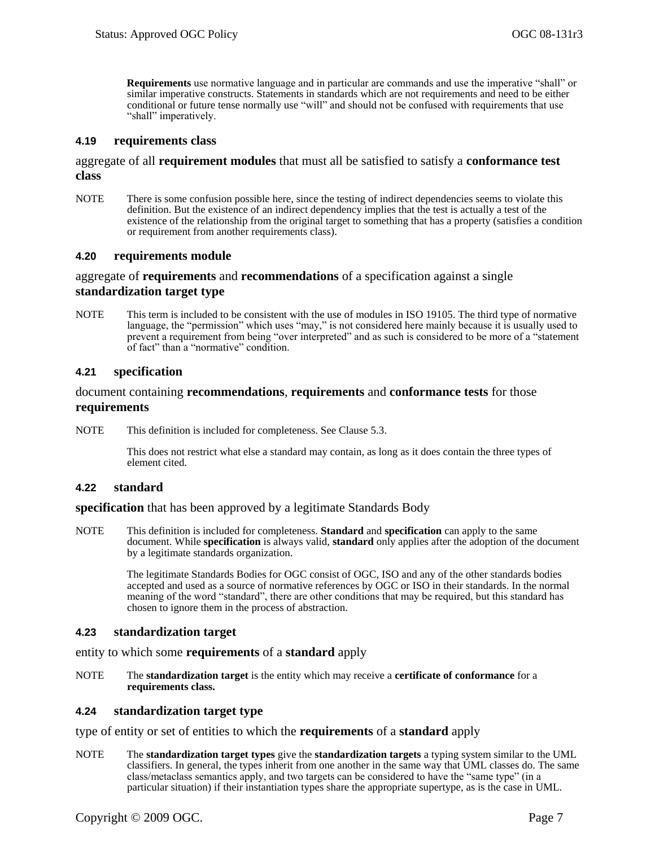**Requirements** use normative language and in particular are commands and use the imperative "shall" or similar imperative constructs. Statements in standards which are not requirements and need to be either conditional or future tense normally use "will" and should not be confused with requirements that use "shall" imperatively.

#### <span id="page-20-0"></span>**4.19 requirements class**

#### aggregate of all **requirement modules** that must all be satisfied to satisfy a **conformance test class**

NOTE There is some confusion possible here, since the testing of indirect dependencies seems to violate this definition. But the existence of an indirect dependency implies that the test is actually a test of the existence of the relationship from the original target to something that has a property (satisfies a condition or requirement from another requirements class).

#### **4.20 requirements module**

#### aggregate of **requirements** and **recommendations** of a specification against a single **standardization target type**

NOTE This term is included to be consistent with the use of modules in ISO 19105. The third type of normative language, the "permission" which uses "may," is not considered here mainly because it is usually used to prevent a requirement from being "over interpreted" and as such is considered to be more of a "statement of fact" than a "normative" condition.

#### **4.21 specification**

#### document containing **recommendations**, **requirements** and **conformance tests** for those **requirements**

NOTE This definition is included for completeness. See Clause 5.3.

This does not restrict what else a standard may contain, as long as it does contain the three types of element cited.

#### **4.22 standard**

#### **specification** that has been approved by a legitimate Standards Body

NOTE This definition is included for completeness. **Standard** and **specification** can apply to the same document. While **specification** is always valid, **standard** only applies after the adoption of the document by a legitimate standards organization.

> The legitimate Standards Bodies for OGC consist of OGC, ISO and any of the other standards bodies accepted and used as a source of normative references by OGC or ISO in their standards. In the normal meaning of the word "standard", there are other conditions that may be required, but this standard has chosen to ignore them in the process of abstraction.

#### **4.23 standardization target**

entity to which some **requirements** of a **standard** apply

NOTE The **standardization target** is the entity which may receive a **certificate of conformance** for a **requirements class.**

#### **4.24 standardization target type**

type of entity or set of entities to which the **requirements** of a **standard** apply

NOTE The **standardization target types** give the **standardization targets** a typing system similar to the UML classifiers. In general, the types inherit from one another in the same way that UML classes do. The same class/metaclass semantics apply, and two targets can be considered to have the "same type" (in a particular situation) if their instantiation types share the appropriate supertype, as is the case in UML.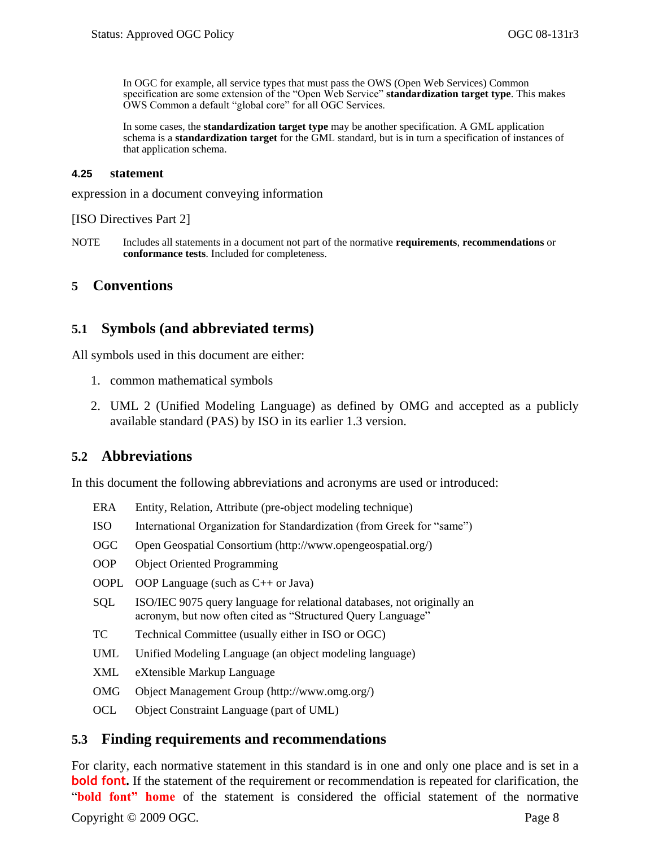In OGC for example, all service types that must pass the OWS (Open Web Services) Common specification are some extension of the "Open Web Service" **standardization target type**. This makes OWS Common a default "global core" for all OGC Services.

In some cases, the **standardization target type** may be another specification. A GML application schema is a **standardization target** for the GML standard, but is in turn a specification of instances of that application schema.

#### **4.25 statement**

expression in a document conveying information

[ISO Directives Part 2]

NOTE Includes all statements in a document not part of the normative **requirements**, **recommendations** or **conformance tests**. Included for completeness.

#### <span id="page-21-0"></span>**5 Conventions**

### <span id="page-21-1"></span>**5.1 Symbols (and abbreviated terms)**

All symbols used in this document are either:

- 1. common mathematical symbols
- 2. UML 2 (Unified Modeling Language) as defined by OMG and accepted as a publicly available standard (PAS) by ISO in its earlier 1.3 version.

### <span id="page-21-2"></span>**5.2 Abbreviations**

In this document the following abbreviations and acronyms are used or introduced:

- ERA Entity, Relation, Attribute (pre-object modeling technique)
- ISO International Organization for Standardization (from Greek for "same")
- OGC Open Geospatial Consortium [\(http://www.opengeospatial.org/\)](http://www.opengeospatial.org/)
- OOP Object Oriented Programming
- OOPL OOP Language (such as C++ or Java)
- SQL ISO/IEC 9075 query language for relational databases, not originally an acronym, but now often cited as "Structured Query Language"
- TC Technical Committee (usually either in ISO or OGC)
- UML Unified Modeling Language (an object modeling language)
- XML eXtensible Markup Language
- OMG Object Management Group [\(http://www.omg.org/\)](http://www.omg.org/)
- OCL Object Constraint Language (part of UML)

#### <span id="page-21-3"></span>**5.3 Finding requirements and recommendations**

Copyright © 2009 OGC. Page 8 For clarity, each normative statement in this standard is in one and only one place and is set in a **bold font.** If the statement of the requirement or recommendation is repeated for clarification, the "bold font" home of the statement is considered the official statement of the normative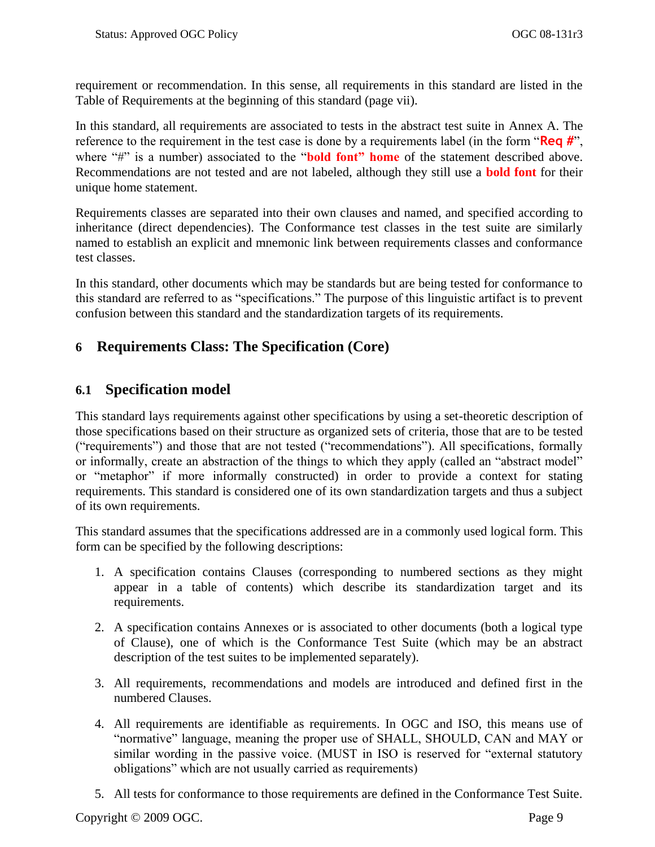requirement or recommendation. In this sense, all requirements in this standard are listed in the [Table of Requirements](#page-6-0) at the beginning of this standard (page [vii\)](#page-6-0).

In this standard, all requirements are associated to tests in the abstract test suite in [Annex A.](#page-42-0) The reference to the requirement in the test case is done by a requirements label (in the form "Req #", where "#" is a number) associated to the "**bold font" home** of the statement described above. Recommendations are not tested and are not labeled, although they still use a **bold font** for their unique home statement.

Requirements classes are separated into their own clauses and named, and specified according to inheritance (direct dependencies). The Conformance test classes in the test suite are similarly named to establish an explicit and mnemonic link between requirements classes and conformance test classes.

In this standard, other documents which may be standards but are being tested for conformance to this standard are referred to as "specifications." The purpose of this linguistic artifact is to prevent confusion between this standard and the standardization targets of its requirements.

## <span id="page-22-0"></span>**6 Requirements Class: The Specification (Core)**

## <span id="page-22-1"></span>**6.1 Specification model**

This standard lays requirements against other specifications by using a set-theoretic description of those specifications based on their structure as organized sets of criteria, those that are to be tested ("requirements") and those that are not tested ("recommendations"). All specifications, formally or informally, create an abstraction of the things to which they apply (called an "abstract model" or "metaphor" if more informally constructed) in order to provide a context for stating requirements. This standard is considered one of its own standardization targets and thus a subject of its own requirements.

This standard assumes that the specifications addressed are in a commonly used logical form. This form can be specified by the following descriptions:

- 1. A specification contains Clauses (corresponding to numbered sections as they might appear in a table of contents) which describe its standardization target and its requirements.
- 2. A specification contains Annexes or is associated to other documents (both a logical type of Clause), one of which is the Conformance Test Suite (which may be an abstract description of the test suites to be implemented separately).
- 3. All requirements, recommendations and models are introduced and defined first in the numbered Clauses.
- 4. All requirements are identifiable as requirements. In OGC and ISO, this means use of "normative" language, meaning the proper use of SHALL, SHOULD, CAN and MAY or similar wording in the passive voice. (MUST in ISO is reserved for "external statutory obligations" which are not usually carried as requirements)
- 5. All tests for conformance to those requirements are defined in the Conformance Test Suite.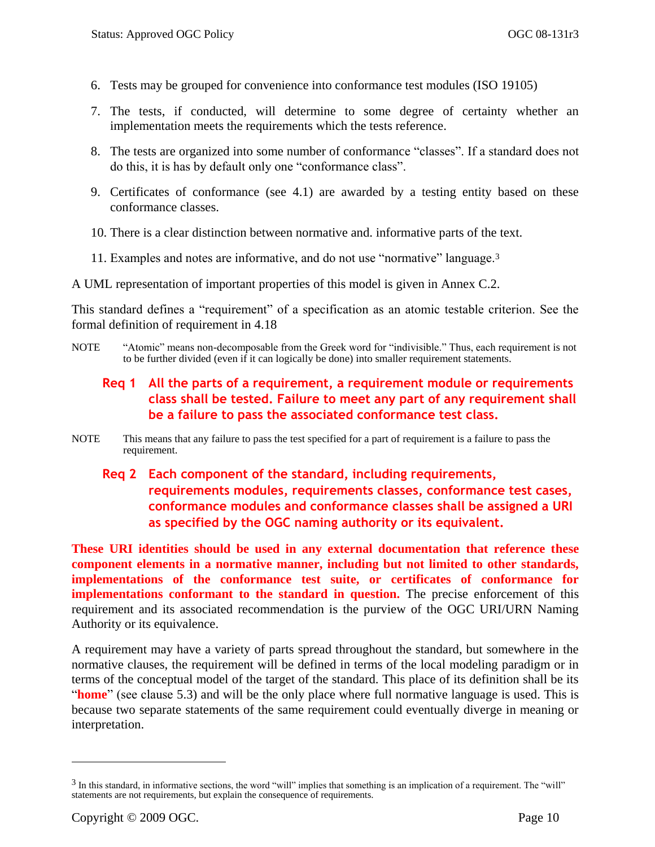- 6. Tests may be grouped for convenience into conformance test modules (ISO 19105)
- 7. The tests, if conducted, will determine to some degree of certainty whether an implementation meets the requirements which the tests reference.
- 8. The tests are organized into some number of conformance "classes". If a standard does not do this, it is has by default only one "conformance class".
- 9. Certificates of conformance (see [4.1\)](#page-16-1) are awarded by a testing entity based on these conformance classes.
- 10. There is a clear distinction between normative and. informative parts of the text.
- 11. Examples and notes are informative, and do not use "normative" language.<sup>3</sup>

A UML representation of important properties of this model is given in Annex [C.2.](#page-58-0)

This standard defines a "requirement" of a specification as an atomic testable criterion. See the formal definition of requirement in [4.18](#page-19-0)

<span id="page-23-0"></span>NOTE "Atomic" means non-decomposable from the Greek word for "indivisible." Thus, each requirement is not to be further divided (even if it can logically be done) into smaller requirement statements.

## **Req 1 All the parts of a requirement, a requirement module or requirements class shall be tested. Failure to meet any part of any requirement shall be a failure to pass the associated conformance test class.**

- <span id="page-23-1"></span>NOTE This means that any failure to pass the test specified for a part of requirement is a failure to pass the requirement.
	- **Req 2 Each component of the standard, including requirements, requirements modules, requirements classes, conformance test cases, conformance modules and conformance classes shall be assigned a URI as specified by the OGC naming authority or its equivalent.**

**These URI identities should be used in any external documentation that reference these component elements in a normative manner, including but not limited to other standards, implementations of the conformance test suite, or certificates of conformance for implementations conformant to the standard in question.** The precise enforcement of this requirement and its associated recommendation is the purview of the OGC URI/URN Naming Authority or its equivalence.

A requirement may have a variety of parts spread throughout the standard, but somewhere in the normative clauses, the requirement will be defined in terms of the local modeling paradigm or in terms of the conceptual model of the target of the standard. This place of its definition shall be its "**home**" (see clause [5.3\)](#page-21-3) and will be the only place where full normative language is used. This is because two separate statements of the same requirement could eventually diverge in meaning or interpretation.

 $\overline{a}$ 

 $3$  In this standard, in informative sections, the word "will" implies that something is an implication of a requirement. The "will" statements are not requirements, but explain the consequence of requirements.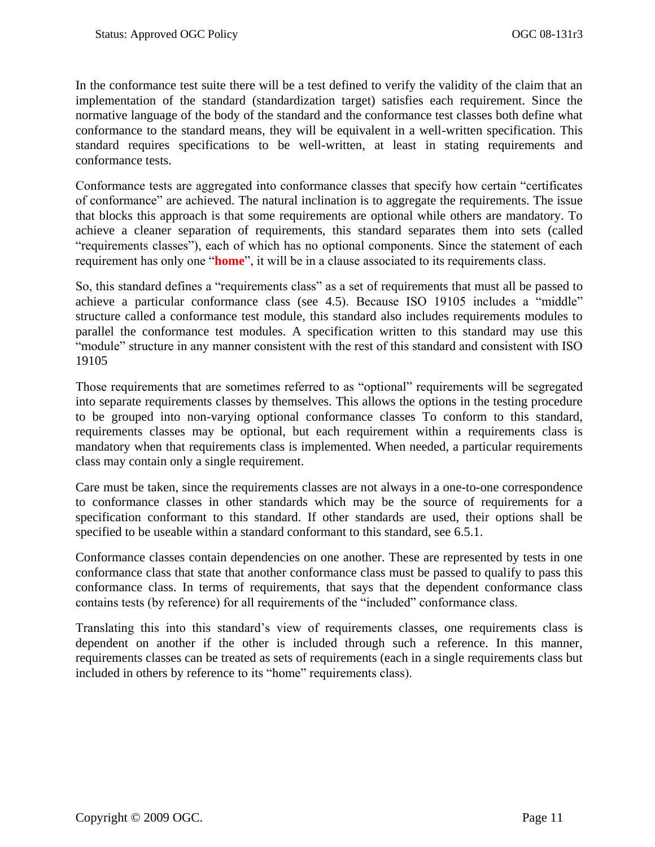In the conformance test suite there will be a test defined to verify the validity of the claim that an implementation of the standard (standardization target) satisfies each requirement. Since the normative language of the body of the standard and the conformance test classes both define what conformance to the standard means, they will be equivalent in a well-written specification. This standard requires specifications to be well-written, at least in stating requirements and conformance tests.

Conformance tests are aggregated into conformance classes that specify how certain "certificates" of conformance" are achieved. The natural inclination is to aggregate the requirements. The issue that blocks this approach is that some requirements are optional while others are mandatory. To achieve a cleaner separation of requirements, this standard separates them into sets (called "requirements classes"), each of which has no optional components. Since the statement of each requirement has only one "**home**", it will be in a clause associated to its requirements class.

So, this standard defines a "requirements class" as a set of requirements that must all be passed to achieve a particular conformance class (see [4.5\)](#page-16-2). Because ISO 19105 includes a "middle" structure called a conformance test module, this standard also includes requirements modules to parallel the conformance test modules. A specification written to this standard may use this "module" structure in any manner consistent with the rest of this standard and consistent with ISO 19105

Those requirements that are sometimes referred to as "optional" requirements will be segregated into separate requirements classes by themselves. This allows the options in the testing procedure to be grouped into non-varying optional conformance classes To conform to this standard, requirements classes may be optional, but each requirement within a requirements class is mandatory when that requirements class is implemented. When needed, a particular requirements class may contain only a single requirement.

Care must be taken, since the requirements classes are not always in a one-to-one correspondence to conformance classes in other standards which may be the source of requirements for a specification conformant to this standard. If other standards are used, their options shall be specified to be useable within a standard conformant to this standard, see [6.5.1.](#page-29-1)

Conformance classes contain dependencies on one another. These are represented by tests in one conformance class that state that another conformance class must be passed to qualify to pass this conformance class. In terms of requirements, that says that the dependent conformance class contains tests (by reference) for all requirements of the "included" conformance class.

Translating this into this standard's view of requirements classes, one requirements class is dependent on another if the other is included through such a reference. In this manner, requirements classes can be treated as sets of requirements (each in a single requirements class but included in others by reference to its "home" requirements class).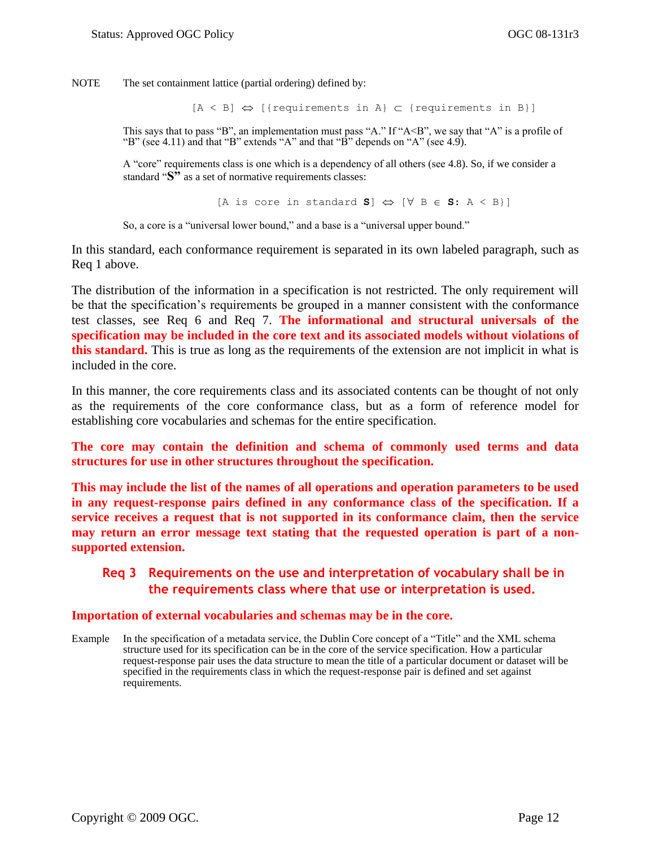NOTE The set containment lattice (partial ordering) defined by:

 $[A \leq B] \Leftrightarrow$  [{requirements in A}  $\subset$  {requirements in B}]

This says that to pass "B", an implementation must pass "A." If " $A \le B$ ", we say that "A" is a profile of "B" (see [4.11\)](#page-18-0) and that "B" extends "A" and that "B" depends on "A" (see [4.9\)](#page-17-0).

A "core" requirements class is one which is a dependency of all others (see [4.8\)](#page-17-1). So, if we consider a standard "S" as a set of normative requirements classes:

[A is core in standard **S**]  $\Leftrightarrow$  [ $\forall$  B  $\in$  **S**: A < B}]

So, a core is a "universal lower bound," and a base is a "universal upper bound."

In this standard, each conformance requirement is separated in its own labeled paragraph, such as [Req 1](#page-23-0) above.

The distribution of the information in a specification is not restricted. The only requirement will be that the specification's requirements be grouped in a manner consistent with the conformance test classes, see [Req 6](#page-27-2) and [Req 7.](#page-27-3) **The informational and structural universals of the specification may be included in the core text and its associated models without violations of this standard.** This is true as long as the requirements of the extension are not implicit in what is included in the core.

In this manner, the core requirements class and its associated contents can be thought of not only as the requirements of the core conformance class, but as a form of reference model for establishing core vocabularies and schemas for the entire specification.

**The core may contain the definition and schema of commonly used terms and data structures for use in other structures throughout the specification.**

**This may include the list of the names of all operations and operation parameters to be used in any request-response pairs defined in any conformance class of the specification. If a service receives a request that is not supported in its conformance claim, then the service may return an error message text stating that the requested operation is part of a nonsupported extension.** 

### <span id="page-25-0"></span>**Req 3 Requirements on the use and interpretation of vocabulary shall be in the requirements class where that use or interpretation is used.**

#### **Importation of external vocabularies and schemas may be in the core.**

Example In the specification of a metadata service, the Dublin Core concept of a "Title" and the XML schema structure used for its specification can be in the core of the service specification. How a particular request-response pair uses the data structure to mean the title of a particular document or dataset will be specified in the requirements class in which the request-response pair is defined and set against requirements.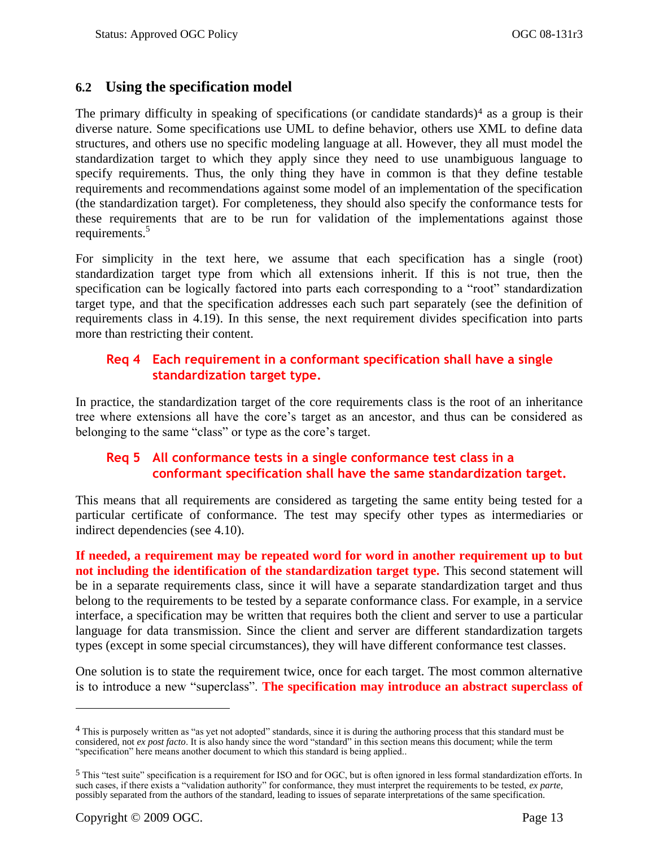## <span id="page-26-0"></span>**6.2 Using the specification model**

The primary difficulty in speaking of specifications (or candidate standards) $4$  as a group is their diverse nature. Some specifications use UML to define behavior, others use XML to define data structures, and others use no specific modeling language at all. However, they all must model the standardization target to which they apply since they need to use unambiguous language to specify requirements. Thus, the only thing they have in common is that they define testable requirements and recommendations against some model of an implementation of the specification (the standardization target). For completeness, they should also specify the conformance tests for these requirements that are to be run for validation of the implementations against those requirements.<sup>5</sup>

For simplicity in the text here, we assume that each specification has a single (root) standardization target type from which all extensions inherit. If this is not true, then the specification can be logically factored into parts each corresponding to a "root" standardization target type, and that the specification addresses each such part separately (see the definition of requirements class in [4.19\)](#page-20-0). In this sense, the next requirement divides specification into parts more than restricting their content.

### <span id="page-26-1"></span>**Req 4 Each requirement in a conformant specification shall have a single standardization target type.**

In practice, the standardization target of the core requirements class is the root of an inheritance tree where extensions all have the core's target as an ancestor, and thus can be considered as belonging to the same "class" or type as the core's target.

### <span id="page-26-2"></span>**Req 5 All conformance tests in a single conformance test class in a conformant specification shall have the same standardization target.**

This means that all requirements are considered as targeting the same entity being tested for a particular certificate of conformance. The test may specify other types as intermediaries or indirect dependencies (see [4.10\)](#page-17-2).

**If needed, a requirement may be repeated word for word in another requirement up to but not including the identification of the standardization target type.** This second statement will be in a separate requirements class, since it will have a separate standardization target and thus belong to the requirements to be tested by a separate conformance class. For example, in a service interface, a specification may be written that requires both the client and server to use a particular language for data transmission. Since the client and server are different standardization targets types (except in some special circumstances), they will have different conformance test classes.

One solution is to state the requirement twice, once for each target. The most common alternative is to introduce a new "superclass". The specification may introduce an abstract superclass of

 $\overline{a}$ 

 $4$  This is purposely written as "as yet not adopted" standards, since it is during the authoring process that this standard must be considered, not *ex post facto*. It is also handy since the word "standard" in this section means this document; while the term "specification" here means another document to which this standard is being applied..

 $<sup>5</sup>$  This "test suite" specification is a requirement for ISO and for OGC, but is often ignored in less formal standardization efforts. In</sup> such cases, if there exists a "validation authority" for conformance, they must interpret the requirements to be tested, *ex parte*, possibly separated from the authors of the standard, leading to issues of separate interpretations of the same specification.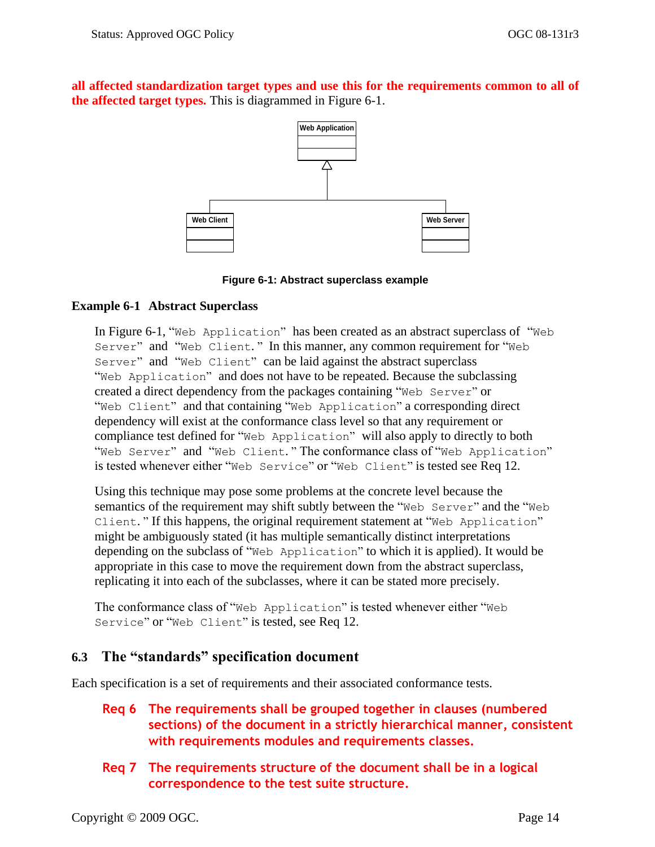**all affected standardization target types and use this for the requirements common to all of the affected target types.** This is diagrammed in [Figure 6-1.](#page-27-1)



#### **Figure 6-1: Abstract superclass example**

### <span id="page-27-1"></span>**Example 6-1 Abstract Superclass**

In [Figure 6-1,](#page-27-1) "Web Application" has been created as an abstract superclass of "Web Server" and "Web Client." In this manner, any common requirement for "Web Server" and "Web Client" can be laid against the abstract superclass "Web Application" and does not have to be repeated. Because the subclassing created a direct dependency from the packages containing "Web Server" or "Web Client" and that containing "Web Application" a corresponding direct dependency will exist at the conformance class level so that any requirement or compliance test defined for "Web Application" will also apply to directly to both "Web Server" and "Web Client." The conformance class of "Web Application" is tested whenever either "Web Service" or "Web Client" is tested see [Req 12.](#page-30-0)

Using this technique may pose some problems at the concrete level because the semantics of the requirement may shift subtly between the "Web Server" and the "Web Client." If this happens, the original requirement statement at "Web Application" might be ambiguously stated (it has multiple semantically distinct interpretations depending on the subclass of "Web Application" to which it is applied). It would be appropriate in this case to move the requirement down from the abstract superclass, replicating it into each of the subclasses, where it can be stated more precisely.

The conformance class of "Web Application" is tested whenever either "Web Service" or "Web Client" is tested, see [Req 12.](#page-30-0)

### <span id="page-27-0"></span>**6.3 The "standards" specification document**

<span id="page-27-2"></span>Each specification is a set of requirements and their associated conformance tests.

- **Req 6 The requirements shall be grouped together in clauses (numbered sections) of the document in a strictly hierarchical manner, consistent with requirements modules and requirements classes.**
- <span id="page-27-3"></span>**Req 7 The requirements structure of the document shall be in a logical correspondence to the test suite structure.**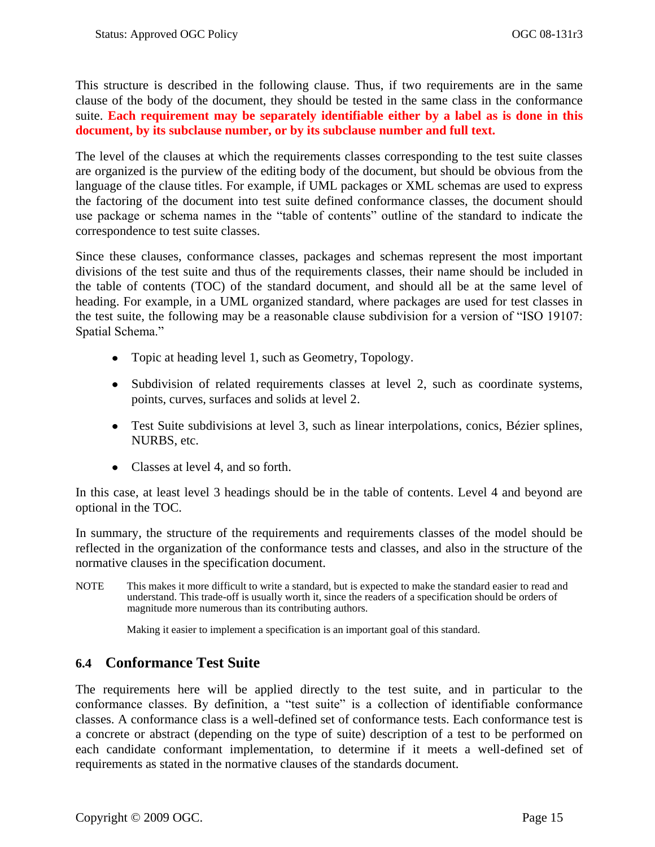This structure is described in the following clause. Thus, if two requirements are in the same clause of the body of the document, they should be tested in the same class in the conformance suite. **Each requirement may be separately identifiable either by a label as is done in this document, by its subclause number, or by its subclause number and full text.**

The level of the clauses at which the requirements classes corresponding to the test suite classes are organized is the purview of the editing body of the document, but should be obvious from the language of the clause titles. For example, if UML packages or XML schemas are used to express the factoring of the document into test suite defined conformance classes, the document should use package or schema names in the "table of contents" outline of the standard to indicate the correspondence to test suite classes.

Since these clauses, conformance classes, packages and schemas represent the most important divisions of the test suite and thus of the requirements classes, their name should be included in the table of contents (TOC) of the standard document, and should all be at the same level of heading. For example, in a UML organized standard, where packages are used for test classes in the test suite, the following may be a reasonable clause subdivision for a version of "ISO 19107: Spatial Schema."

- Topic at heading level 1, such as Geometry, Topology.
- Subdivision of related requirements classes at level 2, such as coordinate systems, points, curves, surfaces and solids at level 2.
- Test Suite subdivisions at level 3, such as linear interpolations, conics, Bézier splines, NURBS, etc.
- Classes at level 4, and so forth.

In this case, at least level 3 headings should be in the table of contents. Level 4 and beyond are optional in the TOC.

In summary, the structure of the requirements and requirements classes of the model should be reflected in the organization of the conformance tests and classes, and also in the structure of the normative clauses in the specification document.

NOTE This makes it more difficult to write a standard, but is expected to make the standard easier to read and understand. This trade-off is usually worth it, since the readers of a specification should be orders of magnitude more numerous than its contributing authors.

Making it easier to implement a specification is an important goal of this standard.

## <span id="page-28-0"></span>**6.4 Conformance Test Suite**

The requirements here will be applied directly to the test suite, and in particular to the conformance classes. By definition, a "test suite" is a collection of identifiable conformance classes. A conformance class is a well-defined set of conformance tests. Each conformance test is a concrete or abstract (depending on the type of suite) description of a test to be performed on each candidate conformant implementation, to determine if it meets a well-defined set of requirements as stated in the normative clauses of the standards document.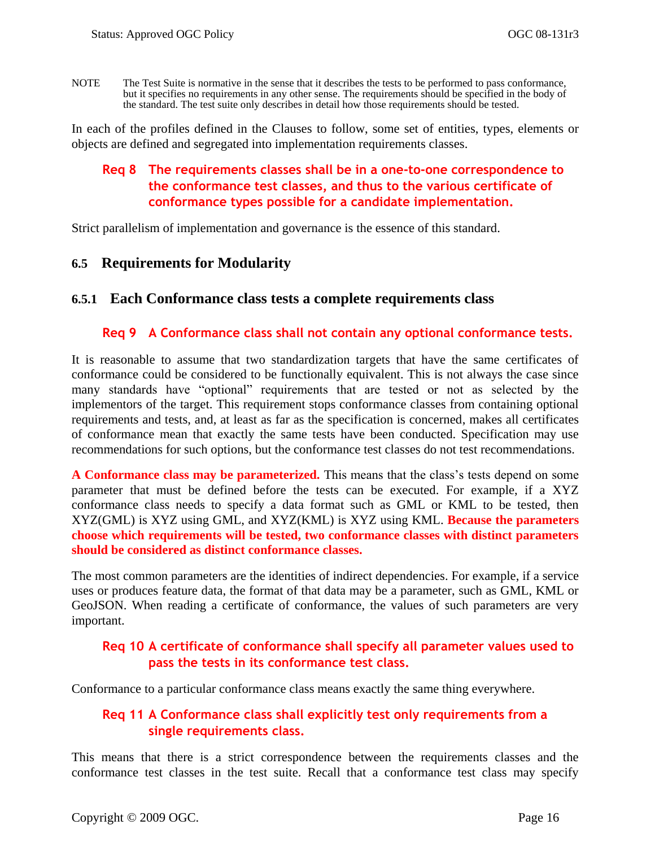NOTE The Test Suite is normative in the sense that it describes the tests to be performed to pass conformance, but it specifies no requirements in any other sense. The requirements should be specified in the body of the standard. The test suite only describes in detail how those requirements should be tested.

<span id="page-29-2"></span>In each of the profiles defined in the Clauses to follow, some set of entities, types, elements or objects are defined and segregated into implementation requirements classes.

### **Req 8 The requirements classes shall be in a one-to-one correspondence to the conformance test classes, and thus to the various certificate of conformance types possible for a candidate implementation.**

Strict parallelism of implementation and governance is the essence of this standard.

## <span id="page-29-0"></span>**6.5 Requirements for Modularity**

### <span id="page-29-3"></span><span id="page-29-1"></span>**6.5.1 Each Conformance class tests a complete requirements class**

### **Req 9 A Conformance class shall not contain any optional conformance tests.**

It is reasonable to assume that two standardization targets that have the same certificates of conformance could be considered to be functionally equivalent. This is not always the case since many standards have "optional" requirements that are tested or not as selected by the implementors of the target. This requirement stops conformance classes from containing optional requirements and tests, and, at least as far as the specification is concerned, makes all certificates of conformance mean that exactly the same tests have been conducted. Specification may use recommendations for such options, but the conformance test classes do not test recommendations.

**A Conformance class may be parameterized.** This means that the class's tests depend on some parameter that must be defined before the tests can be executed. For example, if a XYZ conformance class needs to specify a data format such as GML or KML to be tested, then XYZ(GML) is XYZ using GML, and XYZ(KML) is XYZ using KML. **Because the parameters choose which requirements will be tested, two conformance classes with distinct parameters should be considered as distinct conformance classes.**

The most common parameters are the identities of indirect dependencies. For example, if a service uses or produces feature data, the format of that data may be a parameter, such as GML, KML or GeoJSON. When reading a certificate of conformance, the values of such parameters are very important.

### <span id="page-29-4"></span>**Req 10 A certificate of conformance shall specify all parameter values used to pass the tests in its conformance test class.**

<span id="page-29-5"></span>Conformance to a particular conformance class means exactly the same thing everywhere.

### **Req 11 A Conformance class shall explicitly test only requirements from a single requirements class.**

This means that there is a strict correspondence between the requirements classes and the conformance test classes in the test suite. Recall that a conformance test class may specify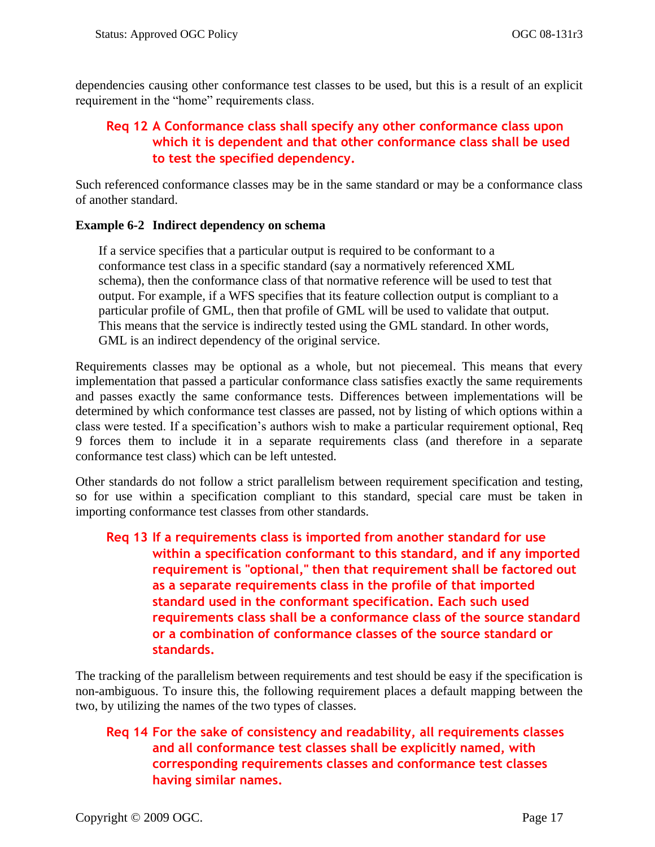dependencies causing other conformance test classes to be used, but this is a result of an explicit requirement in the "home" requirements class.

## <span id="page-30-0"></span>**Req 12 A Conformance class shall specify any other conformance class upon which it is dependent and that other conformance class shall be used to test the specified dependency.**

Such referenced conformance classes may be in the same standard or may be a conformance class of another standard.

### **Example 6-2 Indirect dependency on schema**

If a service specifies that a particular output is required to be conformant to a conformance test class in a specific standard (say a normatively referenced XML schema), then the conformance class of that normative reference will be used to test that output. For example, if a WFS specifies that its feature collection output is compliant to a particular profile of GML, then that profile of GML will be used to validate that output. This means that the service is indirectly tested using the GML standard. In other words, GML is an indirect dependency of the original service.

Requirements classes may be optional as a whole, but not piecemeal. This means that every implementation that passed a particular conformance class satisfies exactly the same requirements and passes exactly the same conformance tests. Differences between implementations will be determined by which conformance test classes are passed, not by listing of which options within a class were tested. If a specification's authors wish to make a particular requirement optional, [Req](#page-29-3)  [9](#page-29-3) forces them to include it in a separate requirements class (and therefore in a separate conformance test class) which can be left untested.

Other standards do not follow a strict parallelism between requirement specification and testing, so for use within a specification compliant to this standard, special care must be taken in importing conformance test classes from other standards.

## <span id="page-30-1"></span>**Req 13 If a requirements class is imported from another standard for use within a specification conformant to this standard, and if any imported requirement is "optional," then that requirement shall be factored out as a separate requirements class in the profile of that imported standard used in the conformant specification. Each such used requirements class shall be a conformance class of the source standard or a combination of conformance classes of the source standard or standards.**

The tracking of the parallelism between requirements and test should be easy if the specification is non-ambiguous. To insure this, the following requirement places a default mapping between the two, by utilizing the names of the two types of classes.

## <span id="page-30-2"></span>**Req 14 For the sake of consistency and readability, all requirements classes and all conformance test classes shall be explicitly named, with corresponding requirements classes and conformance test classes having similar names.**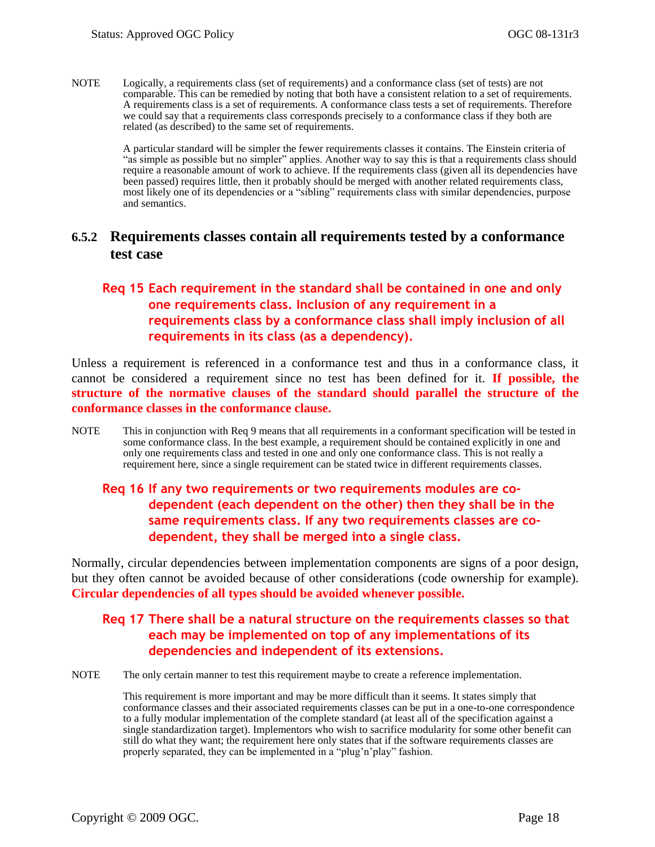NOTE Logically, a requirements class (set of requirements) and a conformance class (set of tests) are not comparable. This can be remedied by noting that both have a consistent relation to a set of requirements. A requirements class is a set of requirements. A conformance class tests a set of requirements. Therefore we could say that a requirements class corresponds precisely to a conformance class if they both are related (as described) to the same set of requirements.

> A particular standard will be simpler the fewer requirements classes it contains. The Einstein criteria of "as simple as possible but no simpler" applies. Another way to say this is that a requirements class should require a reasonable amount of work to achieve. If the requirements class (given all its dependencies have been passed) requires little, then it probably should be merged with another related requirements class, most likely one of its dependencies or a "sibling" requirements class with similar dependencies, purpose and semantics.

## <span id="page-31-0"></span>**6.5.2 Requirements classes contain all requirements tested by a conformance test case**

### <span id="page-31-1"></span>**Req 15 Each requirement in the standard shall be contained in one and only one requirements class. Inclusion of any requirement in a requirements class by a conformance class shall imply inclusion of all requirements in its class (as a dependency).**

Unless a requirement is referenced in a conformance test and thus in a conformance class, it cannot be considered a requirement since no test has been defined for it. **If possible, the structure of the normative clauses of the standard should parallel the structure of the conformance classes in the conformance clause.**

NOTE This in conjunction with [Req 9](#page-29-3) means that all requirements in a conformant specification will be tested in some conformance class. In the best example, a requirement should be contained explicitly in one and only one requirements class and tested in one and only one conformance class. This is not really a requirement here, since a single requirement can be stated twice in different requirements classes.

### <span id="page-31-2"></span>**Req 16 If any two requirements or two requirements modules are codependent (each dependent on the other) then they shall be in the same requirements class. If any two requirements classes are codependent, they shall be merged into a single class.**

Normally, circular dependencies between implementation components are signs of a poor design, but they often cannot be avoided because of other considerations (code ownership for example). **Circular dependencies of all types should be avoided whenever possible.**

### <span id="page-31-3"></span>**Req 17 There shall be a natural structure on the requirements classes so that each may be implemented on top of any implementations of its dependencies and independent of its extensions.**

NOTE The only certain manner to test this requirement maybe to create a reference implementation.

This requirement is more important and may be more difficult than it seems. It states simply that conformance classes and their associated requirements classes can be put in a one-to-one correspondence to a fully modular implementation of the complete standard (at least all of the specification against a single standardization target). Implementors who wish to sacrifice modularity for some other benefit can still do what they want; the requirement here only states that if the software requirements classes are properly separated, they can be implemented in a "plug'n'play" fashion.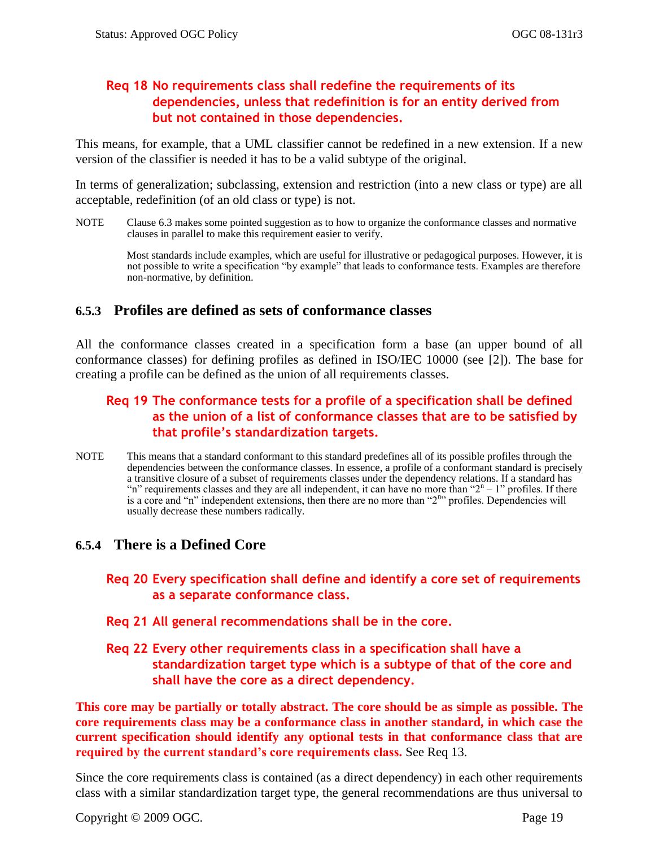### <span id="page-32-2"></span>**Req 18 No requirements class shall redefine the requirements of its dependencies, unless that redefinition is for an entity derived from but not contained in those dependencies.**

This means, for example, that a UML classifier cannot be redefined in a new extension. If a new version of the classifier is needed it has to be a valid subtype of the original.

In terms of generalization; subclassing, extension and restriction (into a new class or type) are all acceptable, redefinition (of an old class or type) is not.

NOTE Clause [6.3](#page-27-0) makes some pointed suggestion as to how to organize the conformance classes and normative clauses in parallel to make this requirement easier to verify.

> Most standards include examples, which are useful for illustrative or pedagogical purposes. However, it is not possible to write a specification "by example" that leads to conformance tests. Examples are therefore non-normative, by definition.

## <span id="page-32-0"></span>**6.5.3 Profiles are defined as sets of conformance classes**

All the conformance classes created in a specification form a base (an upper bound of all conformance classes) for defining profiles as defined in ISO/IEC 10000 (see [\[2\]\)](#page-15-1). The base for creating a profile can be defined as the union of all requirements classes.

## <span id="page-32-3"></span>**Req 19 The conformance tests for a profile of a specification shall be defined as the union of a list of conformance classes that are to be satisfied by that profile's standardization targets.**

NOTE This means that a standard conformant to this standard predefines all of its possible profiles through the dependencies between the conformance classes. In essence, a profile of a conformant standard is precisely a transitive closure of a subset of requirements classes under the dependency relations. If a standard has "n" requirements classes and they are all independent, it can have no more than " $2<sup>n</sup> - 1$ " profiles. If there is a core and "n" independent extensions, then there are no more than "2<sup>n</sup>" profiles. Dependencies will usually decrease these numbers radically.

## <span id="page-32-4"></span><span id="page-32-1"></span>**6.5.4 There is a Defined Core**

- **Req 20 Every specification shall define and identify a core set of requirements as a separate conformance class.**
- <span id="page-32-5"></span>**Req 21 All general recommendations shall be in the core.**
- <span id="page-32-6"></span>**Req 22 Every other requirements class in a specification shall have a standardization target type which is a subtype of that of the core and shall have the core as a direct dependency.**

**This core may be partially or totally abstract. The core should be as simple as possible. The core requirements class may be a conformance class in another standard, in which case the current specification should identify any optional tests in that conformance class that are required by the current standard's core requirements class.** See [Req 13.](#page-30-1)

Since the core requirements class is contained (as a direct dependency) in each other requirements class with a similar standardization target type, the general recommendations are thus universal to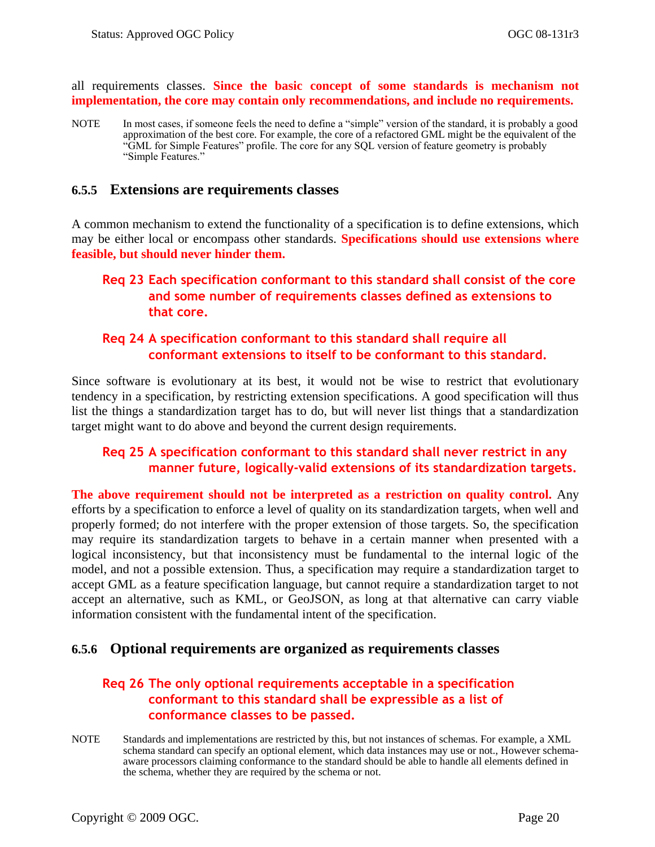all requirements classes. **Since the basic concept of some standards is mechanism not implementation, the core may contain only recommendations, and include no requirements.** 

NOTE In most cases, if someone feels the need to define a "simple" version of the standard, it is probably a good approximation of the best core. For example, the core of a refactored GML might be the equivalent of the ―GML for Simple Features‖ profile. The core for any SQL version of feature geometry is probably "Simple Features."

### <span id="page-33-0"></span>**6.5.5 Extensions are requirements classes**

A common mechanism to extend the functionality of a specification is to define extensions, which may be either local or encompass other standards. **Specifications should use extensions where feasible, but should never hinder them.**

### <span id="page-33-2"></span>**Req 23 Each specification conformant to this standard shall consist of the core and some number of requirements classes defined as extensions to that core.**

### <span id="page-33-3"></span>**Req 24 A specification conformant to this standard shall require all conformant extensions to itself to be conformant to this standard.**

Since software is evolutionary at its best, it would not be wise to restrict that evolutionary tendency in a specification, by restricting extension specifications. A good specification will thus list the things a standardization target has to do, but will never list things that a standardization target might want to do above and beyond the current design requirements.

### <span id="page-33-4"></span>**Req 25 A specification conformant to this standard shall never restrict in any manner future, logically-valid extensions of its standardization targets.**

**The above requirement should not be interpreted as a restriction on quality control.** Any efforts by a specification to enforce a level of quality on its standardization targets, when well and properly formed; do not interfere with the proper extension of those targets. So, the specification may require its standardization targets to behave in a certain manner when presented with a logical inconsistency, but that inconsistency must be fundamental to the internal logic of the model, and not a possible extension. Thus, a specification may require a standardization target to accept GML as a feature specification language, but cannot require a standardization target to not accept an alternative, such as KML, or GeoJSON, as long at that alternative can carry viable information consistent with the fundamental intent of the specification.

### <span id="page-33-5"></span><span id="page-33-1"></span>**6.5.6 Optional requirements are organized as requirements classes**

### **Req 26 The only optional requirements acceptable in a specification conformant to this standard shall be expressible as a list of conformance classes to be passed.**

NOTE Standards and implementations are restricted by this, but not instances of schemas. For example, a XML schema standard can specify an optional element, which data instances may use or not., However schemaaware processors claiming conformance to the standard should be able to handle all elements defined in the schema, whether they are required by the schema or not.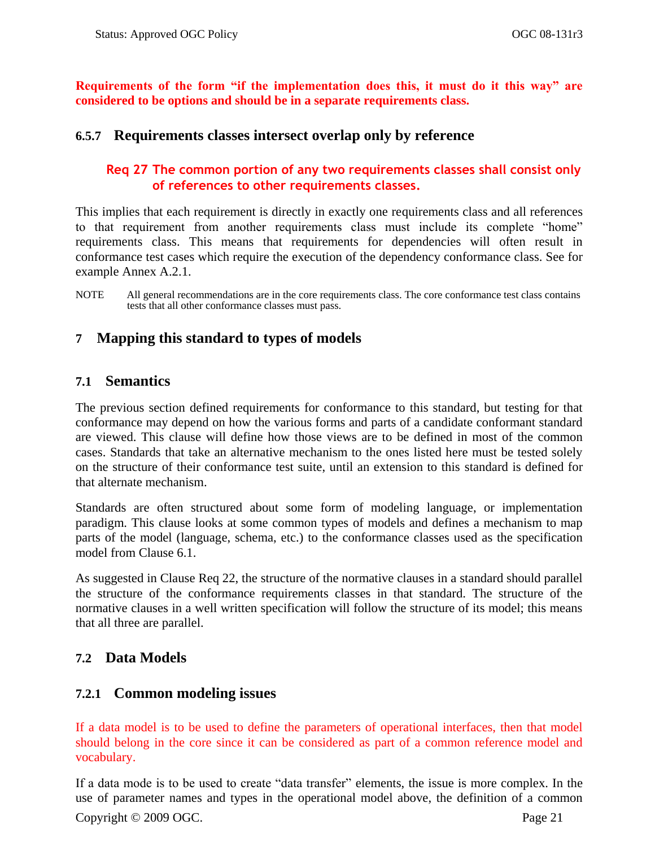**Requirements of the form "if the implementation does this, it must do it this way" are considered to be options and should be in a separate requirements class.** 

### <span id="page-34-5"></span><span id="page-34-0"></span>**6.5.7 Requirements classes intersect overlap only by reference**

## **Req 27 The common portion of any two requirements classes shall consist only of references to other requirements classes.**

This implies that each requirement is directly in exactly one requirements class and all references to that requirement from another requirements class must include its complete "home" requirements class. This means that requirements for dependencies will often result in conformance test cases which require the execution of the dependency conformance class. See for example Annex [A.2.1.](#page-49-1)

NOTE All general recommendations are in the core requirements class. The core conformance test class contains tests that all other conformance classes must pass.

## <span id="page-34-1"></span>**7 Mapping this standard to types of models**

### <span id="page-34-2"></span>**7.1 Semantics**

The previous section defined requirements for conformance to this standard, but testing for that conformance may depend on how the various forms and parts of a candidate conformant standard are viewed. This clause will define how those views are to be defined in most of the common cases. Standards that take an alternative mechanism to the ones listed here must be tested solely on the structure of their conformance test suite, until an extension to this standard is defined for that alternate mechanism.

Standards are often structured about some form of modeling language, or implementation paradigm. This clause looks at some common types of models and defines a mechanism to map parts of the model (language, schema, etc.) to the conformance classes used as the specification model from Clause [6.1.](#page-22-1)

As suggested in Clause [Req 22,](#page-32-6) the structure of the normative clauses in a standard should parallel the structure of the conformance requirements classes in that standard. The structure of the normative clauses in a well written specification will follow the structure of its model; this means that all three are parallel.

## <span id="page-34-3"></span>**7.2 Data Models**

## <span id="page-34-4"></span>**7.2.1 Common modeling issues**

If a data model is to be used to define the parameters of operational interfaces, then that model should belong in the core since it can be considered as part of a common reference model and vocabulary.

Copyright © 2009 OGC. Page 21 If a data mode is to be used to create "data transfer" elements, the issue is more complex. In the use of parameter names and types in the operational model above, the definition of a common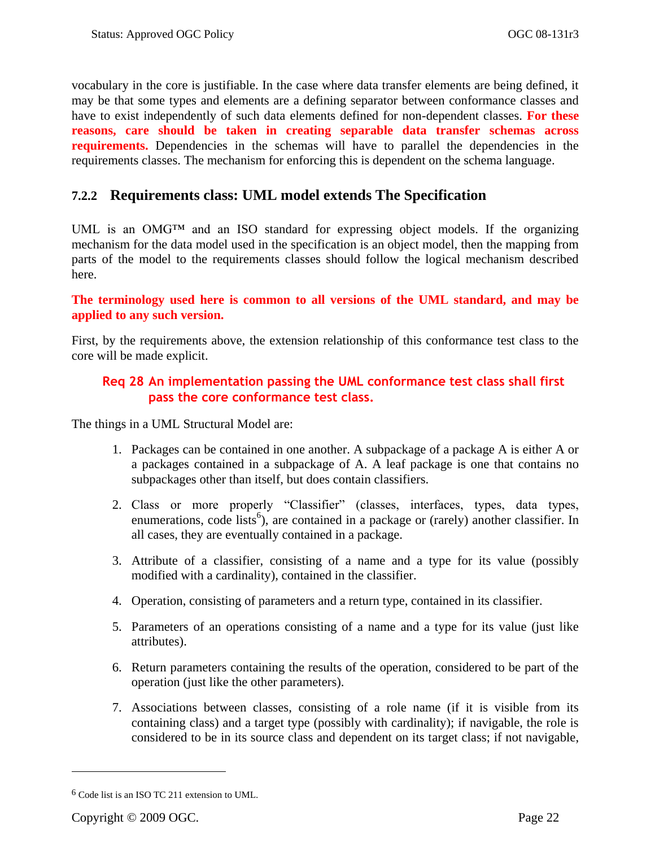vocabulary in the core is justifiable. In the case where data transfer elements are being defined, it may be that some types and elements are a defining separator between conformance classes and have to exist independently of such data elements defined for non-dependent classes. **For these reasons, care should be taken in creating separable data transfer schemas across requirements.** Dependencies in the schemas will have to parallel the dependencies in the requirements classes. The mechanism for enforcing this is dependent on the schema language.

## <span id="page-35-0"></span>**7.2.2 Requirements class: UML model extends The Specification**

UML is an OMG<sup>™</sup> and an ISO standard for expressing object models. If the organizing mechanism for the data model used in the specification is an object model, then the mapping from parts of the model to the requirements classes should follow the logical mechanism described here.

### **The terminology used here is common to all versions of the UML standard, and may be applied to any such version.**

<span id="page-35-1"></span>First, by the requirements above, the extension relationship of this conformance test class to the core will be made explicit.

### **Req 28 An implementation passing the UML conformance test class shall first pass the core conformance test class.**

The things in a UML Structural Model are:

- 1. Packages can be contained in one another. A subpackage of a package A is either A or a packages contained in a subpackage of A. A leaf package is one that contains no subpackages other than itself, but does contain classifiers.
- 2. Class or more properly "Classifier" (classes, interfaces, types, data types, enumerations, code lists<sup>6</sup>), are contained in a package or (rarely) another classifier. In all cases, they are eventually contained in a package.
- 3. Attribute of a classifier, consisting of a name and a type for its value (possibly modified with a cardinality), contained in the classifier.
- 4. Operation, consisting of parameters and a return type, contained in its classifier.
- 5. Parameters of an operations consisting of a name and a type for its value (just like attributes).
- 6. Return parameters containing the results of the operation, considered to be part of the operation (just like the other parameters).
- 7. Associations between classes, consisting of a role name (if it is visible from its containing class) and a target type (possibly with cardinality); if navigable, the role is considered to be in its source class and dependent on its target class; if not navigable,

 $\overline{a}$ 

<sup>6</sup> Code list is an ISO TC 211 extension to UML.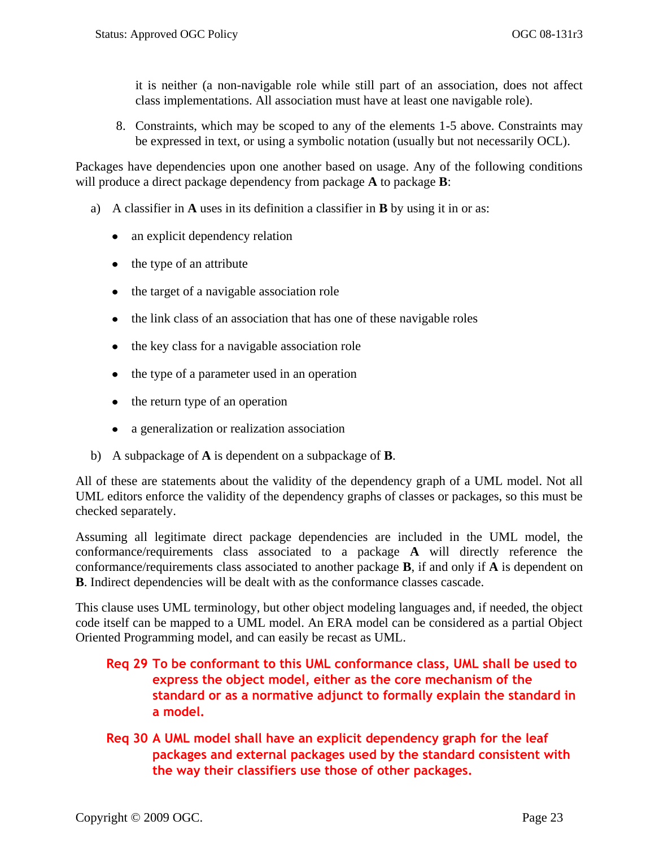it is neither (a non-navigable role while still part of an association, does not affect class implementations. All association must have at least one navigable role).

8. Constraints, which may be scoped to any of the elements 1-5 above. Constraints may be expressed in text, or using a symbolic notation (usually but not necessarily OCL).

Packages have dependencies upon one another based on usage. Any of the following conditions will produce a direct package dependency from package **A** to package **B**:

- a) A classifier in **A** uses in its definition a classifier in **B** by using it in or as:
	- an explicit dependency relation
	- the type of an attribute
	- the target of a navigable association role  $\bullet$
	- the link class of an association that has one of these navigable roles
	- the key class for a navigable association role
	- the type of a parameter used in an operation
	- the return type of an operation  $\bullet$
	- a generalization or realization association
- b) A subpackage of **A** is dependent on a subpackage of **B**.

All of these are statements about the validity of the dependency graph of a UML model. Not all UML editors enforce the validity of the dependency graphs of classes or packages, so this must be checked separately.

Assuming all legitimate direct package dependencies are included in the UML model, the conformance/requirements class associated to a package **A** will directly reference the conformance/requirements class associated to another package **B**, if and only if **A** is dependent on **B**. Indirect dependencies will be dealt with as the conformance classes cascade.

This clause uses UML terminology, but other object modeling languages and, if needed, the object code itself can be mapped to a UML model. An ERA model can be considered as a partial Object Oriented Programming model, and can easily be recast as UML.

## <span id="page-36-0"></span>**Req 29 To be conformant to this UML conformance class, UML shall be used to express the object model, either as the core mechanism of the standard or as a normative adjunct to formally explain the standard in a model.**

<span id="page-36-1"></span>**Req 30 A UML model shall have an explicit dependency graph for the leaf packages and external packages used by the standard consistent with the way their classifiers use those of other packages.**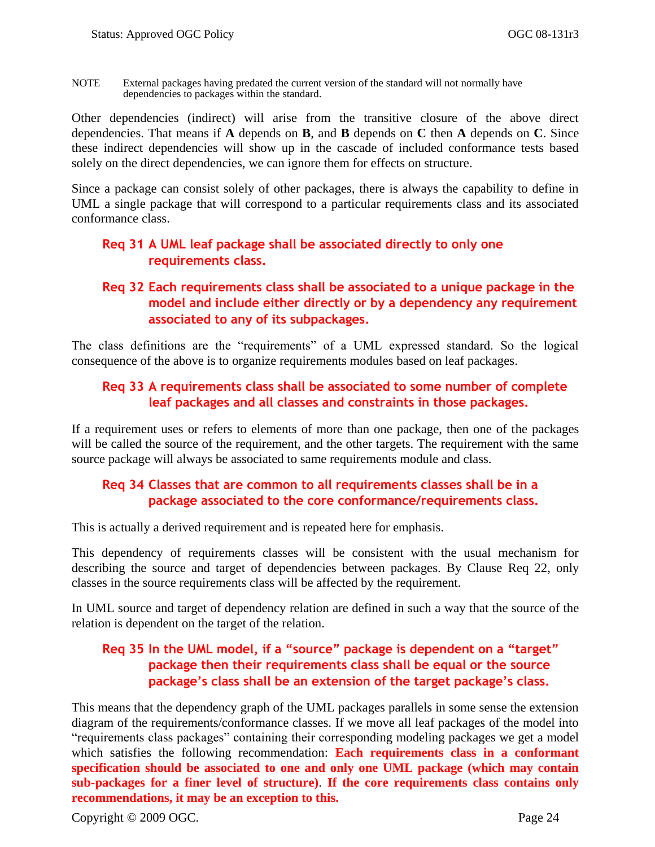NOTE External packages having predated the current version of the standard will not normally have dependencies to packages within the standard.

Other dependencies (indirect) will arise from the transitive closure of the above direct dependencies. That means if **A** depends on **B**, and **B** depends on **C** then **A** depends on **C**. Since these indirect dependencies will show up in the cascade of included conformance tests based solely on the direct dependencies, we can ignore them for effects on structure.

Since a package can consist solely of other packages, there is always the capability to define in UML a single package that will correspond to a particular requirements class and its associated conformance class.

### <span id="page-37-0"></span>**Req 31 A UML leaf package shall be associated directly to only one requirements class.**

### <span id="page-37-1"></span>**Req 32 Each requirements class shall be associated to a unique package in the model and include either directly or by a dependency any requirement associated to any of its subpackages.**

<span id="page-37-2"></span>The class definitions are the "requirements" of a UML expressed standard. So the logical consequence of the above is to organize requirements modules based on leaf packages.

### **Req 33 A requirements class shall be associated to some number of complete leaf packages and all classes and constraints in those packages.**

If a requirement uses or refers to elements of more than one package, then one of the packages will be called the source of the requirement, and the other targets. The requirement with the same source package will always be associated to same requirements module and class.

### <span id="page-37-3"></span>**Req 34 Classes that are common to all requirements classes shall be in a package associated to the core conformance/requirements class.**

This is actually a derived requirement and is repeated here for emphasis.

This dependency of requirements classes will be consistent with the usual mechanism for describing the source and target of dependencies between packages. By Clause [Req 22,](#page-32-6) only classes in the source requirements class will be affected by the requirement.

<span id="page-37-4"></span>In UML source and target of dependency relation are defined in such a way that the source of the relation is dependent on the target of the relation.

### **Req 35 In the UML model, if a "source" package is dependent on a "target" package then their requirements class shall be equal or the source package's class shall be an extension of the target package's class.**

This means that the dependency graph of the UML packages parallels in some sense the extension diagram of the requirements/conformance classes. If we move all leaf packages of the model into "requirements class packages" containing their corresponding modeling packages we get a model which satisfies the following recommendation: **Each requirements class in a conformant specification should be associated to one and only one UML package (which may contain sub-packages for a finer level of structure)**. **If the core requirements class contains only recommendations, it may be an exception to this.**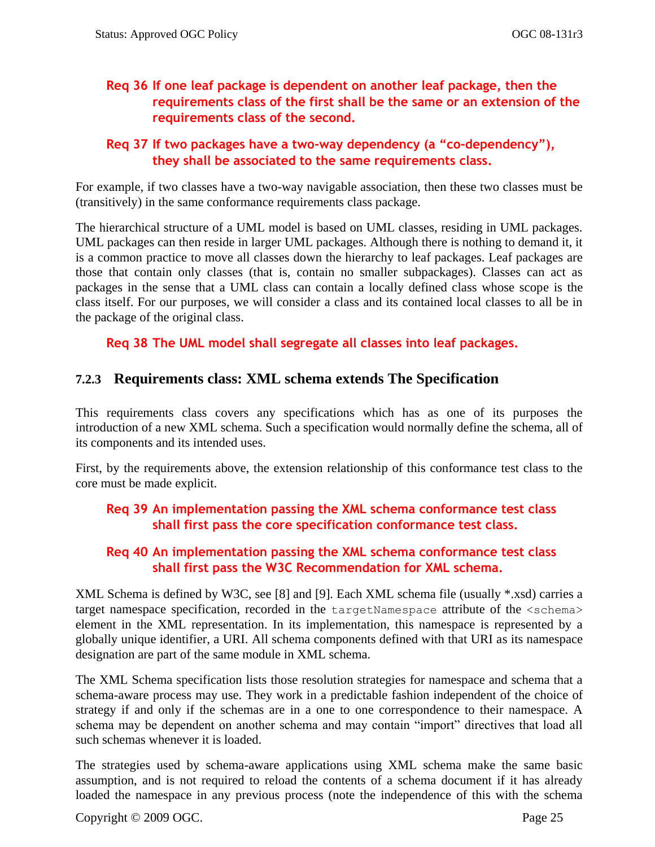## <span id="page-38-1"></span>**Req 36 If one leaf package is dependent on another leaf package, then the requirements class of the first shall be the same or an extension of the requirements class of the second.**

### <span id="page-38-2"></span>**Req 37 If two packages have a two-way dependency (a "co-dependency"), they shall be associated to the same requirements class.**

For example, if two classes have a two-way navigable association, then these two classes must be (transitively) in the same conformance requirements class package.

The hierarchical structure of a UML model is based on UML classes, residing in UML packages. UML packages can then reside in larger UML packages. Although there is nothing to demand it, it is a common practice to move all classes down the hierarchy to leaf packages. Leaf packages are those that contain only classes (that is, contain no smaller subpackages). Classes can act as packages in the sense that a UML class can contain a locally defined class whose scope is the class itself. For our purposes, we will consider a class and its contained local classes to all be in the package of the original class.

<span id="page-38-3"></span>**Req 38 The UML model shall segregate all classes into leaf packages.** 

## <span id="page-38-0"></span>**7.2.3 Requirements class: XML schema extends The Specification**

This requirements class covers any specifications which has as one of its purposes the introduction of a new XML schema. Such a specification would normally define the schema, all of its components and its intended uses.

First, by the requirements above, the extension relationship of this conformance test class to the core must be made explicit.

## <span id="page-38-4"></span>**Req 39 An implementation passing the XML schema conformance test class shall first pass the core specification conformance test class.**

## <span id="page-38-5"></span>**Req 40 An implementation passing the XML schema conformance test class shall first pass the W3C Recommendation for XML schema.**

XML Schema is defined by W3C, see [\[8\]](#page-16-3) and [\[9\].](#page-16-4) Each XML schema file (usually \*.xsd) carries a target namespace specification, recorded in the targetNamespace attribute of the <schema> element in the XML representation. In its implementation, this namespace is represented by a globally unique identifier, a URI. All schema components defined with that URI as its namespace designation are part of the same module in XML schema.

The XML Schema specification lists those resolution strategies for namespace and schema that a schema-aware process may use. They work in a predictable fashion independent of the choice of strategy if and only if the schemas are in a one to one correspondence to their namespace. A schema may be dependent on another schema and may contain "import" directives that load all such schemas whenever it is loaded.

The strategies used by schema-aware applications using XML schema make the same basic assumption, and is not required to reload the contents of a schema document if it has already loaded the namespace in any previous process (note the independence of this with the schema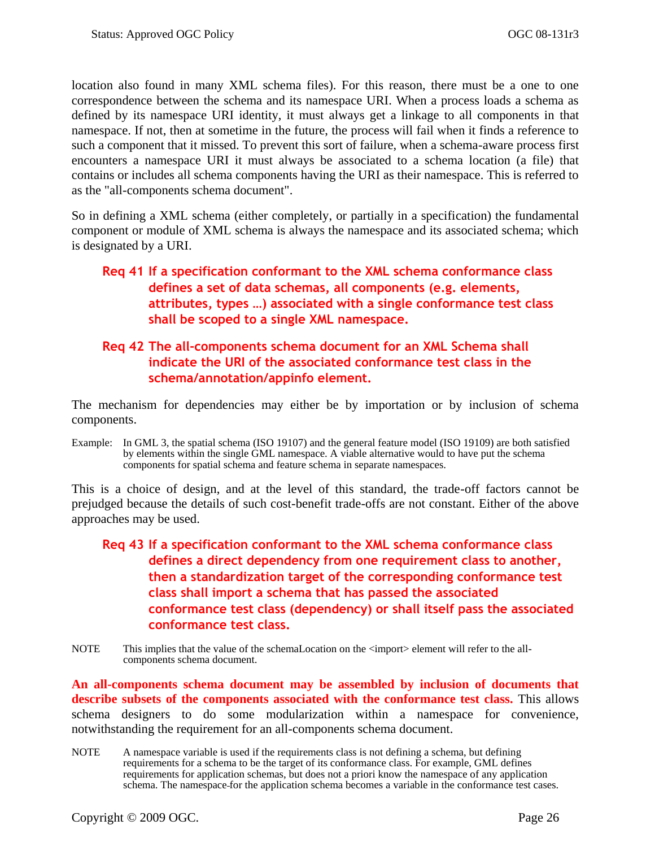location also found in many XML schema files). For this reason, there must be a one to one correspondence between the schema and its namespace URI. When a process loads a schema as defined by its namespace URI identity, it must always get a linkage to all components in that namespace. If not, then at sometime in the future, the process will fail when it finds a reference to such a component that it missed. To prevent this sort of failure, when a schema-aware process first encounters a namespace URI it must always be associated to a schema location (a file) that contains or includes all schema components having the URI as their namespace. This is referred to as the "all-components schema document".

So in defining a XML schema (either completely, or partially in a specification) the fundamental component or module of XML schema is always the namespace and its associated schema; which is designated by a URI.

## <span id="page-39-0"></span>**Req 41 If a specification conformant to the XML schema conformance class defines a set of data schemas, all components (e.g. elements, attributes, types …) associated with a single conformance test class shall be scoped to a single XML namespace.**

### <span id="page-39-1"></span>**Req 42 The all-components schema document for an XML Schema shall indicate the URI of the associated conformance test class in the schema/annotation/appinfo element.**

The mechanism for dependencies may either be by importation or by inclusion of schema components.

Example: In GML 3, the spatial schema (ISO 19107) and the general feature model (ISO 19109) are both satisfied by elements within the single GML namespace. A viable alternative would to have put the schema components for spatial schema and feature schema in separate namespaces.

This is a choice of design, and at the level of this standard, the trade-off factors cannot be prejudged because the details of such cost-benefit trade-offs are not constant. Either of the above approaches may be used.

- <span id="page-39-2"></span>**Req 43 If a specification conformant to the XML schema conformance class defines a direct dependency from one requirement class to another, then a standardization target of the corresponding conformance test class shall import a schema that has passed the associated conformance test class (dependency) or shall itself pass the associated conformance test class.**
- NOTE This implies that the value of the schemaLocation on the  $\langle$ import $\rangle$  element will refer to the allcomponents schema document.

**An all-components schema document may be assembled by inclusion of documents that describe subsets of the components associated with the conformance test class.** This allows schema designers to do some modularization within a namespace for convenience, notwithstanding the requirement for an all-components schema document.

NOTE A namespace variable is used if the requirements class is not defining a schema, but defining requirements for a schema to be the target of its conformance class. For example, GML defines requirements for application schemas, but does not a priori know the namespace of any application schema. The namespace for the application schema becomes a variable in the conformance test cases.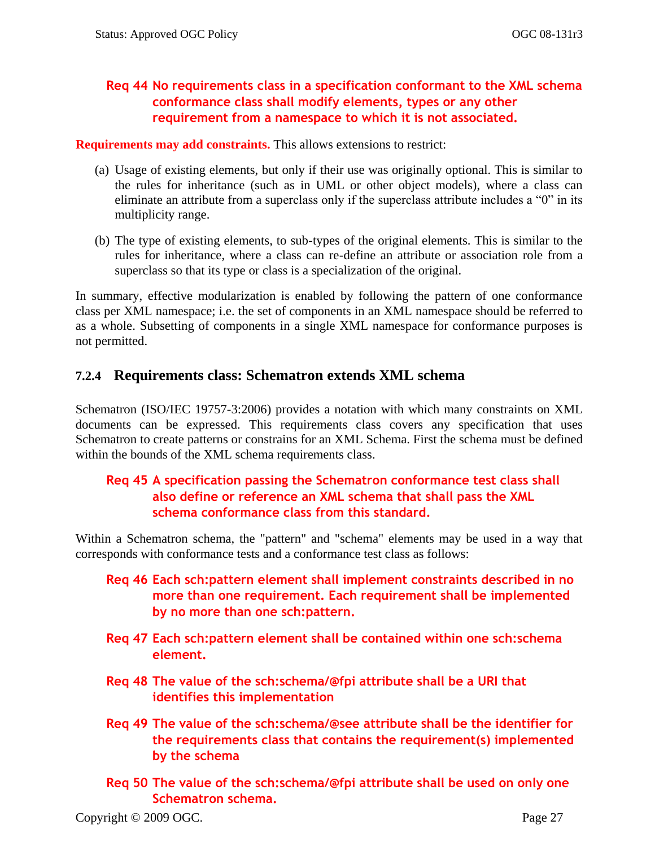## <span id="page-40-1"></span>**Req 44 No requirements class in a specification conformant to the XML schema conformance class shall modify elements, types or any other requirement from a namespace to which it is not associated.**

**Requirements may add constraints.** This allows extensions to restrict:

- (a) Usage of existing elements, but only if their use was originally optional. This is similar to the rules for inheritance (such as in UML or other object models), where a class can eliminate an attribute from a superclass only if the superclass attribute includes a "0" in its multiplicity range.
- (b) The type of existing elements, to sub-types of the original elements. This is similar to the rules for inheritance, where a class can re-define an attribute or association role from a superclass so that its type or class is a specialization of the original.

In summary, effective modularization is enabled by following the pattern of one conformance class per XML namespace; i.e. the set of components in an XML namespace should be referred to as a whole. Subsetting of components in a single XML namespace for conformance purposes is not permitted.

## <span id="page-40-0"></span>**7.2.4 Requirements class: Schematron extends XML schema**

Schematron [\(ISO/IEC 19757-3:2006\)](http://standards.iso.org/ittf/PubliclyAvailableStandards/c040833_ISO_IEC_19757-3_2006%28E%29.zip) provides a notation with which many constraints on XML documents can be expressed. This requirements class covers any specification that uses Schematron to create patterns or constrains for an XML Schema. First the schema must be defined within the bounds of the XML schema requirements class.

## <span id="page-40-2"></span>**Req 45 A specification passing the Schematron conformance test class shall also define or reference an XML schema that shall pass the XML schema conformance class from this standard.**

Within a Schematron schema, the "pattern" and "schema" elements may be used in a way that corresponds with conformance tests and a conformance test class as follows:

- <span id="page-40-3"></span>**Req 46 Each sch:pattern element shall implement constraints described in no more than one requirement. Each requirement shall be implemented by no more than one sch:pattern.**
- <span id="page-40-4"></span>**Req 47 Each sch:pattern element shall be contained within one sch:schema element.**
- <span id="page-40-5"></span>**Req 48 The value of the sch:schema/@fpi attribute shall be a URI that identifies this implementation**
- <span id="page-40-6"></span>**Req 49 The value of the sch:schema/@see attribute shall be the identifier for the requirements class that contains the requirement(s) implemented by the schema**
- <span id="page-40-7"></span>**Req 50 The value of the sch:schema/@fpi attribute shall be used on only one Schematron schema.**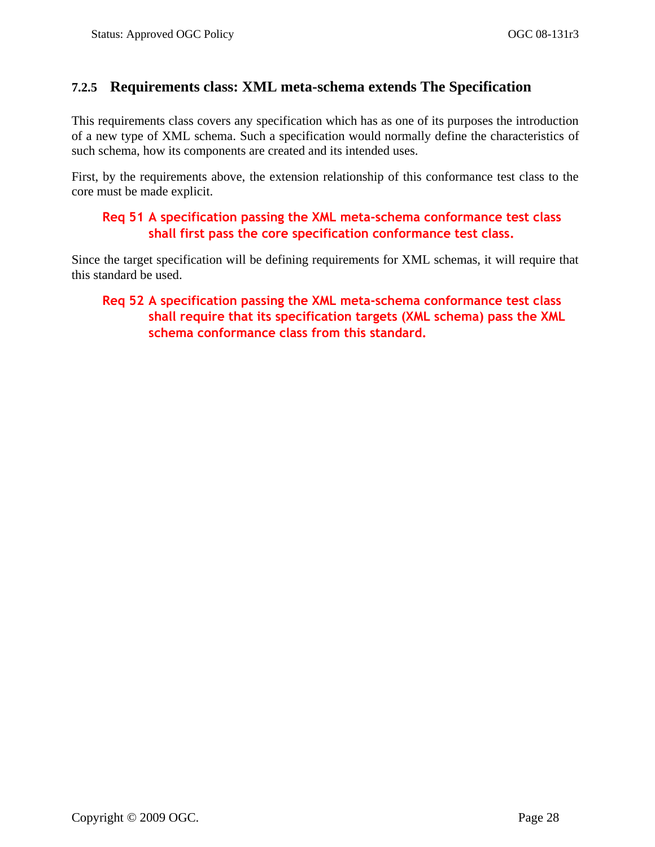## <span id="page-41-0"></span>**7.2.5 Requirements class: XML meta-schema extends The Specification**

This requirements class covers any specification which has as one of its purposes the introduction of a new type of XML schema. Such a specification would normally define the characteristics of such schema, how its components are created and its intended uses.

First, by the requirements above, the extension relationship of this conformance test class to the core must be made explicit.

### <span id="page-41-1"></span>**Req 51 A specification passing the XML meta-schema conformance test class shall first pass the core specification conformance test class.**

<span id="page-41-2"></span>Since the target specification will be defining requirements for XML schemas, it will require that this standard be used.

## **Req 52 A specification passing the XML meta-schema conformance test class shall require that its specification targets (XML schema) pass the XML schema conformance class from this standard.**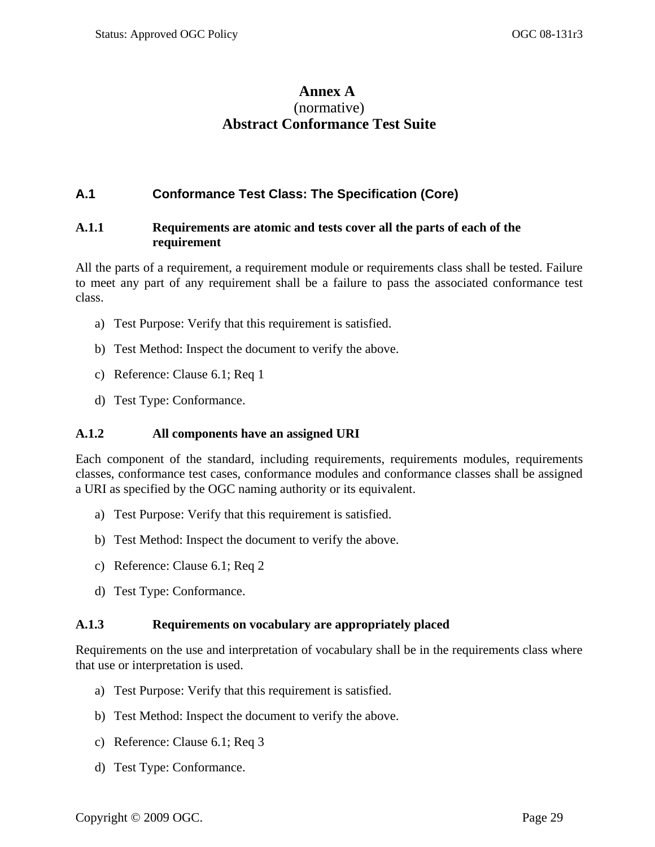## **Annex A** (normative) **Abstract Conformance Test Suite**

### <span id="page-42-1"></span><span id="page-42-0"></span>**A.1 Conformance Test Class: The Specification (Core)**

#### <span id="page-42-2"></span>**A.1.1 Requirements are atomic and tests cover all the parts of each of the requirement**

[All the parts of a requirement, a requirement module or requirements class shall be tested. Failure](#page-23-0)  [to meet any part of any requirement shall be a failure to pass the associated conformance test](#page-23-0)  [class.](#page-23-0)

- a) Test Purpose: Verify that this requirement is satisfied.
- b) Test Method: Inspect the document to verify the above.
- c) Reference: Clause [6.1;](#page-22-1) [Req 1](#page-23-0)
- d) Test Type: Conformance.

#### <span id="page-42-3"></span>**A.1.2 All components have an assigned URI**

[Each component of the standard, including requirements, requirements modules, requirements](#page-23-1)  [classes, conformance test cases, conformance modules and conformance classes shall be assigned](#page-23-1)  [a URI as specified by the OGC naming authority or its equivalent.](#page-23-1)

- a) Test Purpose: Verify that this requirement is satisfied.
- b) Test Method: Inspect the document to verify the above.
- c) Reference: Clause [6.1;](#page-22-1) [Req 2](#page-23-1)
- d) Test Type: Conformance.

#### <span id="page-42-4"></span>**A.1.3 Requirements on vocabulary are appropriately placed**

[Requirements on the use and interpretation of vocabulary shall be in the requirements class where](#page-25-0) [that use or interpretation is used.](#page-25-0)

- a) Test Purpose: Verify that this requirement is satisfied.
- b) Test Method: Inspect the document to verify the above.
- c) Reference: Clause [6.1;](#page-22-1) [Req 3](#page-25-0)
- d) Test Type: Conformance.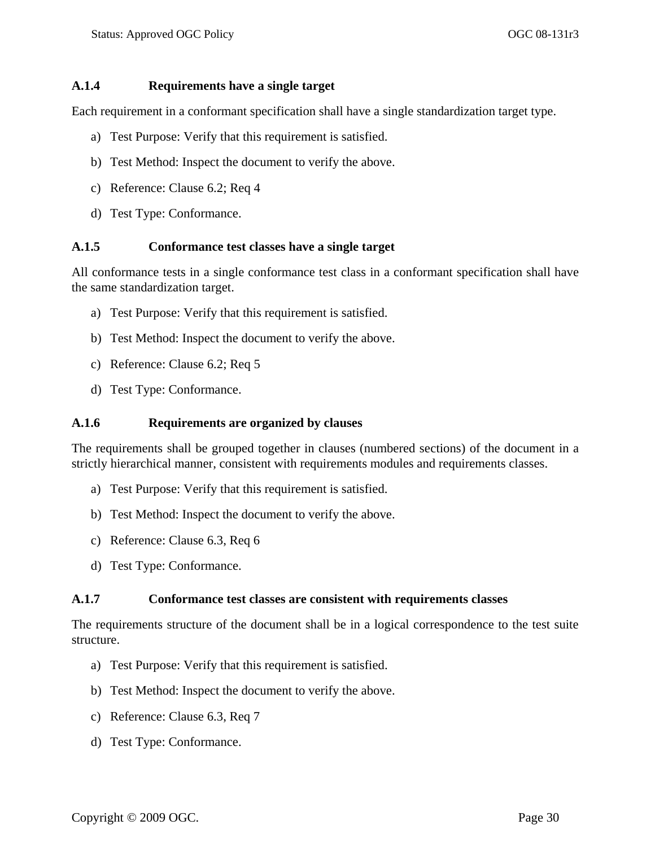#### <span id="page-43-0"></span>**A.1.4 Requirements have a single target**

[Each requirement in a conformant specification shall have a single standardization target type.](#page-26-1)

- a) Test Purpose: Verify that this requirement is satisfied.
- b) Test Method: Inspect the document to verify the above.
- c) Reference: Clause [6.2;](#page-26-0) [Req 4](#page-26-1)
- d) Test Type: Conformance.

#### <span id="page-43-1"></span>**A.1.5 Conformance test classes have a single target**

[All conformance tests in a single conformance test](#page-26-2) class in a conformant specification shall have [the same standardization target.](#page-26-2)

- a) Test Purpose: Verify that this requirement is satisfied.
- b) Test Method: Inspect the document to verify the above.
- c) Reference: Clause [6.2;](#page-26-0) [Req 5](#page-26-2)
- d) Test Type: Conformance.

#### <span id="page-43-2"></span>**A.1.6 Requirements are organized by clauses**

[The requirements shall be grouped together in clauses \(numbered sections\) of the document in a](#page-27-2)  [strictly hierarchical manner, consistent with requirements modules and requirements classes.](#page-27-2)

- a) Test Purpose: Verify that this requirement is satisfied.
- b) Test Method: Inspect the document to verify the above.
- c) Reference: Clause [6.3,](#page-27-0) [Req 6](#page-27-2)
- d) Test Type: Conformance.

#### <span id="page-43-3"></span>**A.1.7 Conformance test classes are consistent with requirements classes**

[The requirements structure of the document shall be in a logical correspondence to the test suite](#page-27-3)  [structure.](#page-27-3)

- a) Test Purpose: Verify that this requirement is satisfied.
- b) Test Method: Inspect the document to verify the above.
- c) Reference: Clause [6.3,](#page-27-0) [Req 7](#page-27-3)
- d) Test Type: Conformance.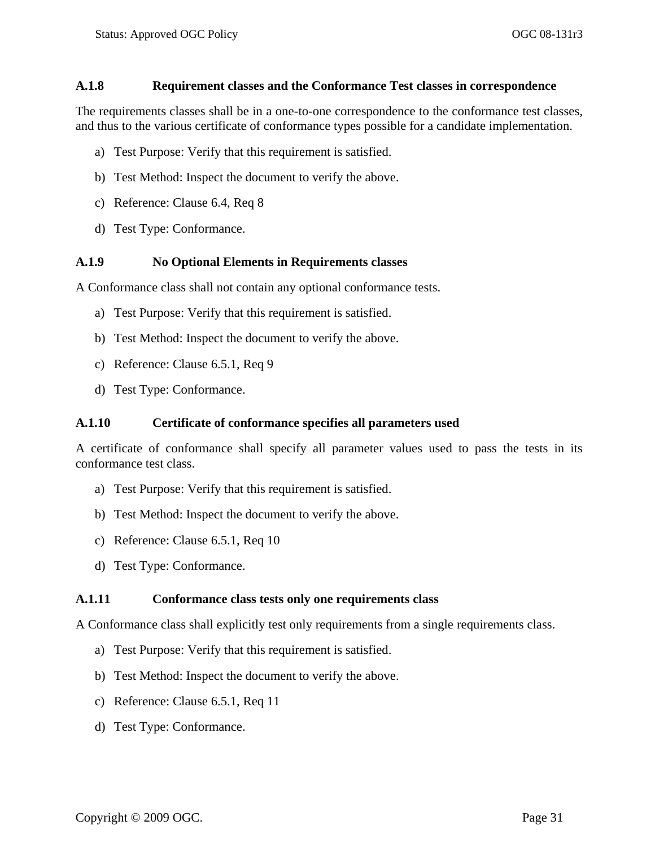#### <span id="page-44-0"></span>**A.1.8 Requirement classes and the Conformance Test classes in correspondence**

[The requirements classes shall be in a one-to-one correspondence to the conformance test classes,](#page-29-2)  [and thus to the various certificate of conformance types possible for a candidate implementation.](#page-29-2)

- a) Test Purpose: Verify that this requirement is satisfied.
- b) Test Method: Inspect the document to verify the above.
- c) Reference: Clause [6.4,](#page-28-0) [Req 8](#page-29-2)
- d) Test Type: Conformance.

### <span id="page-44-1"></span>**A.1.9 No Optional Elements in Requirements classes**

[A Conformance class shall not contain any optional conformance tests.](#page-29-3)

- a) Test Purpose: Verify that this requirement is satisfied.
- b) Test Method: Inspect the document to verify the above.
- c) Reference: Clause 6.5.1, [Req 9](#page-29-3)
- d) Test Type: Conformance.

#### <span id="page-44-2"></span>**A.1.10 Certificate of conformance specifies all parameters used**

[A certificate of conformance shall specify all parameter values used to pass the tests in its](#page-29-4)  [conformance test class.](#page-29-4)

- a) Test Purpose: Verify that this requirement is satisfied.
- b) Test Method: Inspect the document to verify the above.
- c) Reference: Clause 6.5.1, [Req 10](#page-29-4)
- d) Test Type: Conformance.

#### <span id="page-44-3"></span>**A.1.11 Conformance class tests only one requirements class**

[A Conformance class shall explicitly test only requirements from a single](#page-29-5) requirements class.

- a) Test Purpose: Verify that this requirement is satisfied.
- b) Test Method: Inspect the document to verify the above.
- c) Reference: Clause 6.5.1, [Req 11](#page-29-5)
- d) Test Type: Conformance.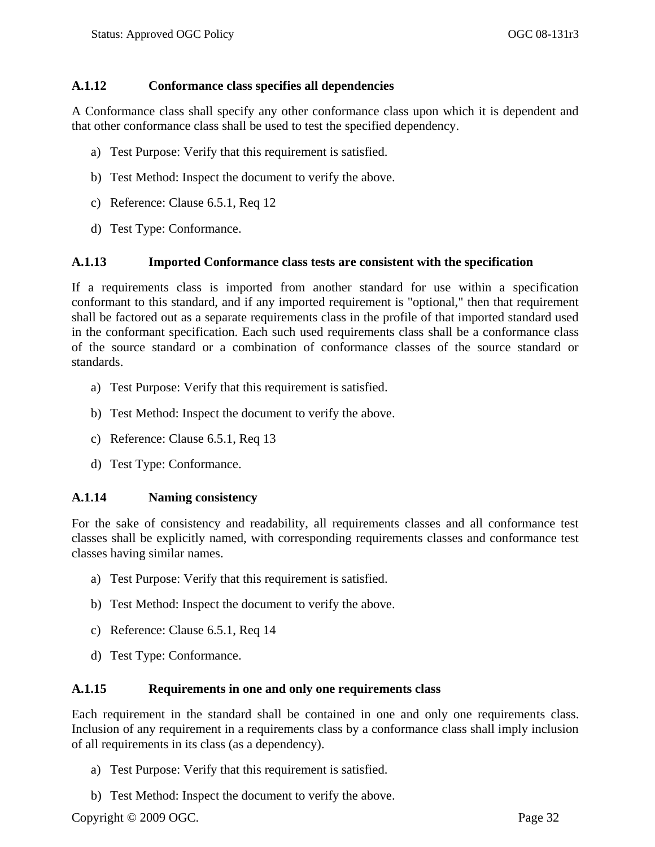#### <span id="page-45-0"></span>**A.1.12 Conformance class specifies all dependencies**

[A Conformance class shall specify any other conformance class upon which it is dependent and](#page-30-0)  [that other conformance class shall be used to test the specified dependency.](#page-30-0)

- a) Test Purpose: Verify that this requirement is satisfied.
- b) Test Method: Inspect the document to verify the above.
- c) Reference: Clause 6.5.1, [Req 12](#page-30-0)
- d) Test Type: Conformance.

#### <span id="page-45-1"></span>**A.1.13 Imported Conformance class tests are consistent with the specification**

[If a requirements class is imported from another standard for use within a specification](#page-30-1)  conformant [to this standard, and if any imported requirement is "optional," then that requirement](#page-30-1)  [shall be factored out as a separate requirements class in the profile of that imported standard used](#page-30-1)  [in the conformant specification. Each such used requirements class shall be a conformance class](#page-30-1)  [of the source standard or a combination of conformance classes of the source standard or](#page-30-1)  [standards.](#page-30-1)

- a) Test Purpose: Verify that this requirement is satisfied.
- b) Test Method: Inspect the document to verify the above.
- c) Reference: Clause 6.5.1, [Req 13](#page-30-1)
- d) Test Type: Conformance.

#### <span id="page-45-2"></span>**A.1.14 Naming consistency**

[For the sake of consistency and readability, all requirements classes and all conformance test](#page-30-2)  classes shall be explicitly named, [with corresponding requirements classes and conformance test](#page-30-2)  [classes having similar names.](#page-30-2)

- a) Test Purpose: Verify that this requirement is satisfied.
- b) Test Method: Inspect the document to verify the above.
- c) Reference: Clause 6.5.1, [Req 14](#page-30-2)
- d) Test Type: Conformance.

#### <span id="page-45-3"></span>**A.1.15 Requirements in one and only one requirements class**

[Each requirement in the standard shall be contained in one and only one requirements class.](#page-31-1)  [Inclusion of any requirement in a requirements class by a conformance class shall imply inclusion](#page-31-1)  [of all requirements in its class \(as a dependency\).](#page-31-1)

- a) Test Purpose: Verify that this requirement is satisfied.
- b) Test Method: Inspect the document to verify the above.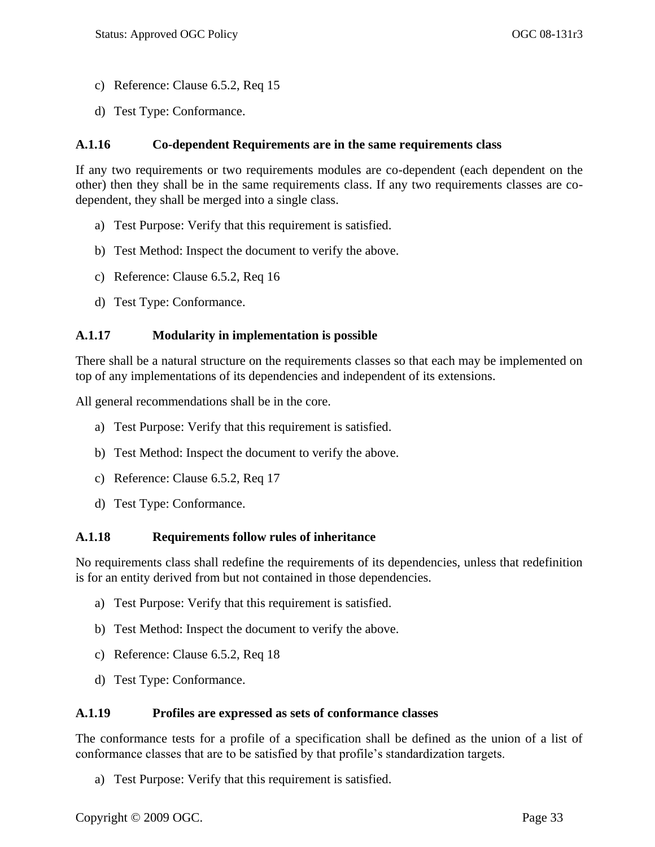- c) Reference: Clause 6.5.2, [Req 15](#page-31-1)
- d) Test Type: Conformance.

#### <span id="page-46-0"></span>**A.1.16 Co-dependent Requirements are in the same requirements class**

[If any two requirements or two requirements modules are co-dependent \(each dependent on the](#page-31-2)  other) then [they shall be in the same requirements class. If any two requirements classes are co](#page-31-2)[dependent, they shall be merged into a single class.](#page-31-2)

- a) Test Purpose: Verify that this requirement is satisfied.
- b) Test Method: Inspect the document to verify the above.
- c) Reference: Clause 6.5.2, [Req 16](#page-31-2)
- d) Test Type: Conformance.

### <span id="page-46-1"></span>**A.1.17 Modularity in implementation is possible**

[There shall be a natural structure on the requirements classes so that each may be implemented on](#page-31-3)  [top of any implementations of its dependencies and independent of its extensions.](#page-31-3)

[All general recommendations shall](#page-32-5) be in the core.

- a) Test Purpose: Verify that this requirement is satisfied.
- b) Test Method: Inspect the document to verify the above.
- c) Reference: Clause 6.5.2, [Req 17](#page-31-3)
- d) Test Type: Conformance.

#### <span id="page-46-2"></span>**A.1.18 Requirements follow rules of inheritance**

[No requirements class shall redefine the requirements of its dependencies, unless that redefinition](#page-32-2)  [is for an entity derived from but not contained in those dependencies.](#page-32-2)

- a) Test Purpose: Verify that this requirement is satisfied.
- b) Test Method: Inspect the document to verify the above.
- c) Reference: Clause 6.5.2, [Req 18](#page-32-2)
- d) Test Type: Conformance.

#### <span id="page-46-3"></span>**A.1.19 Profiles are expressed as sets of conformance classes**

[The conformance tests for a profile of a specification shall be defined as the union of a list of](#page-32-3)  [conformance classes that are to be satisfied by that profile's standardization targets.](#page-32-3)

a) Test Purpose: Verify that this requirement is satisfied.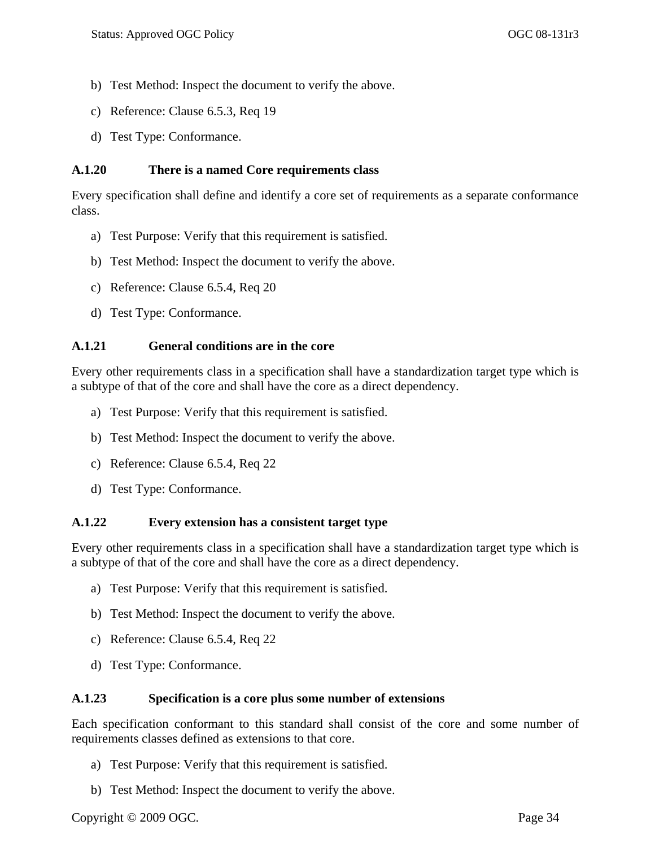- b) Test Method: Inspect the document to verify the above.
- c) Reference: Clause [6.5.3,](#page-32-0) [Req 19](#page-32-3)
- d) Test Type: Conformance.

#### <span id="page-47-0"></span>**A.1.20 There is a named Core requirements class**

[Every specification shall define and identify a core set of requirements as a separate conformance](#page-32-4)  [class.](#page-32-4)

- a) Test Purpose: Verify that this requirement is satisfied.
- b) Test Method: Inspect the document to verify the above.
- c) Reference: Clause [6.5.4,](#page-32-1) [Req 20](#page-32-4)
- d) Test Type: Conformance.

### <span id="page-47-1"></span>**A.1.21 General conditions are in the core**

[Every other requirements class in a specification shall have a standardization target type which is](#page-32-6)  [a subtype of that of the core and shall have the core as a direct dependency.](#page-32-6)

- a) Test Purpose: Verify that this requirement is satisfied.
- b) Test Method: Inspect the document to verify the above.
- c) Reference: Clause [6.5.4,](#page-32-1) [Req 22](#page-32-6)
- d) Test Type: Conformance.

#### <span id="page-47-2"></span>**A.1.22 Every extension has a consistent target type**

[Every other requirements class in a specification shall have a standardization target type which is](#page-32-6)  [a subtype of that of the core and shall have the core as a direct dependency.](#page-32-6)

- a) Test Purpose: Verify that this requirement is satisfied.
- b) Test Method: Inspect the document to verify the above.
- c) Reference: Clause [6.5.4,](#page-32-1) [Req 22](#page-32-6)
- d) Test Type: Conformance.

#### <span id="page-47-3"></span>**A.1.23 Specification is a core plus some number of extensions**

[Each specification conformant to this standard shall consist of the core and some number of](#page-33-2)  [requirements classes defined as extensions to that core.](#page-33-2)

- a) Test Purpose: Verify that this requirement is satisfied.
- b) Test Method: Inspect the document to verify the above.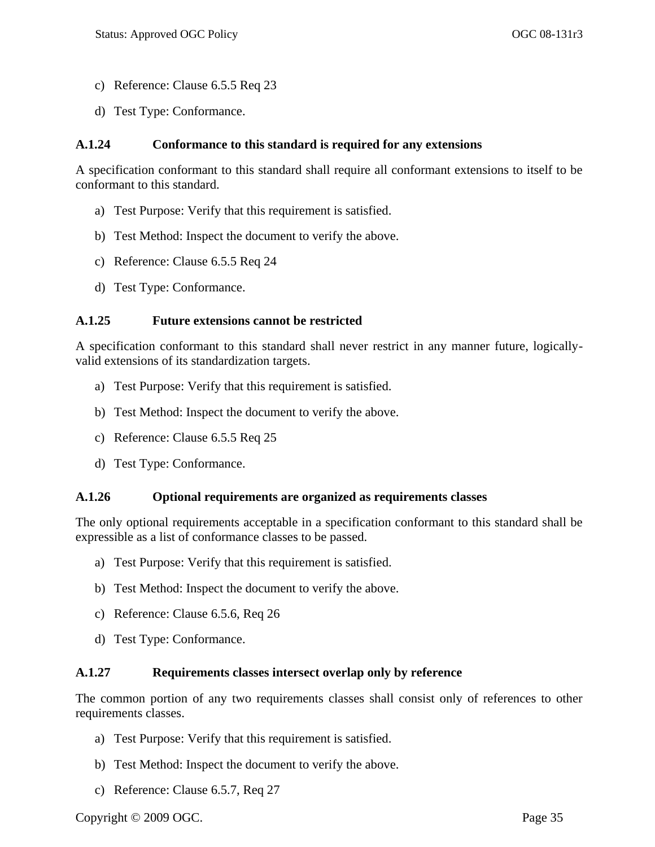- c) Reference: Clause [6.5.5](#page-33-0) [Req 23](#page-33-2)
- d) Test Type: Conformance.

#### <span id="page-48-0"></span>**A.1.24 Conformance to this standard is required for any extensions**

[A specification conformant to this standard shall require all conformant extensions to itself to be](#page-33-3)  [conformant to this standard.](#page-33-3)

- a) Test Purpose: Verify that this requirement is satisfied.
- b) Test Method: Inspect the document to verify the above.
- c) Reference: Clause [6.5.5](#page-33-0) [Req 24](#page-33-3)
- d) Test Type: Conformance.

### <span id="page-48-1"></span>**A.1.25 Future extensions cannot be restricted**

[A specification conformant to this standard shall never restrict in any manner future, logically](#page-33-4)[valid extensions of its standardization targets.](#page-33-4)

- a) Test Purpose: Verify that this requirement is satisfied.
- b) Test Method: Inspect the document to verify the above.
- c) Reference: Clause [6.5.5](#page-33-0) [Req 25](#page-33-4)
- <span id="page-48-2"></span>d) Test Type: Conformance.

#### **A.1.26 [Optional requirements are organized as requirements classes](#page-33-1)**

[The only optional requirements acceptable in a specification conformant to this standard shall be](#page-33-5)  [expressible as a list of conformance classes to be passed.](#page-33-5)

- a) Test Purpose: Verify that this requirement is satisfied.
- b) Test Method: Inspect the document to verify the above.
- c) Reference: Clause [6.5.6,](#page-33-1) [Req 26](#page-33-5)
- <span id="page-48-3"></span>d) Test Type: Conformance.

#### **A.1.27 [Requirements classes intersect overlap only by reference](#page-34-0)**

[The common portion of any two requirements classes shall consist only of references to other](#page-34-5)  [requirements classes.](#page-34-5)

- a) Test Purpose: Verify that this requirement is satisfied.
- b) Test Method: Inspect the document to verify the above.
- c) Reference: Clause [6.5.7,](#page-34-0) [Req 27](#page-34-5)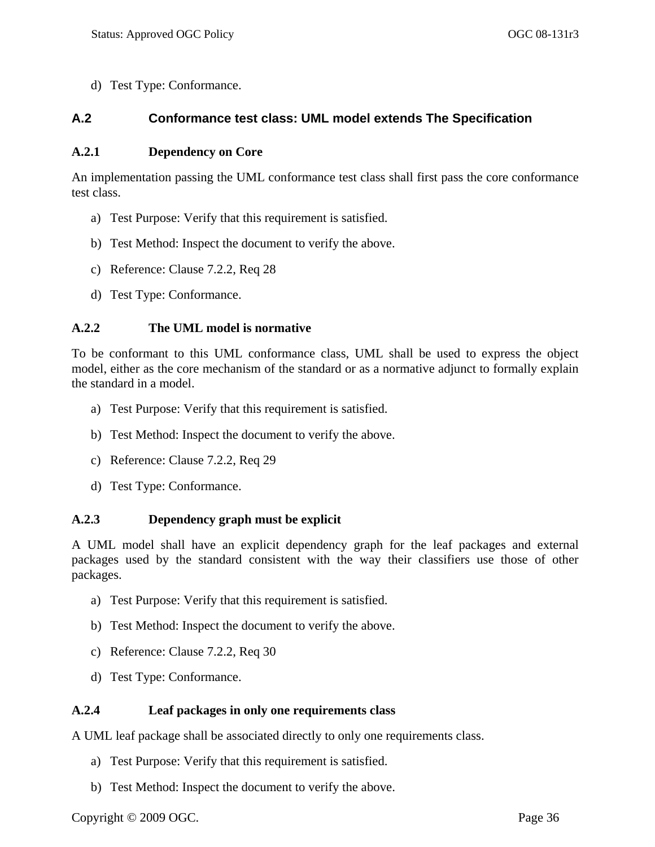d) Test Type: Conformance.

### <span id="page-49-0"></span>**A.2 Conformance test class: UML model extends The Specification**

#### <span id="page-49-1"></span>**A.2.1 Dependency on Core**

[An implementation passing the UML conformance test class shall first pass the core conformance](#page-35-1)  [test class.](#page-35-1)

- a) Test Purpose: Verify that this requirement is satisfied.
- b) Test Method: Inspect the document to verify the above.
- c) Reference: Clause [7.2.2,](#page-35-0) [Req 28](#page-35-1)
- d) Test Type: Conformance.

### <span id="page-49-2"></span>**A.2.2 The UML model is normative**

[To be conformant to this UML conformance class, UML shall be used to express the object](#page-36-0)  [model, either as the core mechanism of the standard or as a normative adjunct to formally explain](#page-36-0)  [the standard in a model.](#page-36-0)

- a) Test Purpose: Verify that this requirement is satisfied.
- b) Test Method: Inspect the document to verify the above.
- c) Reference: Clause [7.2.2,](#page-35-0) [Req 29](#page-36-0)
- d) Test Type: Conformance.

### <span id="page-49-3"></span>**A.2.3 Dependency graph must be explicit**

A UML model shall [have an explicit dependency graph for the leaf packages and external](#page-36-1)  [packages used by the standard consistent with the way their classifiers use those of other](#page-36-1)  [packages.](#page-36-1)

- a) Test Purpose: Verify that this requirement is satisfied.
- b) Test Method: Inspect the document to verify the above.
- c) Reference: Clause [7.2.2,](#page-35-0) [Req 30](#page-36-1)
- d) Test Type: Conformance.

### <span id="page-49-4"></span>**A.2.4 Leaf packages in only one requirements class**

[A UML leaf package shall be associated directly to only one requirements class.](#page-37-0)

- a) Test Purpose: Verify that this requirement is satisfied.
- b) Test Method: Inspect the document to verify the above.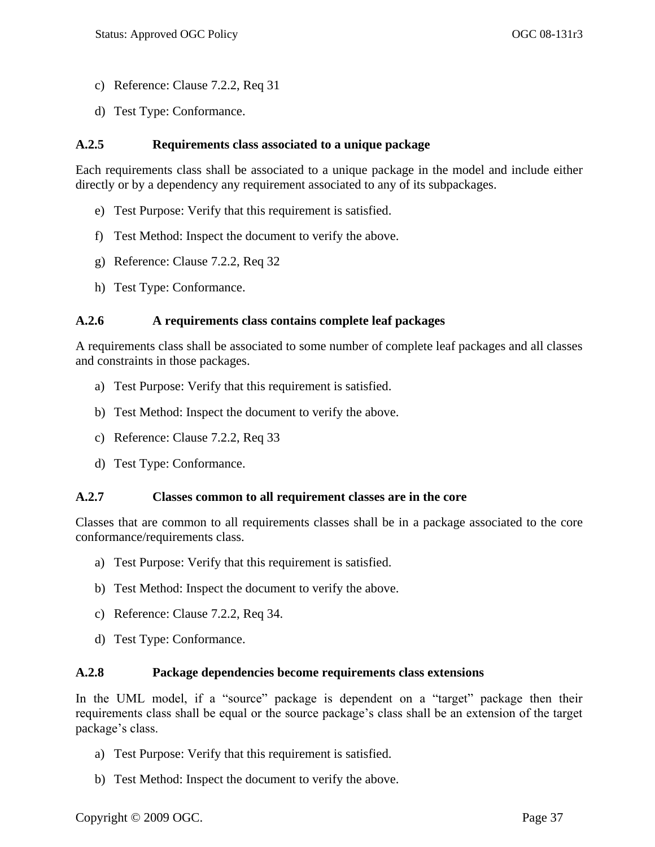- c) Reference: Clause [7.2.2,](#page-35-0) [Req 31](#page-37-0)
- d) Test Type: Conformance.

#### <span id="page-50-0"></span>**A.2.5 Requirements class associated to a unique package**

[Each requirements class shall be associated to a unique package in the model and include either](#page-37-1)  [directly or by a dependency any requirement associated to any of its subpackages.](#page-37-1)

- e) Test Purpose: Verify that this requirement is satisfied.
- f) Test Method: Inspect the document to verify the above.
- g) Reference: Clause [7.2.2,](#page-35-0) [Req 32](#page-37-1)
- h) Test Type: Conformance.

#### <span id="page-50-1"></span>**A.2.6 A requirements class contains complete leaf packages**

[A requirements class shall be associated to some number of complete leaf packages and all classes](#page-37-2)  [and constraints in those packages.](#page-37-2)

- a) Test Purpose: Verify that this requirement is satisfied.
- b) Test Method: Inspect the document to verify the above.
- c) Reference: Clause [7.2.2,](#page-35-0) [Req 33](#page-37-2)
- d) Test Type: Conformance.

#### <span id="page-50-2"></span>**A.2.7 Classes common to all requirement classes are in the core**

[Classes that are common to all requirements classes shall be in a package associated to the core](#page-37-3)  [conformance/requirements class.](#page-37-3)

- a) Test Purpose: Verify that this requirement is satisfied.
- b) Test Method: Inspect the document to verify the above.
- c) Reference: Clause [7.2.2,](#page-35-0) [Req 34.](#page-37-3)
- d) Test Type: Conformance.

#### <span id="page-50-3"></span>**A.2.8 Package dependencies become requirements class extensions**

In the UML model, if a "source" package is dependent on a "target" package then their [requirements class shall be equal or the source package's class shall be an extension of the target](#page-37-4)  [package's class.](#page-37-4)

- a) Test Purpose: Verify that this requirement is satisfied.
- b) Test Method: Inspect the document to verify the above.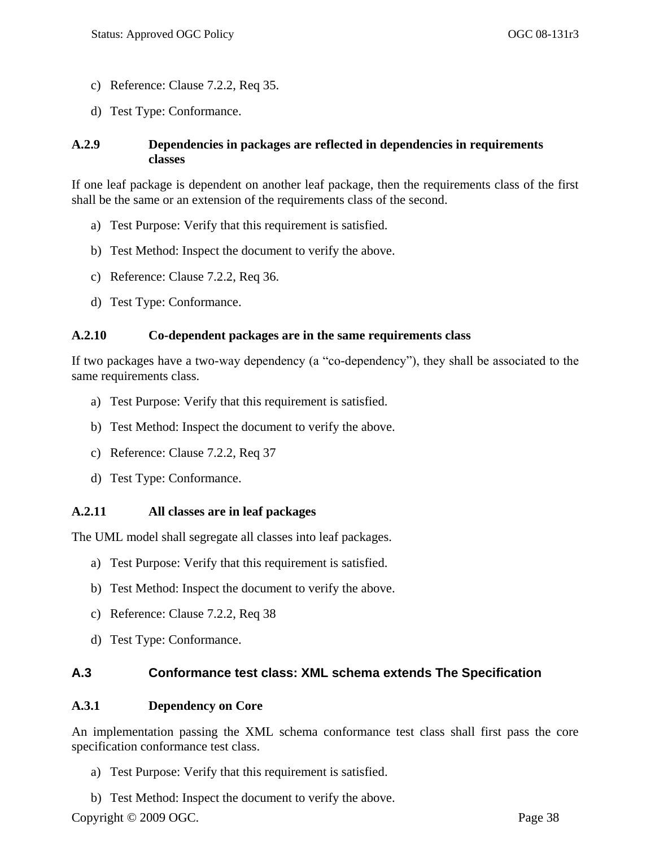- c) Reference: Clause [7.2.2,](#page-35-0) [Req 35.](#page-37-4)
- d) Test Type: Conformance.

### <span id="page-51-0"></span>**A.2.9 Dependencies in packages are reflected in dependencies in requirements classes**

[If one leaf package is dependent on another leaf package, then the requirements class of the first](#page-38-1)  [shall be the same or an extension of the requirements class of the second.](#page-38-1)

- a) Test Purpose: Verify that this requirement is satisfied.
- b) Test Method: Inspect the document to verify the above.
- c) Reference: Clause [7.2.2,](#page-35-0) [Req 36.](#page-38-1)
- d) Test Type: Conformance.

#### <span id="page-51-1"></span>**A.2.10 Co-dependent packages are in the same requirements class**

If two packages have a two-way dependency (a "co-dependency"), they shall be associated to the [same requirements class.](#page-38-2)

- a) Test Purpose: Verify that this requirement is satisfied.
- b) Test Method: Inspect the document to verify the above.
- c) Reference: Clause [7.2.2,](#page-35-0) [Req 37](#page-38-2)
- d) Test Type: Conformance.

#### <span id="page-51-2"></span>**A.2.11 All classes are in leaf packages**

[The UML model shall segregate all classes into leaf packages.](#page-38-3)

- a) Test Purpose: Verify that this requirement is satisfied.
- b) Test Method: Inspect the document to verify the above.
- c) Reference: Clause [7.2.2,](#page-35-0) [Req 38](#page-38-3)
- d) Test Type: Conformance.

### <span id="page-51-3"></span>**A.3 Conformance test class: XML schema extends The Specification**

#### <span id="page-51-4"></span>**A.3.1 Dependency on Core**

[An implementation passing the XML schema conformance test class shall first pass the core](#page-38-4)  [specification conformance test class.](#page-38-4)

a) Test Purpose: Verify that this requirement is satisfied.

Copyright © 2009 OGC. Page 38 b) Test Method: Inspect the document to verify the above.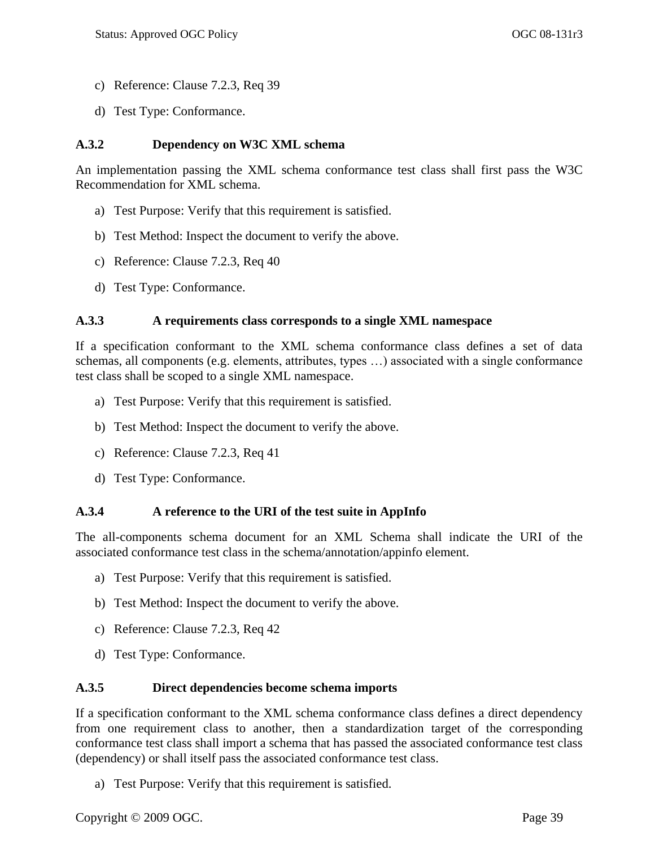- c) Reference: Clause [7.2.3,](#page-38-0) [Req 39](#page-38-4)
- d) Test Type: Conformance.

### <span id="page-52-0"></span>**A.3.2 Dependency on W3C XML schema**

[An implementation passing the XML schema conformance test class shall first pass the W3C](#page-38-5)  [Recommendation for XML schema.](#page-38-5)

- a) Test Purpose: Verify that this requirement is satisfied.
- b) Test Method: Inspect the document to verify the above.
- c) Reference: Clause [7.2.3,](#page-38-0) [Req 40](#page-38-5)
- d) Test Type: Conformance.

#### <span id="page-52-1"></span>**A.3.3 A requirements class corresponds to a single XML namespace**

[If a specification conformant to the XML schema conformance class defines a set of data](#page-39-0)  [schemas, all components \(e.g. elements, attributes, types …\) associated with a single conformance](#page-39-0)  [test class shall be scoped to a single XML namespace.](#page-39-0)

- a) Test Purpose: Verify that this requirement is satisfied.
- b) Test Method: Inspect the document to verify the above.
- c) Reference: Clause [7.2.3,](#page-38-0) [Req 41](#page-39-0)
- d) Test Type: Conformance.

#### <span id="page-52-2"></span>**A.3.4 A reference to the URI of the test suite in AppInfo**

[The all-components schema document for an XML Schema shall indicate the URI of the](#page-39-1)  [associated conformance test class in the schema/annotation/appinfo element.](#page-39-1)

- a) Test Purpose: Verify that this requirement is satisfied.
- b) Test Method: Inspect the document to verify the above.
- c) Reference: Clause [7.2.3,](#page-38-0) [Req 42](#page-39-1)
- d) Test Type: Conformance.

#### <span id="page-52-3"></span>**A.3.5 Direct dependencies become schema imports**

[If a specification conformant to the XML schema conformance class defines a direct dependency](#page-39-2)  [from one requirement class to another, then a standardization target of the corresponding](#page-39-2)  [conformance test class shall import a schema that has passed the associated conformance test class](#page-39-2)  [\(dependency\) or shall itself pass the associated conformance test class.](#page-39-2)

a) Test Purpose: Verify that this requirement is satisfied.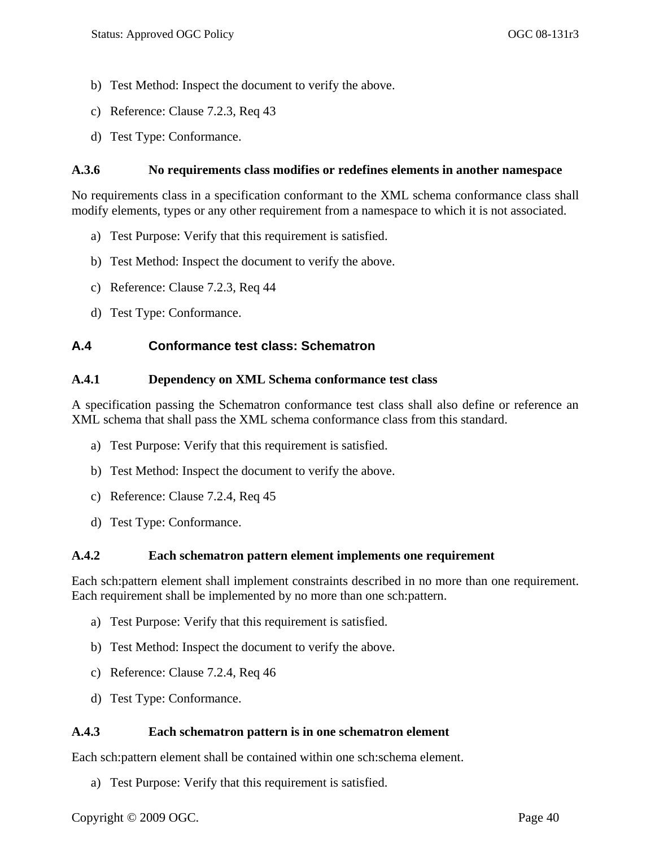- b) Test Method: Inspect the document to verify the above.
- c) Reference: Clause [7.2.3,](#page-38-0) [Req 43](#page-39-2)
- d) Test Type: Conformance.

#### <span id="page-53-0"></span>**A.3.6 No requirements class modifies or redefines elements in another namespace**

[No requirements class in a specification conformant to the XML schema conformance class](#page-40-1) shall [modify elements, types or any other requirement from a namespace to which it is not associated.](#page-40-1)

- a) Test Purpose: Verify that this requirement is satisfied.
- b) Test Method: Inspect the document to verify the above.
- c) Reference: Clause [7.2.3,](#page-38-0) [Req 44](#page-40-1)
- d) Test Type: Conformance.

### <span id="page-53-1"></span>**A.4 Conformance test class: Schematron**

#### <span id="page-53-2"></span>**A.4.1 Dependency on XML Schema conformance test class**

[A specification passing the Schematron conformance test class shall also define or reference an](#page-40-2)  [XML schema that shall pass the XML schema conformance class from this standard.](#page-40-2)

- a) Test Purpose: Verify that this requirement is satisfied.
- b) Test Method: Inspect the document to verify the above.
- c) Reference: Clause [7.2.4,](#page-40-0) [Req 45](#page-40-2)
- d) Test Type: Conformance.

#### <span id="page-53-3"></span>**A.4.2 Each schematron pattern element implements one requirement**

[Each sch:pattern element shall implement constraints described in no more than one requirement.](#page-40-3)  [Each requirement shall be implemented by no more than one sch:pattern.](#page-40-3)

- a) Test Purpose: Verify that this requirement is satisfied.
- b) Test Method: Inspect the document to verify the above.
- c) Reference: Clause [7.2.4,](#page-40-0) [Req 46](#page-40-3)
- d) Test Type: Conformance.

### <span id="page-53-4"></span>**A.4.3 Each schematron pattern is in one schematron element**

[Each sch:pattern element shall be contained within one sch:schema element.](#page-40-4)

a) Test Purpose: Verify that this requirement is satisfied.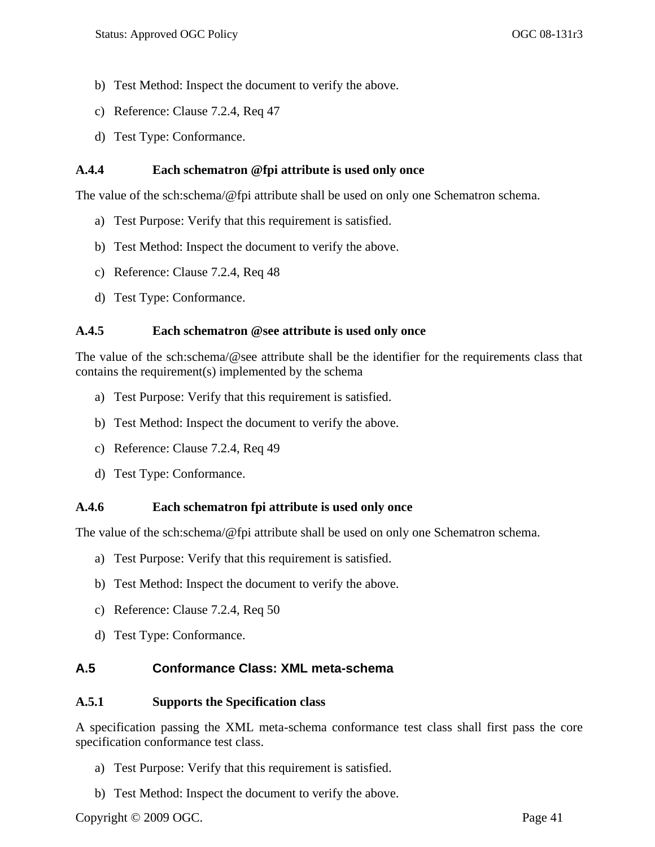- b) Test Method: Inspect the document to verify the above.
- c) Reference: Clause [7.2.4,](#page-40-0) [Req 47](#page-40-4)
- d) Test Type: Conformance.

### <span id="page-54-0"></span>**A.4.4 Each schematron @fpi attribute is used only once**

[The value of the sch:schema/@fpi attribute shall be used on only one Schematron schema.](#page-40-7)

- a) Test Purpose: Verify that this requirement is satisfied.
- b) Test Method: Inspect the document to verify the above.
- c) Reference: Clause [7.2.4,](#page-40-0) [Req 48](#page-40-5)
- d) Test Type: Conformance.

### <span id="page-54-1"></span>**A.4.5 Each schematron @see attribute is used only once**

[The value of the sch:schema/@see attribute shall be the identifier for the requirements class that](#page-40-6)  [contains the requirement\(s\) implemented by the schema](#page-40-6)

- a) Test Purpose: Verify that this requirement is satisfied.
- b) Test Method: Inspect the document to verify the above.
- c) Reference: Clause [7.2.4,](#page-40-0) [Req 49](#page-40-6)
- d) Test Type: Conformance.

#### <span id="page-54-2"></span>**A.4.6 Each schematron fpi attribute is used only once**

[The value of the sch:schema/@fpi attribute shall be used on only one Schematron schema.](#page-40-7)

- a) Test Purpose: Verify that this requirement is satisfied.
- b) Test Method: Inspect the document to verify the above.
- c) Reference: Clause [7.2.4,](#page-40-0) [Req 50](#page-40-7)
- d) Test Type: Conformance.

### <span id="page-54-3"></span>**A.5 Conformance Class: XML meta-schema**

#### <span id="page-54-4"></span>**A.5.1 Supports the Specification class**

[A specification passing the XML meta-schema conformance test class shall first pass the core](#page-41-1)  [specification conformance test class.](#page-41-1)

- a) Test Purpose: Verify that this requirement is satisfied.
- b) Test Method: Inspect the document to verify the above.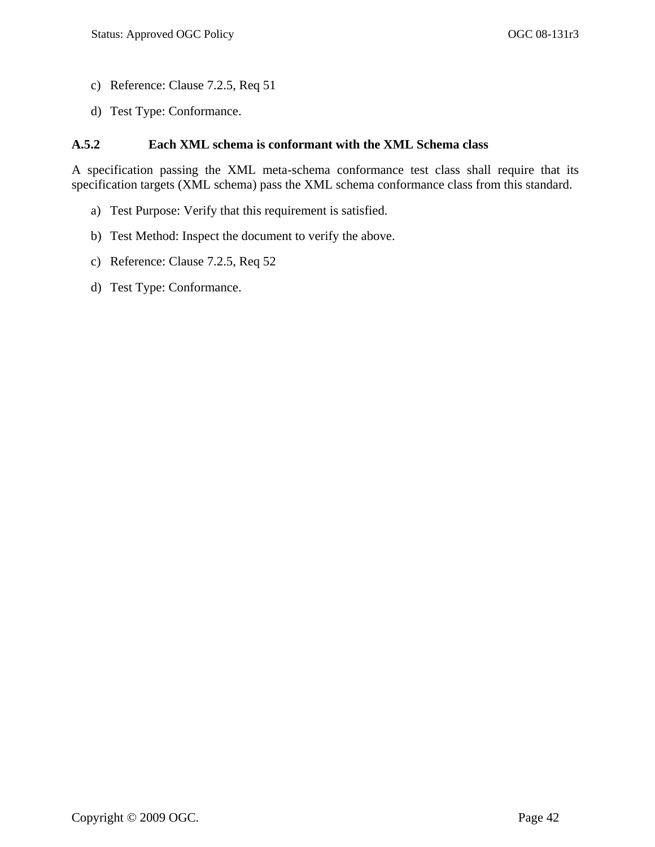- c) Reference: Clause [7.2.5,](#page-41-0) [Req 51](#page-41-1)
- d) Test Type: Conformance.

### <span id="page-55-0"></span>**A.5.2 Each XML schema is conformant with the XML Schema class**

[A specification passing the XML meta-schema conformance test class shall require that its](#page-41-2)  [specification targets \(XML schema\) pass the XML schema conformance class from this standard.](#page-41-2)

- a) Test Purpose: Verify that this requirement is satisfied.
- b) Test Method: Inspect the document to verify the above.
- c) Reference: Clause [7.2.5,](#page-41-0) [Req 52](#page-41-2)
- d) Test Type: Conformance.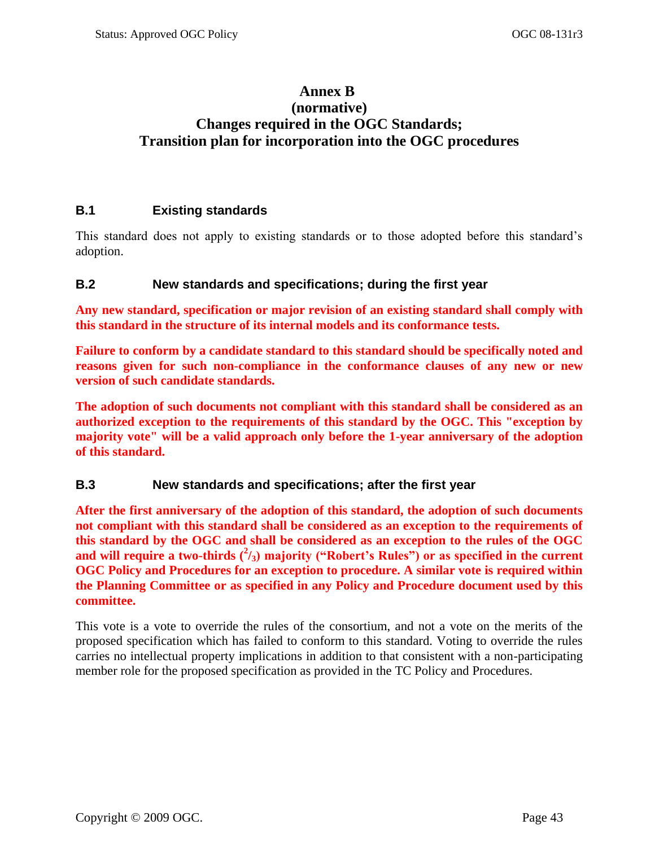## <span id="page-56-0"></span>**Annex B (normative) Changes required in the OGC Standards; Transition plan for incorporation into the OGC procedures**

### <span id="page-56-1"></span>**B.1 Existing standards**

This standard does not apply to existing standards or to those adopted before this standard's adoption.

### <span id="page-56-2"></span>**B.2 New standards and specifications; during the first year**

**Any new standard, specification or major revision of an existing standard shall comply with this standard in the structure of its internal models and its conformance tests.** 

**Failure to conform by a candidate standard to this standard should be specifically noted and reasons given for such non-compliance in the conformance clauses of any new or new version of such candidate standards.** 

**The adoption of such documents not compliant with this standard shall be considered as an authorized exception to the requirements of this standard by the OGC. This "exception by majority vote" will be a valid approach only before the 1-year anniversary of the adoption of this standard.** 

### <span id="page-56-3"></span>**B.3 New standards and specifications; after the first year**

**After the first anniversary of the adoption of this standard, the adoption of such documents not compliant with this standard shall be considered as an exception to the requirements of this standard by the OGC and shall be considered as an exception to the rules of the OGC**  and will require a two-thirds ( $^{2}/_{3}$ ) majority ("Robert's Rules") or as specified in the current **OGC Policy and Procedures for an exception to procedure. A similar vote is required within the Planning Committee or as specified in any Policy and Procedure document used by this committee.**

This vote is a vote to override the rules of the consortium, and not a vote on the merits of the proposed specification which has failed to conform to this standard. Voting to override the rules carries no intellectual property implications in addition to that consistent with a non-participating member role for the proposed specification as provided in the TC Policy and Procedures.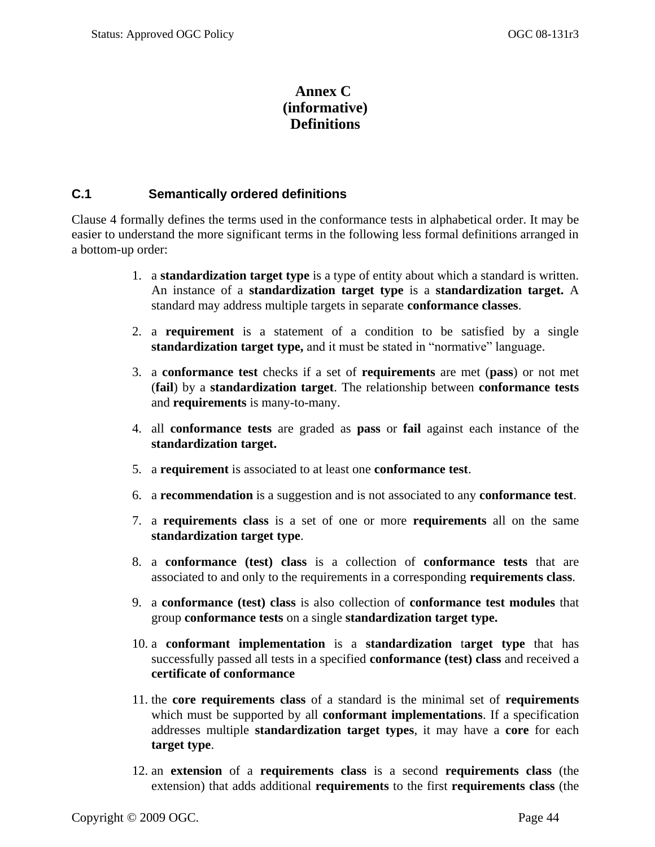## **Annex C (informative) Definitions**

### <span id="page-57-1"></span><span id="page-57-0"></span>**C.1 Semantically ordered definitions**

Clause [4](#page-16-0) formally defines the terms used in the conformance tests in alphabetical order. It may be easier to understand the more significant terms in the following less formal definitions arranged in a bottom-up order:

- 1. a **standardization target type** is a type of entity about which a standard is written. An instance of a **standardization target type** is a **standardization target.** A standard may address multiple targets in separate **conformance classes**.
- 2. a **requirement** is a statement of a condition to be satisfied by a single **standardization target type, and it must be stated in "normative" language.**
- 3. a **conformance test** checks if a set of **requirements** are met (**pass**) or not met (**fail**) by a **standardization target**. The relationship between **conformance tests** and **requirements** is many-to-many.
- 4. all **conformance tests** are graded as **pass** or **fail** against each instance of the **standardization target.**
- 5. a **requirement** is associated to at least one **conformance test**.
- 6. a **recommendation** is a suggestion and is not associated to any **conformance test**.
- 7. a **requirements class** is a set of one or more **requirements** all on the same **standardization target type**.
- 8. a **conformance (test) class** is a collection of **conformance tests** that are associated to and only to the requirements in a corresponding **requirements class**.
- 9. a **conformance (test) class** is also collection of **conformance test modules** that group **conformance tests** on a single **standardization target type.**
- 10. a **conformant implementation** is a **standardization** t**arget type** that has successfully passed all tests in a specified **conformance (test) class** and received a **certificate of conformance**
- 11. the **core requirements class** of a standard is the minimal set of **requirements** which must be supported by all **conformant implementations**. If a specification addresses multiple **standardization target types**, it may have a **core** for each **target type**.
- 12. an **extension** of a **requirements class** is a second **requirements class** (the extension) that adds additional **requirements** to the first **requirements class** (the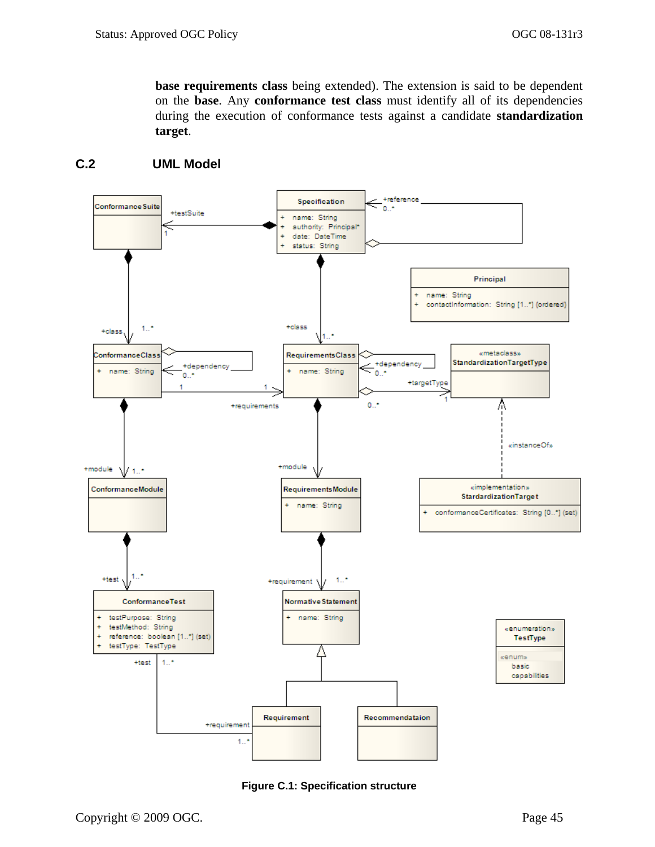**base requirements class** being extended). The extension is said to be dependent on the **base**. Any **conformance test class** must identify all of its dependencies during the execution of conformance tests against a candidate **standardization target**.



## <span id="page-58-0"></span>**C.2 UML Model**

<span id="page-58-1"></span>**Figure C.1: Specification structure**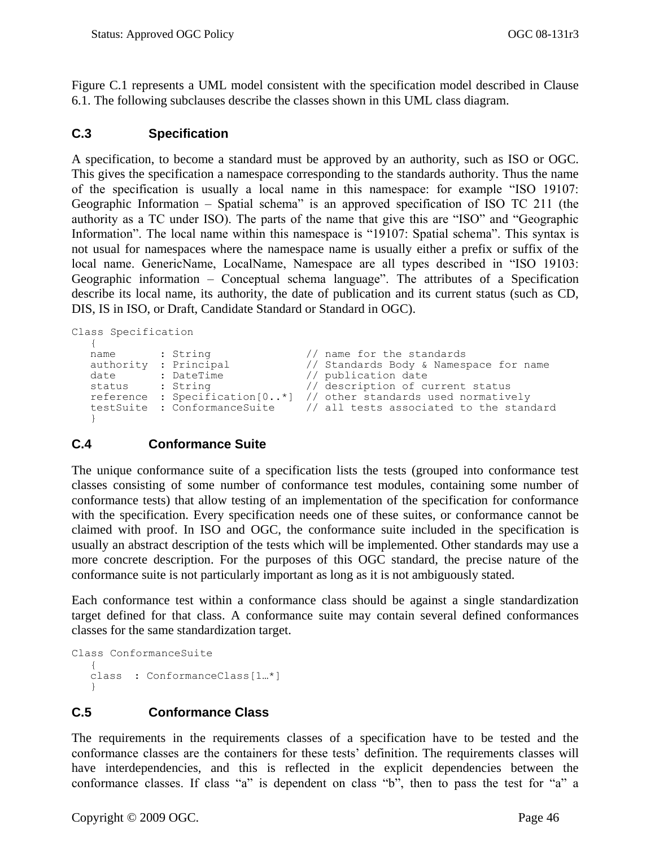[Figure C.1](#page-58-1) represents a UML model consistent with the specification model described in Clause [6.1.](#page-22-1) The following subclauses describe the classes shown in this UML class diagram.

#### <span id="page-59-0"></span>**C.3 Specification**

A specification, to become a standard must be approved by an authority, such as ISO or OGC. This gives the specification a namespace corresponding to the standards authority. Thus the name of the specification is usually a local name in this namespace: for example "ISO 19107: Geographic Information – Spatial schema" is an approved specification of ISO TC 211 (the authority as a TC under ISO). The parts of the name that give this are "ISO" and "Geographic Information". The local name within this namespace is "19107: Spatial schema". This syntax is not usual for namespaces where the namespace name is usually either a prefix or suffix of the local name. GenericName, LocalName, Namespace are all types described in "ISO 19103: Geographic information – Conceptual schema language". The attributes of a Specification describe its local name, its authority, the date of publication and its current status (such as CD, DIS, IS in ISO, or Draft, Candidate Standard or Standard in OGC).

```
Class Specification
```

```
{
name : String // name for the standards<br>authority : Principal // Standards Body & Names
authority : Principal // Standards Body & Namespace for name<br>
date : DateTime // publication date<br>
status : String // description of current status
                                           // publication date
                                           // description of current status
reference : Specification[0..*] // other standards used normatively 
testSuite : ConformanceSuite // all tests associated to the standard
}
```
### <span id="page-59-1"></span>**C.4 Conformance Suite**

The unique conformance suite of a specification lists the tests (grouped into conformance test classes consisting of some number of conformance test modules, containing some number of conformance tests) that allow testing of an implementation of the specification for conformance with the specification. Every specification needs one of these suites, or conformance cannot be claimed with proof. In ISO and OGC, the conformance suite included in the specification is usually an abstract description of the tests which will be implemented. Other standards may use a more concrete description. For the purposes of this OGC standard, the precise nature of the conformance suite is not particularly important as long as it is not ambiguously stated.

Each conformance test within a conformance class should be against a single standardization target defined for that class. A conformance suite may contain several defined conformances classes for the same standardization target.

```
Class ConformanceSuite 
   {
  class : ConformanceClass[1…*]
   }
```
### <span id="page-59-2"></span>**C.5 Conformance Class**

The requirements in the requirements classes of a specification have to be tested and the conformance classes are the containers for these tests' definition. The requirements classes will have interdependencies, and this is reflected in the explicit dependencies between the conformance classes. If class "a" is dependent on class "b", then to pass the test for "a" a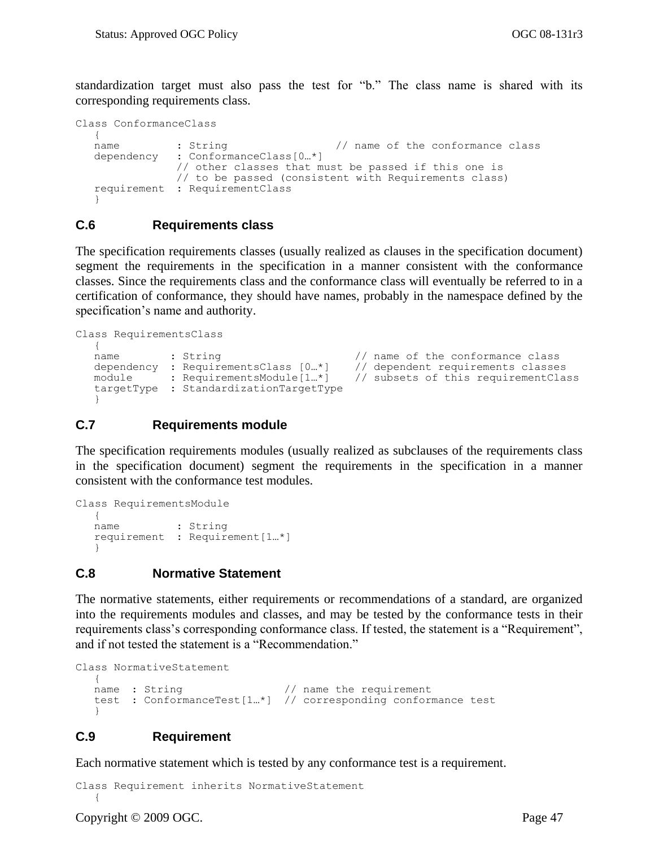standardization target must also pass the test for "b." The class name is shared with its corresponding requirements class.

```
Class ConformanceClass 
  {
  name : String \frac{1}{2} : \frac{1}{2} anne of the conformance class
  dependency : ConformanceClass[0…*]
               // other classes that must be passed if this one is
               // to be passed (consistent with Requirements class)
  requirement : RequirementClass
  }
```
#### <span id="page-60-0"></span>**C.6 Requirements class**

The specification requirements classes (usually realized as clauses in the specification document) segment the requirements in the specification in a manner consistent with the conformance classes. Since the requirements class and the conformance class will eventually be referred to in a certification of conformance, they should have names, probably in the namespace defined by the specification's name and authority.

```
Class RequirementsClass
  {
  name : String \frac{1}{2} : String \frac{1}{2} anne of the conformance class
  dependency : RequirementsClass [0…*] // dependent requirements classes
   module : RequirementsModule[1…*] // subsets of this requirementClass
   targetType : StandardizationTargetType
   }
```
#### <span id="page-60-1"></span>**C.7 Requirements module**

The specification requirements modules (usually realized as subclauses of the requirements class in the specification document) segment the requirements in the specification in a manner consistent with the conformance test modules.

```
Class RequirementsModule
  {
  name : String
  requirement : Requirement[1…*]
  }
```
#### <span id="page-60-2"></span>**C.8 Normative Statement**

The normative statements, either requirements or recommendations of a standard, are organized into the requirements modules and classes, and may be tested by the conformance tests in their requirements class's corresponding conformance class. If tested, the statement is a "Requirement", and if not tested the statement is a "Recommendation."

```
Class NormativeStatement
  {name : String// name the requirement
  test : ConformanceTest[1…*] // corresponding conformance test
   }
```
#### <span id="page-60-3"></span>**C.9 Requirement**

Each normative statement which is tested by any conformance test is a requirement.

```
Class Requirement inherits NormativeStatement
   {
```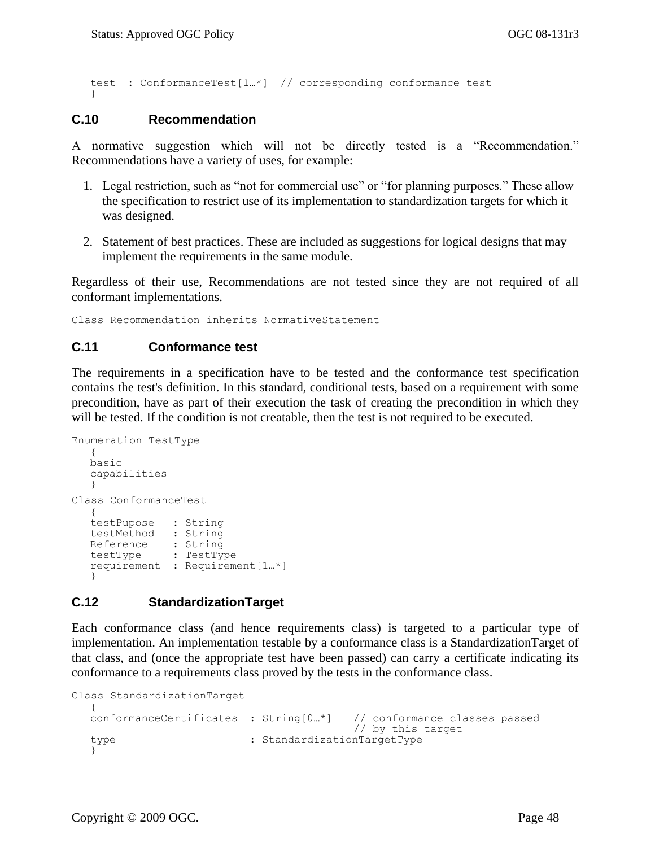test : ConformanceTest[1…\*] // corresponding conformance test }

#### <span id="page-61-0"></span>**C.10 Recommendation**

A normative suggestion which will not be directly tested is a "Recommendation." Recommendations have a variety of uses, for example:

- 1. Legal restriction, such as "not for commercial use" or "for planning purposes." These allow the specification to restrict use of its implementation to standardization targets for which it was designed.
- 2. Statement of best practices. These are included as suggestions for logical designs that may implement the requirements in the same module.

Regardless of their use, Recommendations are not tested since they are not required of all conformant implementations.

<span id="page-61-1"></span>Class Recommendation inherits NormativeStatement

#### **C.11 Conformance test**

The requirements in a specification have to be tested and the conformance test specification contains the test's definition. In this standard, conditional tests, based on a requirement with some precondition, have as part of their execution the task of creating the precondition in which they will be tested. If the condition is not creatable, then the test is not required to be executed.

```
Enumeration TestType
  {
  basic
  capabilities
   }
Class ConformanceTest
   {
  testPupose : String
  testMethod : String
   Reference : String
   testType : TestType
  requirement : Requirement[1…*]
   }
```
#### <span id="page-61-2"></span>**C.12 StandardizationTarget**

Each conformance class (and hence requirements class) is targeted to a particular type of implementation. An implementation testable by a conformance class is a StandardizationTarget of that class, and (once the appropriate test have been passed) can carry a certificate indicating its conformance to a requirements class proved by the tests in the conformance class.

```
Class StandardizationTarget
  {
  conformanceCertificates : String[0…*] // conformance classes passed 
                                       // by this target
  type : StandardizationTargetType
  }
```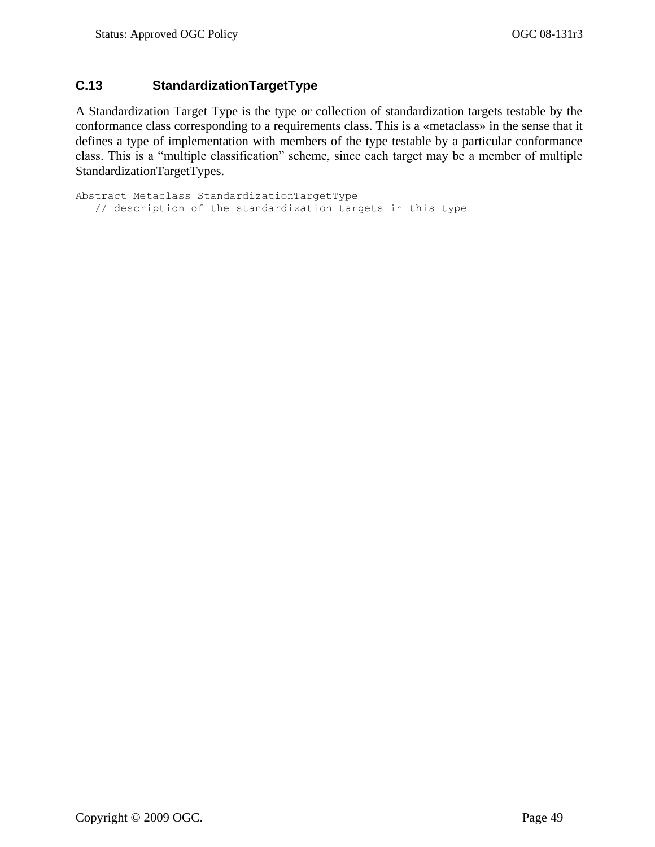### <span id="page-62-0"></span>**C.13 StandardizationTargetType**

A Standardization Target Type is the type or collection of standardization targets testable by the conformance class corresponding to a requirements class. This is a «metaclass» in the sense that it defines a type of implementation with members of the type testable by a particular conformance class. This is a "multiple classification" scheme, since each target may be a member of multiple StandardizationTargetTypes.

```
Abstract Metaclass StandardizationTargetType
   // description of the standardization targets in this type
```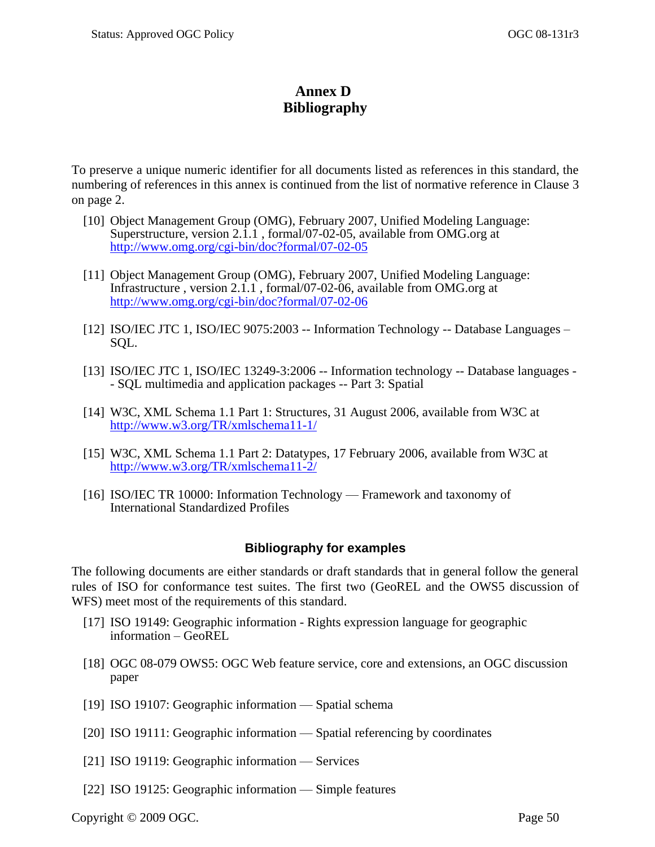# **Annex D Bibliography**

<span id="page-63-0"></span>To preserve a unique numeric identifier for all documents listed as references in this standard, the numbering of references in this annex is continued from the list of normative reference in Clause [3](#page-15-0) on page [2.](#page-15-0)

- [10] Object Management Group (OMG), February 2007, Unified Modeling Language: Superstructure, version 2.1.1 , formal/07-02-05, available from OMG.org at <http://www.omg.org/cgi-bin/doc?formal/07-02-05>
- [11] Object Management Group (OMG), February 2007, Unified Modeling Language: Infrastructure , version 2.1.1 , formal/07-02-06, available from OMG.org at <http://www.omg.org/cgi-bin/doc?formal/07-02-06>
- [12] ISO/IEC JTC 1, ISO/IEC 9075:2003 -- Information Technology -- Database Languages SQL.
- [13] ISO/IEC JTC 1, ISO/IEC 13249-3:2006 -- Information technology -- Database languages - SQL multimedia and application packages -- Part 3: Spatial
- [14] W3C, XML Schema 1.1 Part 1: Structures, 31 August 2006, available from W3C at <http://www.w3.org/TR/xmlschema11-1/>
- [15] W3C, XML Schema 1.1 Part 2: Datatypes, 17 February 2006, available from W3C at <http://www.w3.org/TR/xmlschema11-2/>
- [16] ISO/IEC TR 10000: Information Technology Framework and taxonomy of International Standardized Profiles

### **Bibliography for examples**

<span id="page-63-1"></span>The following documents are either standards or draft standards that in general follow the general rules of ISO for conformance test suites. The first two (GeoREL and the OWS5 discussion of WFS) meet most of the requirements of this standard.

- [17] ISO 19149: Geographic information Rights expression language for geographic information – GeoREL
- [18] OGC 08-079 [OWS5: OGC Web feature service, core and extensions,](https://portal.opengeospatial.org/files/?artifact_id=28176) an OGC discussion paper
- [19] ISO 19107: Geographic information Spatial schema
- [20] ISO 19111: Geographic information Spatial referencing by coordinates
- [21] ISO 19119: Geographic information Services
- [22] ISO 19125: Geographic information Simple features